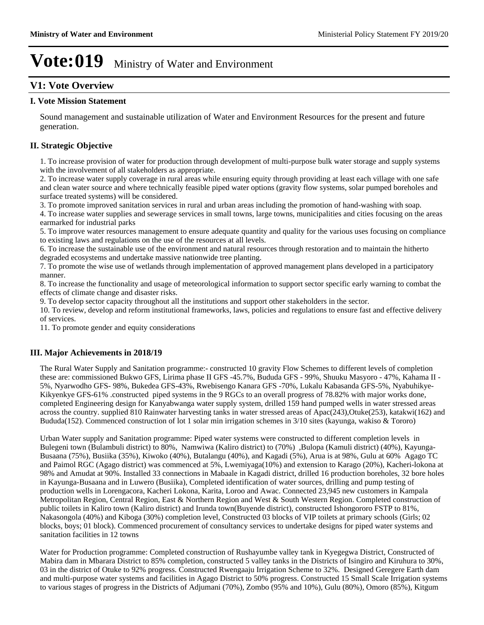#### **V1: Vote Overview**

#### **I. Vote Mission Statement**

Sound management and sustainable utilization of Water and Environment Resources for the present and future generation.

#### **II. Strategic Objective**

1. To increase provision of water for production through development of multi-purpose bulk water storage and supply systems with the involvement of all stakeholders as appropriate.

2. To increase water supply coverage in rural areas while ensuring equity through providing at least each village with one safe and clean water source and where technically feasible piped water options (gravity flow systems, solar pumped boreholes and surface treated systems) will be considered.

3. To promote improved sanitation services in rural and urban areas including the promotion of hand-washing with soap.

4. To increase water supplies and sewerage services in small towns, large towns, municipalities and cities focusing on the areas earmarked for industrial parks

5. To improve water resources management to ensure adequate quantity and quality for the various uses focusing on compliance to existing laws and regulations on the use of the resources at all levels.

6. To increase the sustainable use of the environment and natural resources through restoration and to maintain the hitherto degraded ecosystems and undertake massive nationwide tree planting.

7. To promote the wise use of wetlands through implementation of approved management plans developed in a participatory manner.

8. To increase the functionality and usage of meteorological information to support sector specific early warning to combat the effects of climate change and disaster risks.

9. To develop sector capacity throughout all the institutions and support other stakeholders in the sector.

10. To review, develop and reform institutional frameworks, laws, policies and regulations to ensure fast and effective delivery of services.

11. To promote gender and equity considerations

#### **III. Major Achievements in 2018/19**

The Rural Water Supply and Sanitation programme:- constructed 10 gravity Flow Schemes to different levels of completion these are: commissioned Bukwo GFS, Lirima phase II GFS -45.7%, Bududa GFS - 99%, Shuuku Masyoro - 47%, Kahama II - 5%, Nyarwodho GFS- 98%, Bukedea GFS-43%, Rwebisengo Kanara GFS -70%, Lukalu Kabasanda GFS-5%, Nyabuhikye-Kikyenkye GFS-61% .constructed piped systems in the 9 RGCs to an overall progress of 78.82% with major works done, completed Engineering design for Kanyabwanga water supply system, drilled 159 hand pumped wells in water stressed areas across the country. supplied 810 Rainwater harvesting tanks in water stressed areas of Apac(243),Otuke(253), katakwi(162) and Bududa(152). Commenced construction of lot 1 solar min irrigation schemes in 3/10 sites (kayunga, wakiso & Tororo)

Urban Water supply and Sanitation programme: Piped water systems were constructed to different completion levels in Bulegeni town (Bulambuli district) to 80%, Namwiwa (Kaliro district) to (70%) ,Bulopa (Kamuli district) (40%), Kayunga-Busaana (75%), Busiika (35%), Kiwoko (40%), Butalangu (40%), and Kagadi (5%), Arua is at 98%, Gulu at 60% Agago TC and Paimol RGC (Agago district) was commenced at 5%, Lwemiyaga(10%) and extension to Karago (20%), Kacheri-lokona at 98% and Amudat at 90%. Installed 33 connections in Mabaale in Kagadi district, drilled 16 production boreholes, 32 bore holes in Kayunga-Busaana and in Luwero (Busiika), Completed identification of water sources, drilling and pump testing of production wells in Lorengacora, Kacheri Lokona, Karita, Loroo and Awac. Connected 23,945 new customers in Kampala Metropolitan Region, Central Region, East & Northern Region and West & South Western Region. Completed construction of public toilets in Kaliro town (Kaliro district) and Irunda town(Buyende district), constructed Ishongororo FSTP to 81%, Nakasongola (40%) and Kiboga (30%) completion level, Constructed 03 blocks of VIP toilets at primary schools (Girls; 02 blocks, boys; 01 block). Commenced procurement of consultancy services to undertake designs for piped water systems and sanitation facilities in 12 towns

Water for Production programme: Completed construction of Rushayumbe valley tank in Kyegegwa District, Constructed of Mabira dam in Mbarara District to 85% completion, constructed 5 valley tanks in the Districts of Isingiro and Kiruhura to 30%, 03 in the district of Otuke to 92% progress. Constructed Rwengaaju Irrigation Scheme to 32%. Designed Geregere Earth dam and multi-purpose water systems and facilities in Agago District to 50% progress. Constructed 15 Small Scale Irrigation systems to various stages of progress in the Districts of Adjumani (70%), Zombo (95% and 10%), Gulu (80%), Omoro (85%), Kitgum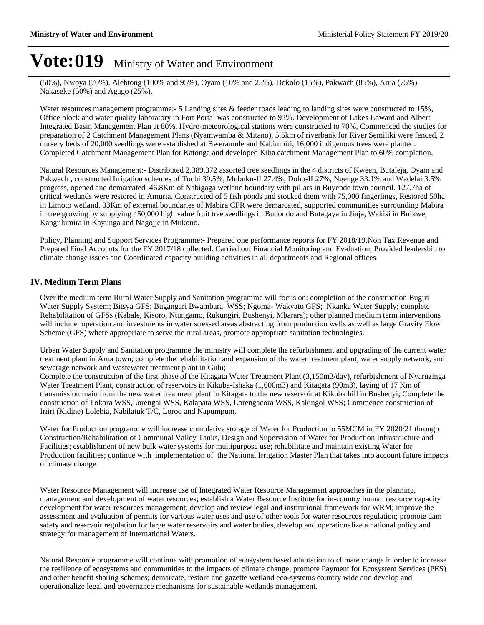(50%), Nwoya (70%), Alebtong (100% and 95%), Oyam (10% and 25%), Dokolo (15%), Pakwach (85%), Arua (75%), Nakaseke (50%) and Agago (25%).

Water resources management programme:- 5 Landing sites & feeder roads leading to landing sites were constructed to 15%, Office block and water quality laboratory in Fort Portal was constructed to 93%. Development of Lakes Edward and Albert Integrated Basin Management Plan at 80%. Hydro-meteorological stations were constructed to 70%, Commenced the studies for preparation of 2 Catchment Management Plans (Nyamwamba & Mitano), 5.5km of riverbank for River Semiliki were fenced, 2 nursery beds of 20,000 seedlings were established at Bweramule and Kabimbiri, 16,000 indigenous trees were planted. Completed Catchment Management Plan for Katonga and developed Kiha catchment Management Plan to 60% completion.

Natural Resources Management:- Distributed 2,389,372 assorted tree seedlings in the 4 districts of Kween, Butaleja, Oyam and Pakwach , constructed Irrigation schemes of Tochi 39.5%, Mubuku-II 27.4%, Doho-II 27%, Ngenge 33.1% and Wadelai 3.5% progress, opened and demarcated 46.8Km of Nabigaga wetland boundary with pillars in Buyende town council. 127.7ha of critical wetlands were restored in Amuria. Constructed of 5 fish ponds and stocked them with 75,000 fingerlings, Restored 50ha in Limoto wetland. 33Km of external boundaries of Mabira CFR were demarcated, supported communities surrounding Mabira in tree growing by supplying 450,000 high value fruit tree seedlings in Budondo and Butagaya in Jinja, Wakisi in Buikwe, Kangulumira in Kayunga and Nagojje in Mukono.

Policy, Planning and Support Services Programme:- Prepared one performance reports for FY 2018/19.Non Tax Revenue and Prepared Final Accounts for the FY 2017/18 collected. Carried out Financial Monitoring and Evaluation, Provided leadership to climate change issues and Coordinated capacity building activities in all departments and Regional offices

#### **IV. Medium Term Plans**

Over the medium term Rural Water Supply and Sanitation programme will focus on: completion of the construction Bugiri Water Supply System; Bitsya GFS; Bugangari Bwambara WSS; Ngoma- Wakyato GFS; Nkanka Water Supply; complete Rehabilitation of GFSs (Kabale, Kisoro, Ntungamo, Rukungiri, Bushenyi, Mbarara); other planned medium term interventions will include operation and investments in water stressed areas abstracting from production wells as well as large Gravity Flow Scheme (GFS) where appropriate to serve the rural areas, promote appropriate sanitation technologies.

Urban Water Supply and Sanitation programme the ministry will complete the refurbishment and upgrading of the current water treatment plant in Arua town; complete the rehabilitation and expansion of the water treatment plant, water supply network, and sewerage network and wastewater treatment plant in Gulu;

Complete the construction of the first phase of the Kitagata Water Treatment Plant (3,150m3/day), refurbishment of Nyaruzinga Water Treatment Plant, construction of reservoirs in Kikuba-Ishaka (1,600m3) and Kitagata (90m3), laying of 17 Km of transmission main from the new water treatment plant in Kitagata to the new reservoir at Kikuba hill in Bushenyi; Complete the construction of Tokora WSS,Lorengai WSS, Kalapata WSS, Lorengacora WSS, Kakingol WSS; Commence construction of Iriiri (Kidine) Lolebia, Nabilatuk T/C, Loroo and Napumpum.

Water for Production programme will increase cumulative storage of Water for Production to 55MCM in FY 2020/21 through Construction/Rehabilitation of Communal Valley Tanks, Design and Supervision of Water for Production Infrastructure and Facilities; establishment of new bulk water systems for multipurpose use; rehabilitate and maintain existing Water for Production facilities; continue with implementation of the National Irrigation Master Plan that takes into account future impacts of climate change

Water Resource Management will increase use of Integrated Water Resource Management approaches in the planning, management and development of water resources; establish a Water Resource Institute for in-country human resource capacity development for water resources management; develop and review legal and institutional framework for WRM; improve the assessment and evaluation of permits for various water uses and use of other tools for water resources regulation; promote dam safety and reservoir regulation for large water reservoirs and water bodies, develop and operationalize a national policy and strategy for management of International Waters.

Natural Resource programme will continue with promotion of ecosystem based adaptation to climate change in order to increase the resilience of ecosystems and communities to the impacts of climate change; promote Payment for Ecosystem Services (PES) and other benefit sharing schemes; demarcate, restore and gazette wetland eco-systems country wide and develop and operationalize legal and governance mechanisms for sustainable wetlands management.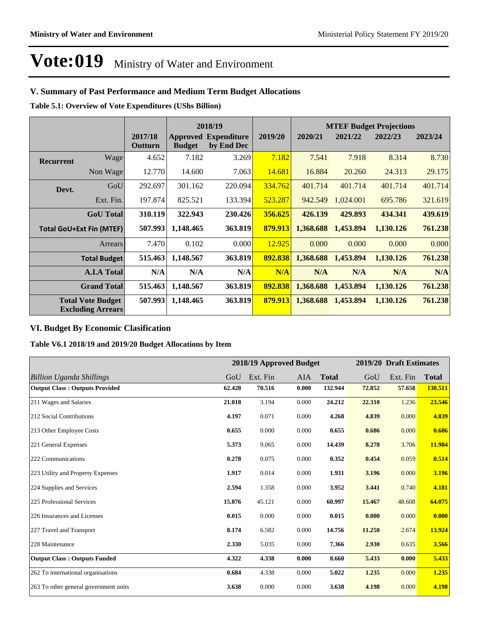#### **V. Summary of Past Performance and Medium Term Budget Allocations**

**Table 5.1: Overview of Vote Expenditures (UShs Billion)**

|                  |                                                      |                    |               | 2018/19                                   |         | <b>MTEF Budget Projections</b> |           |           |         |
|------------------|------------------------------------------------------|--------------------|---------------|-------------------------------------------|---------|--------------------------------|-----------|-----------|---------|
|                  |                                                      | 2017/18<br>Outturn | <b>Budget</b> | <b>Approved Expenditure</b><br>by End Dec | 2019/20 | 2020/21                        | 2021/22   | 2022/23   | 2023/24 |
| <b>Recurrent</b> | Wage                                                 | 4.652              | 7.182         | 3.269                                     | 7.182   | 7.541                          | 7.918     | 8.314     | 8.730   |
|                  | Non Wage                                             | 12.770             | 14.600        | 7.063                                     | 14.681  | 16.884                         | 20.260    | 24.313    | 29.175  |
| Devt.            | GoU                                                  | 292.697            | 301.162       | 220.094                                   | 334.762 | 401.714                        | 401.714   | 401.714   | 401.714 |
|                  | Ext. Fin.                                            | 197.874            | 825.521       | 133.394                                   | 523.287 | 942.549                        | 1,024.001 | 695.786   | 321.619 |
|                  | <b>GoU</b> Total                                     | 310.119            | 322.943       | 230.426                                   | 356.625 | 426.139                        | 429.893   | 434.341   | 439.619 |
|                  | <b>Total GoU+Ext Fin (MTEF)</b>                      | 507.993            | 1,148.465     | 363.819                                   | 879.913 | 1,368.688                      | 1,453.894 | 1,130.126 | 761.238 |
|                  | Arrears                                              | 7.470              | 0.102         | 0.000                                     | 12.925  | 0.000                          | 0.000     | 0.000     | 0.000   |
|                  | <b>Total Budget</b>                                  | 515.463            | 1,148.567     | 363.819                                   | 892.838 | 1,368.688                      | 1,453.894 | 1,130,126 | 761.238 |
|                  | <b>A.I.A Total</b>                                   | N/A                | N/A           | N/A                                       | N/A     | N/A                            | N/A       | N/A       | N/A     |
|                  | <b>Grand Total</b>                                   | 515.463            | 1,148.567     | 363.819                                   | 892.838 | 1,368.688                      | 1,453.894 | 1,130.126 | 761.238 |
|                  | <b>Total Vote Budget</b><br><b>Excluding Arrears</b> | 507.993            | 1,148.465     | 363.819                                   | 879.913 | 1,368.688                      | 1,453.894 | 1,130.126 | 761.238 |

#### **VI. Budget By Economic Clasification**

**Table V6.1 2018/19 and 2019/20 Budget Allocations by Item**

|                                       |        |          | 2018/19 Approved Budget |              |        | 2019/20 Draft Estimates |              |
|---------------------------------------|--------|----------|-------------------------|--------------|--------|-------------------------|--------------|
| Billion Uganda Shillings              | GoU    | Ext. Fin | AIA                     | <b>Total</b> | GoU    | Ext. Fin                | <b>Total</b> |
| <b>Output Class: Outputs Provided</b> | 62.428 | 70.516   | 0.000                   | 132.944      | 72.852 | 57.658                  | 130.511      |
| 211 Wages and Salaries                | 21.018 | 3.194    | 0.000                   | 24.212       | 22.310 | 1.236                   | 23.546       |
| 212 Social Contributions              | 4.197  | 0.071    | 0.000                   | 4.268        | 4.839  | 0.000                   | 4.839        |
| 213 Other Employee Costs              | 0.655  | 0.000    | 0.000                   | 0.655        | 0.686  | 0.000                   | 0.686        |
| 221 General Expenses                  | 5.373  | 9.065    | 0.000                   | 14.439       | 8.278  | 3.706                   | 11.984       |
| 222 Communications                    | 0.278  | 0.075    | 0.000                   | 0.352        | 0.454  | 0.059                   | 0.514        |
| 223 Utility and Property Expenses     | 1.917  | 0.014    | 0.000                   | 1.931        | 3.196  | 0.000                   | 3.196        |
| 224 Supplies and Services             | 2.594  | 1.358    | 0.000                   | 3.952        | 3.441  | 0.740                   | 4.181        |
| 225 Professional Services             | 15.876 | 45.121   | 0.000                   | 60.997       | 15.467 | 48.608                  | 64.075       |
| 226 Insurances and Licenses           | 0.015  | 0.000    | 0.000                   | 0.015        | 0.000  | 0.000                   | 0.000        |
| 227 Travel and Transport              | 8.174  | 6.582    | 0.000                   | 14.756       | 11.250 | 2.674                   | 13.924       |
| 228 Maintenance                       | 2.330  | 5.035    | 0.000                   | 7.366        | 2.930  | 0.635                   | 3.566        |
| <b>Output Class: Outputs Funded</b>   | 4.322  | 4.338    | 0.000                   | 8.660        | 5.433  | 0.000                   | 5.433        |
| 262 To international organisations    | 0.684  | 4.338    | 0.000                   | 5.022        | 1.235  | 0.000                   | 1.235        |
| 263 To other general government units | 3.638  | 0.000    | 0.000                   | 3.638        | 4.198  | 0.000                   | 4.198        |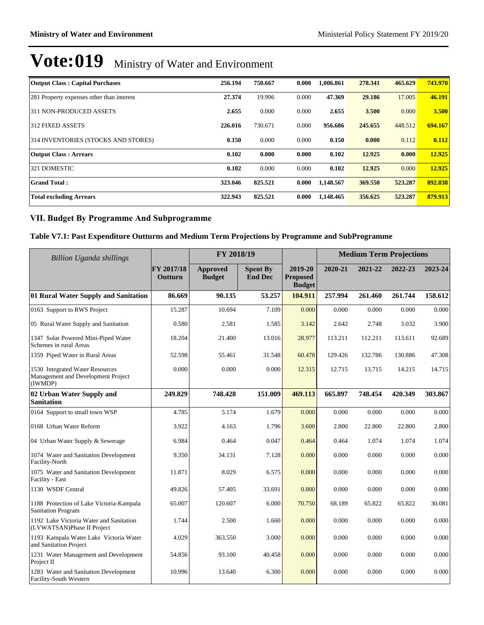| <b>Output Class: Capital Purchases</b>    | 256.194 | 750.667 | 0.000 | 1.006.861 | 278.341 | 465.629 | 743.970 |
|-------------------------------------------|---------|---------|-------|-----------|---------|---------|---------|
| 281 Property expenses other than interest | 27.374  | 19.996  | 0.000 | 47.369    | 29.186  | 17.005  | 46.191  |
| 311 NON-PRODUCED ASSETS                   | 2.655   | 0.000   | 0.000 | 2.655     | 3.500   | 0.000   | 3.500   |
| 312 FIXED ASSETS                          | 226.016 | 730.671 | 0.000 | 956.686   | 245.655 | 448.512 | 694.167 |
| 314 INVENTORIES (STOCKS AND STORES)       | 0.150   | 0.000   | 0.000 | 0.150     | 0.000   | 0.112   | 0.112   |
| <b>Output Class: Arrears</b>              | 0.102   | 0.000   | 0.000 | 0.102     | 12.925  | 0.000   | 12.925  |
| 321 DOMESTIC                              | 0.102   | 0.000   | 0.000 | 0.102     | 12.925  | 0.000   | 12.925  |
| <b>Grand Total:</b>                       | 323.046 | 825.521 | 0.000 | 1.148.567 | 369.550 | 523.287 | 892.838 |
| <b>Total excluding Arrears</b>            | 322.943 | 825.521 | 0.000 | 1,148.465 | 356.625 | 523.287 | 879.913 |

#### **VII. Budget By Programme And Subprogramme**

#### **Table V7.1: Past Expenditure Outturns and Medium Term Projections by Programme and SubProgramme**

| Billion Uganda shillings                                                         |                       | FY 2018/19                |                                   |                                             | <b>Medium Term Projections</b> |         |         |         |  |
|----------------------------------------------------------------------------------|-----------------------|---------------------------|-----------------------------------|---------------------------------------------|--------------------------------|---------|---------|---------|--|
|                                                                                  | FY 2017/18<br>Outturn | Approved<br><b>Budget</b> | <b>Spent By</b><br><b>End Dec</b> | 2019-20<br><b>Proposed</b><br><b>Budget</b> | 2020-21                        | 2021-22 | 2022-23 | 2023-24 |  |
| 01 Rural Water Supply and Sanitation                                             | 86.669                | 90.135                    | 53.257                            | 104.911                                     | 257.994                        | 261.460 | 261.744 | 158.612 |  |
| 0163 Support to RWS Project                                                      | 15.287                | 10.694                    | 7.109                             | 0.000                                       | 0.000                          | 0.000   | 0.000   | 0.000   |  |
| 05 Rural Water Supply and Sanitation                                             | 0.580                 | 2.581                     | 1.585                             | 3.142                                       | 2.642                          | 2.748   | 3.032   | 3.900   |  |
| 1347 Solar Powered Mini-Piped Water<br>Schemes in rural Areas                    | 18.204                | 21.400                    | 13.016                            | 28.977                                      | 113.211                        | 112.211 | 113.611 | 92.689  |  |
| 1359 Piped Water in Rural Areas                                                  | 52.598                | 55.461                    | 31.548                            | 60.478                                      | 129.426                        | 132.786 | 130.886 | 47.308  |  |
| 1530 Integrated Water Resources<br>Management and Development Project<br>(IWMDP) | 0.000                 | 0.000                     | 0.000                             | 12.315                                      | 12.715                         | 13.715  | 14.215  | 14.715  |  |
| 02 Urban Water Supply and<br><b>Sanitation</b>                                   | 249.829               | 748.428                   | 151.009                           | 469.113                                     | 665.897                        | 748.454 | 420.349 | 303.867 |  |
| 0164 Support to small town WSP                                                   | 4.785                 | 5.174                     | 1.679                             | 0.000                                       | 0.000                          | 0.000   | 0.000   | 0.000   |  |
| 0168 Urban Water Reform                                                          | 3.922                 | 4.163                     | 1.796                             | 3.600                                       | 2.800                          | 22.800  | 22.800  | 2.800   |  |
| 04 Urban Water Supply & Sewerage                                                 | 6.984                 | 0.464                     | 0.047                             | 0.464                                       | 0.464                          | 1.074   | 1.074   | 1.074   |  |
| 1074 Water and Sanitation Development<br>Facility-North                          | 9.350                 | 34.131                    | 7.128                             | 0.000                                       | 0.000                          | 0.000   | 0.000   | 0.000   |  |
| 1075 Water and Sanitation Development<br>Facility - East                         | 11.871                | 8.029                     | 6.575                             | 0.000                                       | 0.000                          | 0.000   | 0.000   | 0.000   |  |
| 1130 WSDF Central                                                                | 49.826                | 57.405                    | 33.691                            | 0.000                                       | 0.000                          | 0.000   | 0.000   | 0.000   |  |
| 1188 Protection of Lake Victoria-Kampala<br><b>Sanitation Program</b>            | 65.007                | 120.607                   | 6.000                             | 70.750                                      | 68.189                         | 65.822  | 65.822  | 30.081  |  |
| 1192 Lake Victoria Water and Sanitation<br>(LVWATSAN)Phase II Project            | 1.744                 | 2.500                     | 1.660                             | 0.000                                       | 0.000                          | 0.000   | 0.000   | 0.000   |  |
| 1193 Kampala Water Lake Victoria Water<br>and Sanitation Project                 | 4.029                 | 363.550                   | 3.000                             | 0.000                                       | 0.000                          | 0.000   | 0.000   | 0.000   |  |
| 1231 Water Management and Development<br>Project II                              | 54.856                | 93.100                    | 40.458                            | 0.000                                       | 0.000                          | 0.000   | 0.000   | 0.000   |  |
| 1283 Water and Sanitation Development<br>Facility-South Western                  | 10.996                | 13.640                    | 6.300                             | 0.000                                       | 0.000                          | 0.000   | 0.000   | 0.000   |  |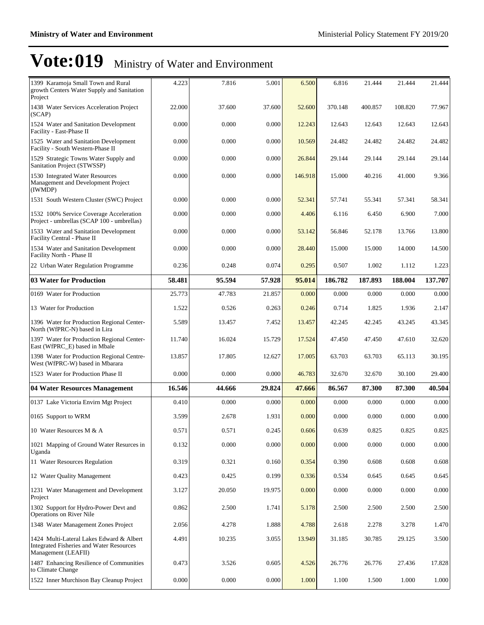| 1399 Karamoja Small Town and Rural<br>growth Centers Water Supply and Sanitation<br>Project                        | 4.223  | 7.816  | 5.001  | 6.500   | 6.816   | 21.444  | 21.444  | 21.444  |
|--------------------------------------------------------------------------------------------------------------------|--------|--------|--------|---------|---------|---------|---------|---------|
| 1438 Water Services Acceleration Project<br>(SCAP)                                                                 | 22.000 | 37.600 | 37.600 | 52.600  | 370.148 | 400.857 | 108.820 | 77.967  |
| 1524 Water and Sanitation Development<br>Facility - East-Phase II                                                  | 0.000  | 0.000  | 0.000  | 12.243  | 12.643  | 12.643  | 12.643  | 12.643  |
| 1525 Water and Sanitation Development<br>Facility - South Western-Phase II                                         | 0.000  | 0.000  | 0.000  | 10.569  | 24.482  | 24.482  | 24.482  | 24.482  |
| 1529 Strategic Towns Water Supply and<br>Sanitation Project (STWSSP)                                               | 0.000  | 0.000  | 0.000  | 26.844  | 29.144  | 29.144  | 29.144  | 29.144  |
| 1530 Integrated Water Resources<br>Management and Development Project<br>(IWMDP)                                   | 0.000  | 0.000  | 0.000  | 146.918 | 15.000  | 40.216  | 41.000  | 9.366   |
| 1531 South Western Cluster (SWC) Project                                                                           | 0.000  | 0.000  | 0.000  | 52.341  | 57.741  | 55.341  | 57.341  | 58.341  |
| 1532 100% Service Coverage Acceleration<br>Project - umbrellas (SCAP 100 - umbrellas)                              | 0.000  | 0.000  | 0.000  | 4.406   | 6.116   | 6.450   | 6.900   | 7.000   |
| 1533 Water and Sanitation Development<br>Facility Central - Phase II                                               | 0.000  | 0.000  | 0.000  | 53.142  | 56.846  | 52.178  | 13.766  | 13.800  |
| 1534 Water and Sanitation Development<br>Facility North - Phase II                                                 | 0.000  | 0.000  | 0.000  | 28.440  | 15.000  | 15.000  | 14.000  | 14.500  |
| 22 Urban Water Regulation Programme                                                                                | 0.236  | 0.248  | 0.074  | 0.295   | 0.507   | 1.002   | 1.112   | 1.223   |
| <b>03 Water for Production</b>                                                                                     | 58.481 | 95.594 | 57.928 | 95.014  | 186.782 | 187.893 | 188.004 | 137.707 |
| 0169 Water for Production                                                                                          | 25.773 | 47.783 | 21.857 | 0.000   | 0.000   | 0.000   | 0.000   | 0.000   |
| 13 Water for Production                                                                                            | 1.522  | 0.526  | 0.263  | 0.246   | 0.714   | 1.825   | 1.936   | 2.147   |
| 1396 Water for Production Regional Center-<br>North (WfPRC-N) based in Lira                                        | 5.589  | 13.457 | 7.452  | 13.457  | 42.245  | 42.245  | 43.245  | 43.345  |
| 1397 Water for Production Regional Center-<br>East (WfPRC_E) based in Mbale                                        | 11.740 | 16.024 | 15.729 | 17.524  | 47.450  | 47.450  | 47.610  | 32.620  |
| 1398 Water for Production Regional Centre-<br>West (WfPRC-W) based in Mbarara                                      | 13.857 | 17.805 | 12.627 | 17.005  | 63.703  | 63.703  | 65.113  | 30.195  |
| 1523 Water for Production Phase II                                                                                 | 0.000  | 0.000  | 0.000  | 46.783  | 32.670  | 32.670  | 30.100  | 29.400  |
| 04 Water Resources Management                                                                                      | 16.546 | 44.666 | 29.824 | 47.666  | 86.567  | 87.300  | 87.300  | 40.504  |
| 0137 Lake Victoria Envirn Mgt Project                                                                              | 0.410  | 0.000  | 0.000  | 0.000   | 0.000   | 0.000   | 0.000   | 0.000   |
| 0165 Support to WRM                                                                                                | 3.599  | 2.678  | 1.931  | 0.000   | 0.000   | 0.000   | 0.000   | 0.000   |
| 10 Water Resources M & A                                                                                           | 0.571  | 0.571  | 0.245  | 0.606   | 0.639   | 0.825   | 0.825   | 0.825   |
| 1021 Mapping of Ground Water Resurces in<br>Uganda                                                                 | 0.132  | 0.000  | 0.000  | 0.000   | 0.000   | 0.000   | 0.000   | 0.000   |
| 11 Water Resources Regulation                                                                                      | 0.319  | 0.321  | 0.160  | 0.354   | 0.390   | 0.608   | 0.608   | 0.608   |
| 12 Water Quality Management                                                                                        | 0.423  | 0.425  | 0.199  | 0.336   | 0.534   | 0.645   | 0.645   | 0.645   |
| 1231 Water Management and Development<br>Project                                                                   | 3.127  | 20.050 | 19.975 | 0.000   | 0.000   | 0.000   | 0.000   | 0.000   |
| 1302 Support for Hydro-Power Devt and<br>Operations on River Nile                                                  | 0.862  | 2.500  | 1.741  | 5.178   | 2.500   | 2.500   | 2.500   | 2.500   |
| 1348 Water Management Zones Project                                                                                | 2.056  | 4.278  | 1.888  | 4.788   | 2.618   | 2.278   | 3.278   | 1.470   |
| 1424 Multi-Lateral Lakes Edward & Albert<br><b>Integrated Fisheries and Water Resources</b><br>Management (LEAFII) | 4.491  | 10.235 | 3.055  | 13.949  | 31.185  | 30.785  | 29.125  | 3.500   |
| 1487 Enhancing Resilience of Communities<br>to Climate Change                                                      | 0.473  | 3.526  | 0.605  | 4.526   | 26.776  | 26.776  | 27.436  | 17.828  |
| 1522 Inner Murchison Bay Cleanup Project                                                                           | 0.000  | 0.000  | 0.000  | 1.000   | 1.100   | 1.500   | 1.000   | 1.000   |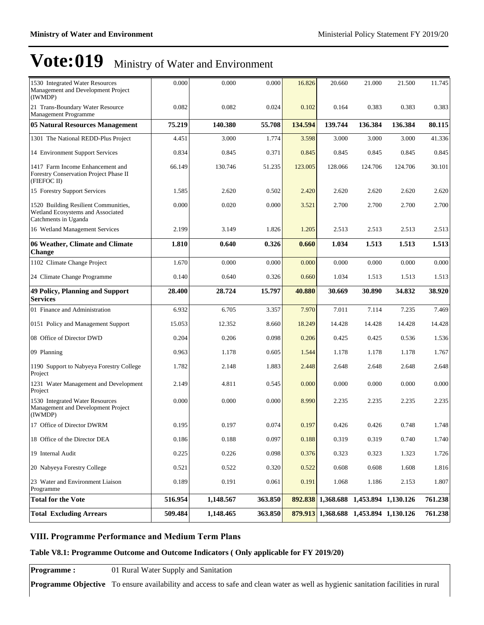| 1530 Integrated Water Resources<br>Management and Development Project<br>(IWMDP)                  | 0.000   | 0.000     | 0.000   | 16.826  | 20.660  | 21.000                                | 21.500  | 11.745  |
|---------------------------------------------------------------------------------------------------|---------|-----------|---------|---------|---------|---------------------------------------|---------|---------|
| 21 Trans-Boundary Water Resource<br>Management Programme                                          | 0.082   | 0.082     | 0.024   | 0.102   | 0.164   | 0.383                                 | 0.383   | 0.383   |
| <b>05 Natural Resources Management</b>                                                            | 75.219  | 140.380   | 55.708  | 134.594 | 139.744 | 136.384                               | 136.384 | 80.115  |
| 1301 The National REDD-Plus Project                                                               | 4.451   | 3.000     | 1.774   | 3.598   | 3.000   | 3.000                                 | 3.000   | 41.336  |
| 14 Environment Support Services                                                                   | 0.834   | 0.845     | 0.371   | 0.845   | 0.845   | 0.845                                 | 0.845   | 0.845   |
| 1417 Farm Income Enhancement and<br>Forestry Conservation Project Phase II<br>(FIEFOC II)         | 66.149  | 130.746   | 51.235  | 123.005 | 128.066 | 124.706                               | 124.706 | 30.101  |
| 15 Forestry Support Services                                                                      | 1.585   | 2.620     | 0.502   | 2.420   | 2.620   | 2.620                                 | 2.620   | 2.620   |
| 1520 Building Resilient Communities,<br>Wetland Ecosystems and Associated<br>Catchments in Uganda | 0.000   | 0.020     | 0.000   | 3.521   | 2.700   | 2.700                                 | 2.700   | 2.700   |
| 16 Wetland Management Services                                                                    | 2.199   | 3.149     | 1.826   | 1.205   | 2.513   | 2.513                                 | 2.513   | 2.513   |
| 06 Weather, Climate and Climate<br><b>Change</b>                                                  | 1.810   | 0.640     | 0.326   | 0.660   | 1.034   | 1.513                                 | 1.513   | 1.513   |
| 1102 Climate Change Project                                                                       | 1.670   | 0.000     | 0.000   | 0.000   | 0.000   | 0.000                                 | 0.000   | 0.000   |
| 24 Climate Change Programme                                                                       | 0.140   | 0.640     | 0.326   | 0.660   | 1.034   | 1.513                                 | 1.513   | 1.513   |
| <b>49 Policy, Planning and Support</b><br><b>Services</b>                                         | 28.400  | 28.724    | 15.797  | 40.880  | 30.669  | 30.890                                | 34.832  | 38.920  |
| 01 Finance and Administration                                                                     | 6.932   | 6.705     | 3.357   | 7.970   | 7.011   | 7.114                                 | 7.235   | 7.469   |
| 0151 Policy and Management Support                                                                | 15.053  | 12.352    | 8.660   | 18.249  | 14.428  | 14.428                                | 14.428  | 14.428  |
| 08 Office of Director DWD                                                                         | 0.204   | 0.206     | 0.098   | 0.206   | 0.425   | 0.425                                 | 0.536   | 1.536   |
| 09 Planning                                                                                       | 0.963   | 1.178     | 0.605   | 1.544   | 1.178   | 1.178                                 | 1.178   | 1.767   |
| 1190 Support to Nabyeya Forestry College<br>Project                                               | 1.782   | 2.148     | 1.883   | 2.448   | 2.648   | 2.648                                 | 2.648   | 2.648   |
| 1231 Water Management and Development<br>Project                                                  | 2.149   | 4.811     | 0.545   | 0.000   | 0.000   | 0.000                                 | 0.000   | 0.000   |
| 1530 Integrated Water Resources<br>Management and Development Project<br>(IWMDP)                  | 0.000   | 0.000     | 0.000   | 8.990   | 2.235   | 2.235                                 | 2.235   | 2.235   |
| 17 Office of Director DWRM                                                                        | 0.195   | 0.197     | 0.074   | 0.197   | 0.426   | 0.426                                 | 0.748   | 1.748   |
| 18 Office of the Director DEA                                                                     | 0.186   | 0.188     | 0.097   | 0.188   | 0.319   | 0.319                                 | 0.740   | 1.740   |
| 19 Internal Audit                                                                                 | 0.225   | 0.226     | 0.098   | 0.376   | 0.323   | 0.323                                 | 1.323   | 1.726   |
| 20 Nabyeya Forestry College                                                                       | 0.521   | 0.522     | 0.320   | 0.522   | 0.608   | 0.608                                 | 1.608   | 1.816   |
| 23 Water and Environment Liaison<br>Programme                                                     | 0.189   | 0.191     | 0.061   | 0.191   | 1.068   | 1.186                                 | 2.153   | 1.807   |
| <b>Total for the Vote</b>                                                                         | 516.954 | 1,148.567 | 363.850 |         |         | 892.838 1,368.688 1,453.894 1,130.126 |         | 761.238 |
| <b>Total Excluding Arrears</b>                                                                    | 509.484 | 1,148.465 | 363.850 | 879.913 |         | 1,368.688 1,453.894 1,130.126         |         | 761.238 |

#### **VIII. Programme Performance and Medium Term Plans**

#### **Table V8.1: Programme Outcome and Outcome Indicators ( Only applicable for FY 2019/20)**

**Programme :** 01 Rural Water Supply and Sanitation

**Programme Objective** To ensure availability and access to safe and clean water as well as hygienic sanitation facilities in rural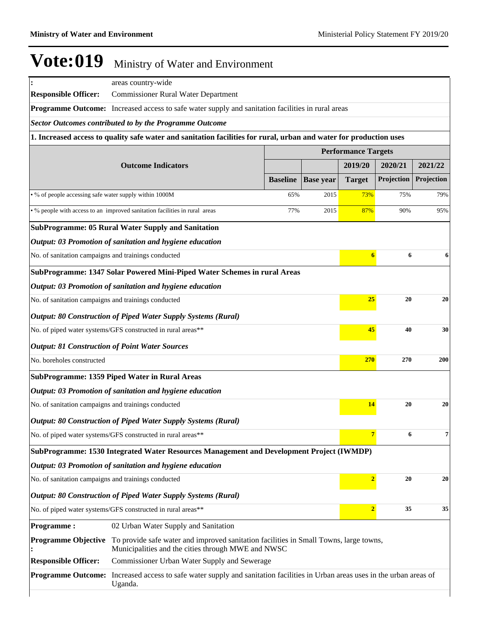| areas country-wide<br><b>Commissioner Rural Water Department</b><br>Programme Outcome: Increased access to safe water supply and sanitation facilities in rural areas<br><b>Sector Outcomes contributed to by the Programme Outcome</b> |                                                                                                                                                                                                                                                                                                                                                                                                                                                                                                                                                                                                                                                                                                                                                                                                                                                                                                                                                                                                                          |                                                                                                                                                                                                                                                                                                                                                                    |                                                                          |                                                                                          |                                                                                                                                                                                                                                                                                                                                                                       |
|-----------------------------------------------------------------------------------------------------------------------------------------------------------------------------------------------------------------------------------------|--------------------------------------------------------------------------------------------------------------------------------------------------------------------------------------------------------------------------------------------------------------------------------------------------------------------------------------------------------------------------------------------------------------------------------------------------------------------------------------------------------------------------------------------------------------------------------------------------------------------------------------------------------------------------------------------------------------------------------------------------------------------------------------------------------------------------------------------------------------------------------------------------------------------------------------------------------------------------------------------------------------------------|--------------------------------------------------------------------------------------------------------------------------------------------------------------------------------------------------------------------------------------------------------------------------------------------------------------------------------------------------------------------|--------------------------------------------------------------------------|------------------------------------------------------------------------------------------|-----------------------------------------------------------------------------------------------------------------------------------------------------------------------------------------------------------------------------------------------------------------------------------------------------------------------------------------------------------------------|
|                                                                                                                                                                                                                                         |                                                                                                                                                                                                                                                                                                                                                                                                                                                                                                                                                                                                                                                                                                                                                                                                                                                                                                                                                                                                                          |                                                                                                                                                                                                                                                                                                                                                                    |                                                                          |                                                                                          |                                                                                                                                                                                                                                                                                                                                                                       |
|                                                                                                                                                                                                                                         |                                                                                                                                                                                                                                                                                                                                                                                                                                                                                                                                                                                                                                                                                                                                                                                                                                                                                                                                                                                                                          |                                                                                                                                                                                                                                                                                                                                                                    |                                                                          |                                                                                          |                                                                                                                                                                                                                                                                                                                                                                       |
|                                                                                                                                                                                                                                         |                                                                                                                                                                                                                                                                                                                                                                                                                                                                                                                                                                                                                                                                                                                                                                                                                                                                                                                                                                                                                          |                                                                                                                                                                                                                                                                                                                                                                    |                                                                          |                                                                                          |                                                                                                                                                                                                                                                                                                                                                                       |
| 1. Increased access to quality safe water and sanitation facilities for rural, urban and water for production uses                                                                                                                      |                                                                                                                                                                                                                                                                                                                                                                                                                                                                                                                                                                                                                                                                                                                                                                                                                                                                                                                                                                                                                          |                                                                                                                                                                                                                                                                                                                                                                    |                                                                          |                                                                                          |                                                                                                                                                                                                                                                                                                                                                                       |
|                                                                                                                                                                                                                                         |                                                                                                                                                                                                                                                                                                                                                                                                                                                                                                                                                                                                                                                                                                                                                                                                                                                                                                                                                                                                                          |                                                                                                                                                                                                                                                                                                                                                                    |                                                                          |                                                                                          |                                                                                                                                                                                                                                                                                                                                                                       |
|                                                                                                                                                                                                                                         |                                                                                                                                                                                                                                                                                                                                                                                                                                                                                                                                                                                                                                                                                                                                                                                                                                                                                                                                                                                                                          |                                                                                                                                                                                                                                                                                                                                                                    | 2019/20                                                                  | 2020/21                                                                                  | 2021/22                                                                                                                                                                                                                                                                                                                                                               |
|                                                                                                                                                                                                                                         | <b>Baseline</b>                                                                                                                                                                                                                                                                                                                                                                                                                                                                                                                                                                                                                                                                                                                                                                                                                                                                                                                                                                                                          | <b>Base year</b>                                                                                                                                                                                                                                                                                                                                                   | <b>Target</b>                                                            | Projection                                                                               | Projection                                                                                                                                                                                                                                                                                                                                                            |
|                                                                                                                                                                                                                                         | 65%                                                                                                                                                                                                                                                                                                                                                                                                                                                                                                                                                                                                                                                                                                                                                                                                                                                                                                                                                                                                                      | 2015                                                                                                                                                                                                                                                                                                                                                               | <b>73%</b>                                                               | 75%                                                                                      | 79%                                                                                                                                                                                                                                                                                                                                                                   |
|                                                                                                                                                                                                                                         | 77%                                                                                                                                                                                                                                                                                                                                                                                                                                                                                                                                                                                                                                                                                                                                                                                                                                                                                                                                                                                                                      | 2015                                                                                                                                                                                                                                                                                                                                                               | 87%                                                                      | 90%                                                                                      | 95%                                                                                                                                                                                                                                                                                                                                                                   |
|                                                                                                                                                                                                                                         |                                                                                                                                                                                                                                                                                                                                                                                                                                                                                                                                                                                                                                                                                                                                                                                                                                                                                                                                                                                                                          |                                                                                                                                                                                                                                                                                                                                                                    |                                                                          |                                                                                          |                                                                                                                                                                                                                                                                                                                                                                       |
|                                                                                                                                                                                                                                         |                                                                                                                                                                                                                                                                                                                                                                                                                                                                                                                                                                                                                                                                                                                                                                                                                                                                                                                                                                                                                          |                                                                                                                                                                                                                                                                                                                                                                    |                                                                          |                                                                                          |                                                                                                                                                                                                                                                                                                                                                                       |
|                                                                                                                                                                                                                                         |                                                                                                                                                                                                                                                                                                                                                                                                                                                                                                                                                                                                                                                                                                                                                                                                                                                                                                                                                                                                                          |                                                                                                                                                                                                                                                                                                                                                                    |                                                                          |                                                                                          | 6                                                                                                                                                                                                                                                                                                                                                                     |
|                                                                                                                                                                                                                                         |                                                                                                                                                                                                                                                                                                                                                                                                                                                                                                                                                                                                                                                                                                                                                                                                                                                                                                                                                                                                                          |                                                                                                                                                                                                                                                                                                                                                                    |                                                                          |                                                                                          |                                                                                                                                                                                                                                                                                                                                                                       |
|                                                                                                                                                                                                                                         |                                                                                                                                                                                                                                                                                                                                                                                                                                                                                                                                                                                                                                                                                                                                                                                                                                                                                                                                                                                                                          |                                                                                                                                                                                                                                                                                                                                                                    |                                                                          |                                                                                          |                                                                                                                                                                                                                                                                                                                                                                       |
|                                                                                                                                                                                                                                         |                                                                                                                                                                                                                                                                                                                                                                                                                                                                                                                                                                                                                                                                                                                                                                                                                                                                                                                                                                                                                          |                                                                                                                                                                                                                                                                                                                                                                    |                                                                          |                                                                                          | 20                                                                                                                                                                                                                                                                                                                                                                    |
|                                                                                                                                                                                                                                         |                                                                                                                                                                                                                                                                                                                                                                                                                                                                                                                                                                                                                                                                                                                                                                                                                                                                                                                                                                                                                          |                                                                                                                                                                                                                                                                                                                                                                    |                                                                          |                                                                                          |                                                                                                                                                                                                                                                                                                                                                                       |
|                                                                                                                                                                                                                                         |                                                                                                                                                                                                                                                                                                                                                                                                                                                                                                                                                                                                                                                                                                                                                                                                                                                                                                                                                                                                                          |                                                                                                                                                                                                                                                                                                                                                                    |                                                                          |                                                                                          | 30                                                                                                                                                                                                                                                                                                                                                                    |
|                                                                                                                                                                                                                                         |                                                                                                                                                                                                                                                                                                                                                                                                                                                                                                                                                                                                                                                                                                                                                                                                                                                                                                                                                                                                                          |                                                                                                                                                                                                                                                                                                                                                                    |                                                                          |                                                                                          |                                                                                                                                                                                                                                                                                                                                                                       |
|                                                                                                                                                                                                                                         |                                                                                                                                                                                                                                                                                                                                                                                                                                                                                                                                                                                                                                                                                                                                                                                                                                                                                                                                                                                                                          |                                                                                                                                                                                                                                                                                                                                                                    |                                                                          |                                                                                          | <b>200</b>                                                                                                                                                                                                                                                                                                                                                            |
|                                                                                                                                                                                                                                         |                                                                                                                                                                                                                                                                                                                                                                                                                                                                                                                                                                                                                                                                                                                                                                                                                                                                                                                                                                                                                          |                                                                                                                                                                                                                                                                                                                                                                    |                                                                          |                                                                                          |                                                                                                                                                                                                                                                                                                                                                                       |
|                                                                                                                                                                                                                                         |                                                                                                                                                                                                                                                                                                                                                                                                                                                                                                                                                                                                                                                                                                                                                                                                                                                                                                                                                                                                                          |                                                                                                                                                                                                                                                                                                                                                                    |                                                                          |                                                                                          |                                                                                                                                                                                                                                                                                                                                                                       |
|                                                                                                                                                                                                                                         |                                                                                                                                                                                                                                                                                                                                                                                                                                                                                                                                                                                                                                                                                                                                                                                                                                                                                                                                                                                                                          |                                                                                                                                                                                                                                                                                                                                                                    |                                                                          |                                                                                          | 20                                                                                                                                                                                                                                                                                                                                                                    |
|                                                                                                                                                                                                                                         |                                                                                                                                                                                                                                                                                                                                                                                                                                                                                                                                                                                                                                                                                                                                                                                                                                                                                                                                                                                                                          |                                                                                                                                                                                                                                                                                                                                                                    |                                                                          |                                                                                          |                                                                                                                                                                                                                                                                                                                                                                       |
|                                                                                                                                                                                                                                         |                                                                                                                                                                                                                                                                                                                                                                                                                                                                                                                                                                                                                                                                                                                                                                                                                                                                                                                                                                                                                          |                                                                                                                                                                                                                                                                                                                                                                    |                                                                          |                                                                                          | 7                                                                                                                                                                                                                                                                                                                                                                     |
|                                                                                                                                                                                                                                         |                                                                                                                                                                                                                                                                                                                                                                                                                                                                                                                                                                                                                                                                                                                                                                                                                                                                                                                                                                                                                          |                                                                                                                                                                                                                                                                                                                                                                    |                                                                          |                                                                                          |                                                                                                                                                                                                                                                                                                                                                                       |
|                                                                                                                                                                                                                                         |                                                                                                                                                                                                                                                                                                                                                                                                                                                                                                                                                                                                                                                                                                                                                                                                                                                                                                                                                                                                                          |                                                                                                                                                                                                                                                                                                                                                                    |                                                                          |                                                                                          |                                                                                                                                                                                                                                                                                                                                                                       |
|                                                                                                                                                                                                                                         |                                                                                                                                                                                                                                                                                                                                                                                                                                                                                                                                                                                                                                                                                                                                                                                                                                                                                                                                                                                                                          |                                                                                                                                                                                                                                                                                                                                                                    |                                                                          |                                                                                          | 20                                                                                                                                                                                                                                                                                                                                                                    |
|                                                                                                                                                                                                                                         |                                                                                                                                                                                                                                                                                                                                                                                                                                                                                                                                                                                                                                                                                                                                                                                                                                                                                                                                                                                                                          |                                                                                                                                                                                                                                                                                                                                                                    |                                                                          |                                                                                          |                                                                                                                                                                                                                                                                                                                                                                       |
|                                                                                                                                                                                                                                         |                                                                                                                                                                                                                                                                                                                                                                                                                                                                                                                                                                                                                                                                                                                                                                                                                                                                                                                                                                                                                          |                                                                                                                                                                                                                                                                                                                                                                    |                                                                          |                                                                                          | 35                                                                                                                                                                                                                                                                                                                                                                    |
|                                                                                                                                                                                                                                         |                                                                                                                                                                                                                                                                                                                                                                                                                                                                                                                                                                                                                                                                                                                                                                                                                                                                                                                                                                                                                          |                                                                                                                                                                                                                                                                                                                                                                    |                                                                          |                                                                                          |                                                                                                                                                                                                                                                                                                                                                                       |
|                                                                                                                                                                                                                                         |                                                                                                                                                                                                                                                                                                                                                                                                                                                                                                                                                                                                                                                                                                                                                                                                                                                                                                                                                                                                                          |                                                                                                                                                                                                                                                                                                                                                                    |                                                                          |                                                                                          |                                                                                                                                                                                                                                                                                                                                                                       |
|                                                                                                                                                                                                                                         |                                                                                                                                                                                                                                                                                                                                                                                                                                                                                                                                                                                                                                                                                                                                                                                                                                                                                                                                                                                                                          |                                                                                                                                                                                                                                                                                                                                                                    |                                                                          |                                                                                          |                                                                                                                                                                                                                                                                                                                                                                       |
|                                                                                                                                                                                                                                         |                                                                                                                                                                                                                                                                                                                                                                                                                                                                                                                                                                                                                                                                                                                                                                                                                                                                                                                                                                                                                          |                                                                                                                                                                                                                                                                                                                                                                    |                                                                          |                                                                                          |                                                                                                                                                                                                                                                                                                                                                                       |
|                                                                                                                                                                                                                                         | <b>Outcome Indicators</b><br>• % of people accessing safe water supply within 1000M<br>• % people with access to an improved sanitation facilities in rural areas<br><b>SubProgramme: 05 Rural Water Supply and Sanitation</b><br>Output: 03 Promotion of sanitation and hygiene education<br>No. of sanitation campaigns and trainings conducted<br>Output: 03 Promotion of sanitation and hygiene education<br>No. of sanitation campaigns and trainings conducted<br>No. of piped water systems/GFS constructed in rural areas**<br><b>Output: 81 Construction of Point Water Sources</b><br><b>SubProgramme: 1359 Piped Water in Rural Areas</b><br>Output: 03 Promotion of sanitation and hygiene education<br>No. of sanitation campaigns and trainings conducted<br>No. of piped water systems/GFS constructed in rural areas**<br>Output: 03 Promotion of sanitation and hygiene education<br>No. of sanitation campaigns and trainings conducted<br>No. of piped water systems/GFS constructed in rural areas** | <b>Output: 80 Construction of Piped Water Supply Systems (Rural)</b><br><b>Output: 80 Construction of Piped Water Supply Systems (Rural)</b><br><b>Output: 80 Construction of Piped Water Supply Systems (Rural)</b><br>02 Urban Water Supply and Sanitation<br>Municipalities and the cities through MWE and NWSC<br>Commissioner Urban Water Supply and Sewerage | SubProgramme: 1347 Solar Powered Mini-Piped Water Schemes in rural Areas | SubProgramme: 1530 Integrated Water Resources Management and Development Project (IWMDP) | <b>Performance Targets</b><br>$\boldsymbol{6}$<br>6<br>25<br>20<br>45<br>40<br>270<br>270<br>14<br>20<br>6<br>7<br>$\overline{2}$<br>20<br>$\overline{2}$<br>35<br>To provide safe water and improved sanitation facilities in Small Towns, large towns,<br>Increased access to safe water supply and sanitation facilities in Urban areas uses in the urban areas of |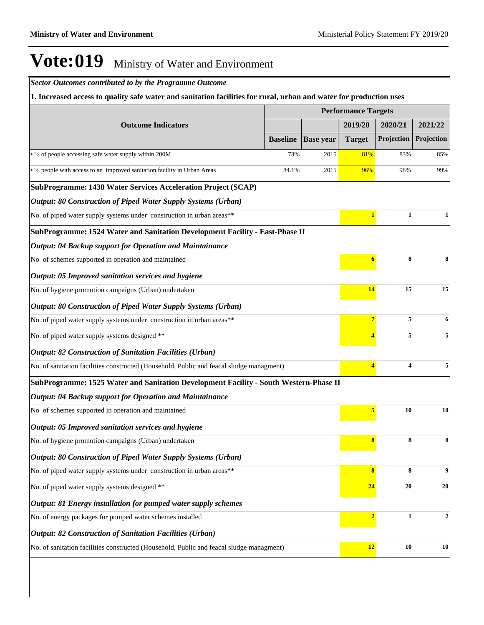*Sector Outcomes contributed to by the Programme Outcome*

| 1. Increased access to quality safe water and sanitation facilities for rural, urban and water for production uses |                 |                  |                            |                                                                                              |                |
|--------------------------------------------------------------------------------------------------------------------|-----------------|------------------|----------------------------|----------------------------------------------------------------------------------------------|----------------|
|                                                                                                                    |                 |                  | <b>Performance Targets</b> |                                                                                              |                |
| <b>Outcome Indicators</b>                                                                                          |                 |                  | 2019/20                    | 2020/21<br>Projection                                                                        | 2021/22        |
|                                                                                                                    | <b>Baseline</b> | <b>Base year</b> | <b>Target</b>              | 83%<br>98%<br>1<br>8<br>15<br>5<br>5<br>4<br><b>10</b><br>8<br>8<br>20<br>$\mathbf{1}$<br>10 | Projection     |
| • % of people accessing safe water supply within 200M                                                              | 73%             | 2015             | 81%                        |                                                                                              | 85%            |
| • % people with access to an improved sanitation facility in Urban Areas                                           | 84.1%           | 2015             | 96%                        |                                                                                              | 99%            |
| SubProgramme: 1438 Water Services Acceleration Project (SCAP)                                                      |                 |                  |                            |                                                                                              |                |
| Output: 80 Construction of Piped Water Supply Systems (Urban)                                                      |                 |                  |                            |                                                                                              |                |
| No. of piped water supply systems under construction in urban areas**                                              |                 |                  | $\mathbf{1}$               |                                                                                              | 1              |
| SubProgramme: 1524 Water and Sanitation Development Facility - East-Phase II                                       |                 |                  |                            |                                                                                              |                |
| Output: 04 Backup support for Operation and Maintainance                                                           |                 |                  |                            |                                                                                              |                |
| No of schemes supported in operation and maintained                                                                |                 |                  | 6                          |                                                                                              | 8              |
| Output: 05 Improved sanitation services and hygiene                                                                |                 |                  |                            |                                                                                              |                |
| No. of hygiene promotion campaigns (Urban) undertaken                                                              |                 |                  | 14                         |                                                                                              | 15             |
| <b>Output: 80 Construction of Piped Water Supply Systems (Urban)</b>                                               |                 |                  |                            |                                                                                              |                |
| No. of piped water supply systems under construction in urban areas**                                              |                 |                  | 7                          |                                                                                              | 6              |
| No. of piped water supply systems designed **                                                                      |                 |                  |                            |                                                                                              | 5              |
| <b>Output: 82 Construction of Sanitation Facilities (Urban)</b>                                                    |                 |                  |                            |                                                                                              |                |
| No. of sanitation facilities constructed (Household, Public and feacal sludge managment)                           |                 |                  | $\overline{\mathbf{4}}$    |                                                                                              | 5              |
| SubProgramme: 1525 Water and Sanitation Development Facility - South Western-Phase II                              |                 |                  |                            |                                                                                              |                |
| Output: 04 Backup support for Operation and Maintainance                                                           |                 |                  |                            |                                                                                              |                |
| No of schemes supported in operation and maintained                                                                |                 |                  | 5                          |                                                                                              | 10             |
| Output: 05 Improved sanitation services and hygiene                                                                |                 |                  |                            |                                                                                              |                |
| No. of hygiene promotion campaigns (Urban) undertaken                                                              |                 |                  | 8                          |                                                                                              | 8              |
| <b>Output: 80 Construction of Piped Water Supply Systems (Urban)</b>                                               |                 |                  |                            |                                                                                              |                |
| No. of piped water supply systems under construction in urban areas**                                              |                 |                  | $\bf{8}$                   |                                                                                              | 9              |
| No. of piped water supply systems designed **                                                                      |                 |                  | 24                         |                                                                                              | 20             |
| Output: 81 Energy installation for pumped water supply schemes                                                     |                 |                  |                            |                                                                                              |                |
| No. of energy packages for pumped water schemes installed                                                          |                 |                  | $\overline{2}$             |                                                                                              | $\overline{2}$ |
| <b>Output: 82 Construction of Sanitation Facilities (Urban)</b>                                                    |                 |                  |                            |                                                                                              |                |
| No. of sanitation facilities constructed (Household, Public and feacal sludge managment)                           |                 |                  | 12                         |                                                                                              | 10             |
|                                                                                                                    |                 |                  |                            |                                                                                              |                |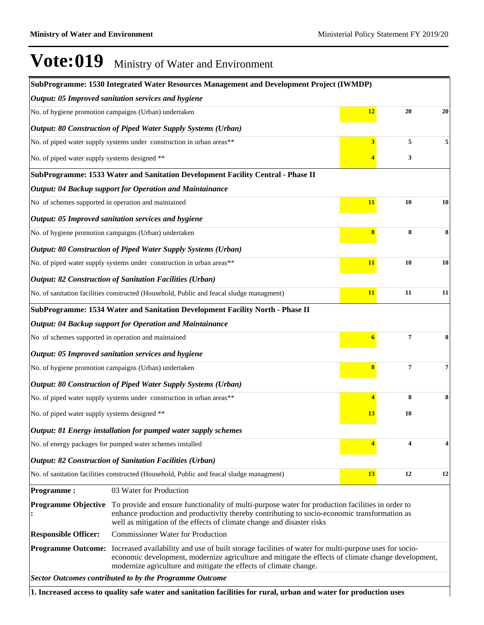|                                                     | SubProgramme: 1530 Integrated Water Resources Management and Development Project (IWMDP)                                                                                                                                                                                                                    |          |                         |    |
|-----------------------------------------------------|-------------------------------------------------------------------------------------------------------------------------------------------------------------------------------------------------------------------------------------------------------------------------------------------------------------|----------|-------------------------|----|
|                                                     | Output: 05 Improved sanitation services and hygiene                                                                                                                                                                                                                                                         |          |                         |    |
|                                                     | No. of hygiene promotion campaigns (Urban) undertaken                                                                                                                                                                                                                                                       | 12       | 20                      | 20 |
|                                                     | Output: 80 Construction of Piped Water Supply Systems (Urban)                                                                                                                                                                                                                                               |          |                         |    |
|                                                     | No. of piped water supply systems under construction in urban areas**                                                                                                                                                                                                                                       | 3        | 5                       |    |
| No. of piped water supply systems designed **       |                                                                                                                                                                                                                                                                                                             |          | 3                       |    |
|                                                     | SubProgramme: 1533 Water and Sanitation Development Facility Central - Phase II                                                                                                                                                                                                                             |          |                         |    |
|                                                     | Output: 04 Backup support for Operation and Maintainance                                                                                                                                                                                                                                                    |          |                         |    |
| No of schemes supported in operation and maintained |                                                                                                                                                                                                                                                                                                             | 11       | 10                      | 10 |
|                                                     | Output: 05 Improved sanitation services and hygiene                                                                                                                                                                                                                                                         |          |                         |    |
|                                                     | No. of hygiene promotion campaigns (Urban) undertaken                                                                                                                                                                                                                                                       | $\bf{8}$ | 8                       | 8  |
|                                                     | <b>Output: 80 Construction of Piped Water Supply Systems (Urban)</b>                                                                                                                                                                                                                                        |          |                         |    |
|                                                     | No. of piped water supply systems under construction in urban areas**                                                                                                                                                                                                                                       | 11       | 10                      | 10 |
|                                                     | Output: 82 Construction of Sanitation Facilities (Urban)                                                                                                                                                                                                                                                    |          |                         |    |
|                                                     | No. of sanitation facilities constructed (Household, Public and feacal sludge managment)                                                                                                                                                                                                                    | 11       | 11                      | 11 |
|                                                     | SubProgramme: 1534 Water and Sanitation Development Facility North - Phase II                                                                                                                                                                                                                               |          |                         |    |
|                                                     | <b>Output: 04 Backup support for Operation and Maintainance</b>                                                                                                                                                                                                                                             |          |                         |    |
| No of schemes supported in operation and maintained |                                                                                                                                                                                                                                                                                                             | 6        | $\overline{7}$          | 8  |
|                                                     | Output: 05 Improved sanitation services and hygiene                                                                                                                                                                                                                                                         |          |                         |    |
|                                                     | No. of hygiene promotion campaigns (Urban) undertaken                                                                                                                                                                                                                                                       | 8        | $\overline{\mathbf{7}}$ | 7  |
|                                                     | <b>Output: 80 Construction of Piped Water Supply Systems (Urban)</b>                                                                                                                                                                                                                                        |          |                         |    |
|                                                     | No. of piped water supply systems under construction in urban areas**                                                                                                                                                                                                                                       | 4        | 8                       | 8  |
| No. of piped water supply systems designed **       |                                                                                                                                                                                                                                                                                                             | 13       | 10                      |    |
|                                                     | Output: 81 Energy installation for pumped water supply schemes                                                                                                                                                                                                                                              |          |                         |    |
|                                                     | No. of energy packages for pumped water schemes installed                                                                                                                                                                                                                                                   |          | 4                       | 4  |
|                                                     | <b>Output: 82 Construction of Sanitation Facilities (Urban)</b>                                                                                                                                                                                                                                             |          |                         |    |
|                                                     | No. of sanitation facilities constructed (Household, Public and feacal sludge managment)                                                                                                                                                                                                                    | 13       | 12                      | 12 |
| <b>Programme:</b>                                   | 03 Water for Production                                                                                                                                                                                                                                                                                     |          |                         |    |
| <b>Programme Objective</b>                          | To provide and ensure functionality of multi-purpose water for production facilities in order to<br>enhance production and productivity thereby contributing to socio-economic transformation as<br>well as mitigation of the effects of climate change and disaster risks                                  |          |                         |    |
| <b>Responsible Officer:</b>                         | <b>Commissioner Water for Production</b>                                                                                                                                                                                                                                                                    |          |                         |    |
|                                                     | <b>Programme Outcome:</b> Increased availability and use of built storage facilities of water for multi-purpose uses for socio-<br>economic development, modernize agriculture and mitigate the effects of climate change development,<br>modernize agriculture and mitigate the effects of climate change. |          |                         |    |
|                                                     | <b>Sector Outcomes contributed to by the Programme Outcome</b>                                                                                                                                                                                                                                              |          |                         |    |
|                                                     | 1. Increased access to quality safe water and sanitation facilities for rural, urban and water for production uses                                                                                                                                                                                          |          |                         |    |

**1. Increased access to quality safe water and sanitation facilities for rural, urban and water for production uses**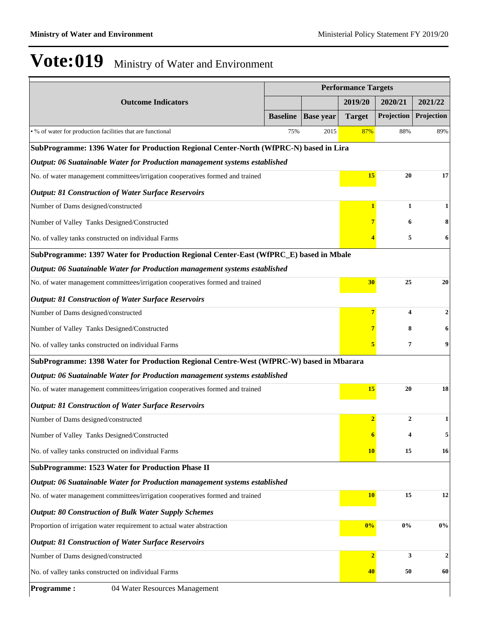|                                                                                         | <b>Performance Targets</b> |                  |                |                |              |  |
|-----------------------------------------------------------------------------------------|----------------------------|------------------|----------------|----------------|--------------|--|
| <b>Outcome Indicators</b>                                                               |                            |                  | 2019/20        | 2020/21        | 2021/22      |  |
|                                                                                         | <b>Baseline</b>            | <b>Base year</b> | <b>Target</b>  | Projection     | Projection   |  |
| • % of water for production facilities that are functional                              | 75%                        | 2015             | 87%            | 88%            | 89%          |  |
| SubProgramme: 1396 Water for Production Regional Center-North (WfPRC-N) based in Lira   |                            |                  |                |                |              |  |
| Output: 06 Suatainable Water for Production management systems established              |                            |                  |                |                |              |  |
| No. of water management committees/irrigation cooperatives formed and trained           |                            |                  | <b>15</b>      | 20             | 17           |  |
| <b>Output: 81 Construction of Water Surface Reservoirs</b>                              |                            |                  |                |                |              |  |
| Number of Dams designed/constructed                                                     |                            |                  | 1              | $\mathbf{1}$   | 1            |  |
| Number of Valley Tanks Designed/Constructed                                             |                            |                  |                | 6              |              |  |
| No. of valley tanks constructed on individual Farms                                     |                            |                  |                | 5              | 6            |  |
| SubProgramme: 1397 Water for Production Regional Center-East (WfPRC_E) based in Mbale   |                            |                  |                |                |              |  |
| Output: 06 Suatainable Water for Production management systems established              |                            |                  |                |                |              |  |
| No. of water management committees/irrigation cooperatives formed and trained           |                            |                  | 30             | 25             | 20           |  |
| <b>Output: 81 Construction of Water Surface Reservoirs</b>                              |                            |                  |                |                |              |  |
| Number of Dams designed/constructed                                                     |                            |                  |                | 4              | 2            |  |
| Number of Valley Tanks Designed/Constructed                                             |                            |                  |                | 8              |              |  |
| No. of valley tanks constructed on individual Farms                                     |                            |                  | 5              | 7              | 9            |  |
| SubProgramme: 1398 Water for Production Regional Centre-West (WfPRC-W) based in Mbarara |                            |                  |                |                |              |  |
| Output: 06 Suatainable Water for Production management systems established              |                            |                  |                |                |              |  |
| No. of water management committees/irrigation cooperatives formed and trained           |                            |                  | <b>15</b>      | 20             | 18           |  |
| <b>Output: 81 Construction of Water Surface Reservoirs</b>                              |                            |                  |                |                |              |  |
| Number of Dams designed/constructed                                                     |                            |                  | $\overline{2}$ | $\overline{2}$ | 1            |  |
| Number of Valley Tanks Designed/Constructed                                             |                            |                  | 6              | 4              | 5            |  |
| No. of valley tanks constructed on individual Farms                                     |                            |                  | <b>10</b>      | 15             | 16           |  |
| <b>SubProgramme: 1523 Water for Production Phase II</b>                                 |                            |                  |                |                |              |  |
| Output: 06 Suatainable Water for Production management systems established              |                            |                  |                |                |              |  |
| No. of water management committees/irrigation cooperatives formed and trained           |                            |                  | <b>10</b>      | 15             | 12           |  |
| <b>Output: 80 Construction of Bulk Water Supply Schemes</b>                             |                            |                  |                |                |              |  |
| Proportion of irrigation water requirement to actual water abstraction                  |                            |                  | 0%             | $0\%$          | 0%           |  |
| <b>Output: 81 Construction of Water Surface Reservoirs</b>                              |                            |                  |                |                |              |  |
| Number of Dams designed/constructed                                                     |                            |                  | $\overline{2}$ | 3              | $\mathbf{2}$ |  |
| No. of valley tanks constructed on individual Farms                                     |                            |                  | 40             | 50             | 60           |  |
| 04 Water Resources Management<br><b>Programme:</b>                                      |                            |                  |                |                |              |  |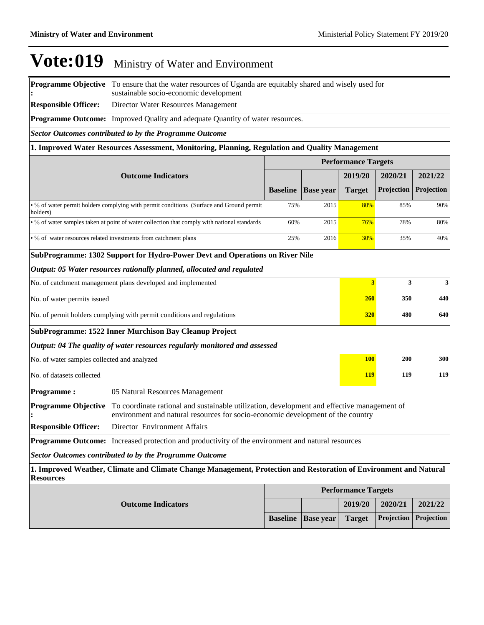**Baseline Base year Target Projection Projection** 

# $\bf Vote:019$  Ministry of Water and Environment

**Programme Objective**  To ensure that the water resources of Uganda are equitably shared and wisely used for **:** sustainable socio-economic development

**Responsible Officer:** Director Water Resources Management

**Programme Outcome:** Improved Quality and adequate Quantity of water resources.

*Sector Outcomes contributed to by the Programme Outcome*

#### **1. Improved Water Resources Assessment, Monitoring, Planning, Regulation and Quality Management**

|                                                                        |                                                                                                                                                                                |                 |                  | <b>Performance Targets</b> |            |            |
|------------------------------------------------------------------------|--------------------------------------------------------------------------------------------------------------------------------------------------------------------------------|-----------------|------------------|----------------------------|------------|------------|
|                                                                        | <b>Outcome Indicators</b>                                                                                                                                                      |                 |                  | 2019/20                    | 2020/21    | 2021/22    |
|                                                                        |                                                                                                                                                                                | <b>Baseline</b> | <b>Base year</b> | <b>Target</b>              | Projection | Projection |
| holders)                                                               | • % of water permit holders complying with permit conditions (Surface and Ground permit)                                                                                       | 75%             | 2015             | 80%                        | 85%        | 90%        |
|                                                                        | • % of water samples taken at point of water collection that comply with national standards                                                                                    | 60%             | 2015             | 76%                        | 78%        | 80%        |
|                                                                        | • % of water resources related investments from catchment plans                                                                                                                | 25%             | 2016             | 30%                        | 35%        | 40%        |
|                                                                        | SubProgramme: 1302 Support for Hydro-Power Devt and Operations on River Nile                                                                                                   |                 |                  |                            |            |            |
|                                                                        | Output: 05 Water resources rationally planned, allocated and regulated                                                                                                         |                 |                  |                            |            |            |
|                                                                        | No. of catchment management plans developed and implemented                                                                                                                    |                 |                  | $\overline{\mathbf{3}}$    | 3          | 3          |
| No. of water permits issued                                            |                                                                                                                                                                                |                 |                  |                            | 260<br>350 | 440        |
| No. of permit holders complying with permit conditions and regulations |                                                                                                                                                                                | 320             | 480              | 640                        |            |            |
|                                                                        | SubProgramme: 1522 Inner Murchison Bay Cleanup Project                                                                                                                         |                 |                  |                            |            |            |
|                                                                        | Output: 04 The quality of water resources regularly monitored and assessed                                                                                                     |                 |                  |                            |            |            |
| No. of water samples collected and analyzed                            |                                                                                                                                                                                |                 |                  | <b>100</b>                 | 200        | 300        |
| No. of datasets collected                                              |                                                                                                                                                                                |                 |                  | <b>119</b>                 | 119        | 119        |
| <b>Programme:</b>                                                      | 05 Natural Resources Management                                                                                                                                                |                 |                  |                            |            |            |
| <b>Programme Objective</b>                                             | To coordinate rational and sustainable utilization, development and effective management of<br>environment and natural resources for socio-economic development of the country |                 |                  |                            |            |            |
| <b>Responsible Officer:</b>                                            | Director Environment Affairs                                                                                                                                                   |                 |                  |                            |            |            |
|                                                                        | <b>Programme Outcome:</b> Increased protection and productivity of the environment and natural resources                                                                       |                 |                  |                            |            |            |
|                                                                        | <b>Sector Outcomes contributed to by the Programme Outcome</b>                                                                                                                 |                 |                  |                            |            |            |
| <b>Resources</b>                                                       | 1. Improved Weather, Climate and Climate Change Management, Protection and Restoration of Environment and Natural                                                              |                 |                  |                            |            |            |
|                                                                        |                                                                                                                                                                                |                 |                  | <b>Performance Targets</b> |            |            |
|                                                                        | <b>Outcome Indicators</b>                                                                                                                                                      |                 |                  | 2019/20                    | 2020/21    | 2021/22    |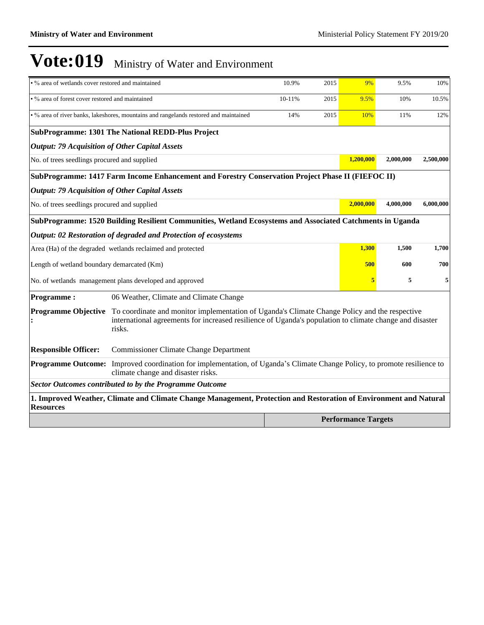| . % area of wetlands cover restored and maintained    |                                                                                                                                                                                                                    | 10.9%  | 2015 | 9%                         | 9.5%      | 10%       |
|-------------------------------------------------------|--------------------------------------------------------------------------------------------------------------------------------------------------------------------------------------------------------------------|--------|------|----------------------------|-----------|-----------|
| . % area of forest cover restored and maintained      |                                                                                                                                                                                                                    | 10-11% | 2015 | 9.5%                       | 10%       | 10.5%     |
|                                                       | . % area of river banks, lakeshores, mountains and rangelands restored and maintained                                                                                                                              | 14%    | 2015 | 10%                        | 11%       | 12%       |
|                                                       | SubProgramme: 1301 The National REDD-Plus Project                                                                                                                                                                  |        |      |                            |           |           |
| <b>Output: 79 Acquisition of Other Capital Assets</b> |                                                                                                                                                                                                                    |        |      |                            |           |           |
| No. of trees seedlings procured and supplied          |                                                                                                                                                                                                                    |        |      | 1,200,000                  | 2,000,000 | 2,500,000 |
|                                                       | SubProgramme: 1417 Farm Income Enhancement and Forestry Conservation Project Phase II (FIEFOC II)                                                                                                                  |        |      |                            |           |           |
| <b>Output: 79 Acquisition of Other Capital Assets</b> |                                                                                                                                                                                                                    |        |      |                            |           |           |
| No. of trees seedlings procured and supplied          |                                                                                                                                                                                                                    |        |      | 2.000.000                  | 4,000,000 | 6,000,000 |
|                                                       | SubProgramme: 1520 Building Resilient Communities, Wetland Ecosystems and Associated Catchments in Uganda                                                                                                          |        |      |                            |           |           |
|                                                       | Output: 02 Restoration of degraded and Protection of ecosystems                                                                                                                                                    |        |      |                            |           |           |
|                                                       | Area (Ha) of the degraded wetlands reclaimed and protected                                                                                                                                                         |        |      | 1,300                      | 1,500     | 1,700     |
| Length of wetland boundary demarcated (Km)            |                                                                                                                                                                                                                    |        |      | 500                        | 600       | 700       |
|                                                       | No. of wetlands management plans developed and approved                                                                                                                                                            |        |      | 5                          | 5         | 5         |
| <b>Programme:</b>                                     | 06 Weather, Climate and Climate Change                                                                                                                                                                             |        |      |                            |           |           |
| <b>Programme Objective</b>                            | To coordinate and monitor implementation of Uganda's Climate Change Policy and the respective<br>international agreements for increased resilience of Uganda's population to climate change and disaster<br>risks. |        |      |                            |           |           |
| <b>Responsible Officer:</b>                           | <b>Commissioner Climate Change Department</b>                                                                                                                                                                      |        |      |                            |           |           |
|                                                       | <b>Programme Outcome:</b> Improved coordination for implementation, of Uganda's Climate Change Policy, to promote resilience to<br>climate change and disaster risks.                                              |        |      |                            |           |           |
|                                                       | <b>Sector Outcomes contributed to by the Programme Outcome</b>                                                                                                                                                     |        |      |                            |           |           |
| <b>Resources</b>                                      | 1. Improved Weather, Climate and Climate Change Management, Protection and Restoration of Environment and Natural                                                                                                  |        |      |                            |           |           |
|                                                       |                                                                                                                                                                                                                    |        |      | <b>Performance Targets</b> |           |           |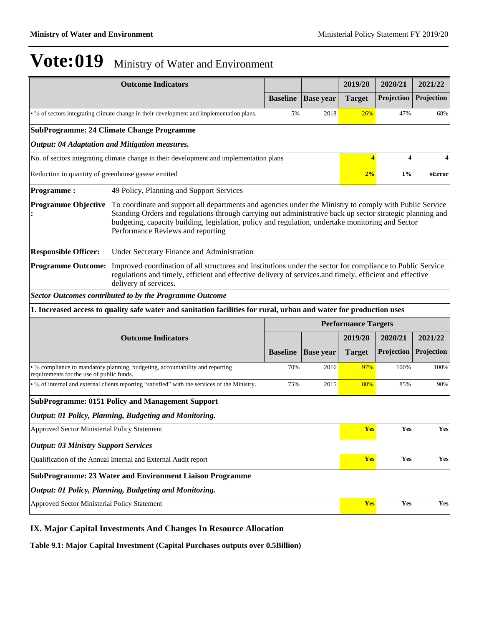|                                                                                          | <b>Outcome Indicators</b>                                                                                                                                                                                                                                                                                                                                      |                 |                  | 2019/20                    | 2020/21    | 2021/22    |  |
|------------------------------------------------------------------------------------------|----------------------------------------------------------------------------------------------------------------------------------------------------------------------------------------------------------------------------------------------------------------------------------------------------------------------------------------------------------------|-----------------|------------------|----------------------------|------------|------------|--|
|                                                                                          |                                                                                                                                                                                                                                                                                                                                                                | <b>Baseline</b> | <b>Base year</b> | <b>Target</b>              | Projection | Projection |  |
| • % of sectors integrating climate change in their development and implementation plans. |                                                                                                                                                                                                                                                                                                                                                                |                 | 2018             | 26%                        | 47%        | 68%        |  |
|                                                                                          | <b>SubProgramme: 24 Climate Change Programme</b>                                                                                                                                                                                                                                                                                                               |                 |                  |                            |            |            |  |
|                                                                                          | Output: 04 Adaptation and Mitigation measures.                                                                                                                                                                                                                                                                                                                 |                 |                  |                            |            |            |  |
|                                                                                          | No. of sectors integrating climate change in their development and implementation plans                                                                                                                                                                                                                                                                        |                 |                  | $\overline{\mathbf{4}}$    | 4          | 4          |  |
| Reduction in quantity of greenhouse gasese emitted                                       |                                                                                                                                                                                                                                                                                                                                                                |                 |                  | 2%                         | $1\%$      | #Error     |  |
| <b>Programme:</b>                                                                        | 49 Policy, Planning and Support Services                                                                                                                                                                                                                                                                                                                       |                 |                  |                            |            |            |  |
| <b>Programme Objective</b>                                                               | To coordinate and support all departments and agencies under the Ministry to comply with Public Service<br>Standing Orders and regulations through carrying out administrative back up sector strategic planning and<br>budgeting, capacity building, legislation, policy and regulation, undertake monitoring and Sector<br>Performance Reviews and reporting |                 |                  |                            |            |            |  |
| <b>Responsible Officer:</b>                                                              | Under Secretary Finance and Administration                                                                                                                                                                                                                                                                                                                     |                 |                  |                            |            |            |  |
| <b>Programme Outcome:</b>                                                                | Improved coordination of all structures and institutions under the sector for compliance to Public Service<br>regulations and timely, efficient and effective delivery of services and timely, efficient and effective<br>delivery of services.                                                                                                                |                 |                  |                            |            |            |  |
|                                                                                          | <b>Sector Outcomes contributed to by the Programme Outcome</b>                                                                                                                                                                                                                                                                                                 |                 |                  |                            |            |            |  |
|                                                                                          | 1. Increased access to quality safe water and sanitation facilities for rural, urban and water for production uses                                                                                                                                                                                                                                             |                 |                  |                            |            |            |  |
|                                                                                          |                                                                                                                                                                                                                                                                                                                                                                |                 |                  | <b>Performance Targets</b> |            |            |  |
|                                                                                          | <b>Outcome Indicators</b>                                                                                                                                                                                                                                                                                                                                      |                 |                  | 2019/20                    | 2020/21    | 2021/22    |  |
|                                                                                          |                                                                                                                                                                                                                                                                                                                                                                | <b>Baseline</b> | <b>Base year</b> | <b>Target</b>              | Projection | Projection |  |
| requirements for the use of public funds.                                                | • % compliance to mandatory planning, budgeting, accountability and reporting                                                                                                                                                                                                                                                                                  | 70%             | 2016             | 97%                        | 100%       | 100%       |  |
|                                                                                          | • % of internal and external clients reporting "satisfied" with the services of the Ministry.                                                                                                                                                                                                                                                                  | 75%             | 2015             | 80%                        | 85%        | 90%        |  |
|                                                                                          | <b>SubProgramme: 0151 Policy and Management Support</b>                                                                                                                                                                                                                                                                                                        |                 |                  |                            |            |            |  |
|                                                                                          | Output: 01 Policy, Planning, Budgeting and Monitoring.                                                                                                                                                                                                                                                                                                         |                 |                  |                            |            |            |  |
| Approved Sector Ministerial Policy Statement                                             |                                                                                                                                                                                                                                                                                                                                                                |                 |                  |                            | Yes<br>Yes | Yes        |  |
| <b>Output: 03 Ministry Support Services</b>                                              |                                                                                                                                                                                                                                                                                                                                                                |                 |                  |                            |            |            |  |
| Qualification of the Annual Internal and External Audit report                           |                                                                                                                                                                                                                                                                                                                                                                |                 |                  |                            | Yes<br>Yes | Yes        |  |
|                                                                                          | <b>SubProgramme: 23 Water and Environment Liaison Programme</b>                                                                                                                                                                                                                                                                                                |                 |                  |                            |            |            |  |
|                                                                                          | Output: 01 Policy, Planning, Budgeting and Monitoring.                                                                                                                                                                                                                                                                                                         |                 |                  |                            |            |            |  |
| Approved Sector Ministerial Policy Statement                                             | Yes                                                                                                                                                                                                                                                                                                                                                            | Yes             | Yes              |                            |            |            |  |

#### **IX. Major Capital Investments And Changes In Resource Allocation**

**Table 9.1: Major Capital Investment (Capital Purchases outputs over 0.5Billion)**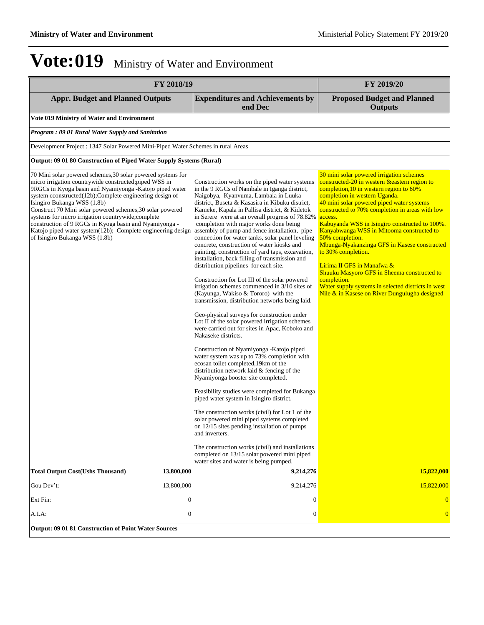| FY 2018/19                                                                                                                                                                                                                                                                                                                                                                                                                                                                                                                                               |              |                                                                                                                                                                                                                                                                                                                                                                                                                                                                                                                                                                                                                                                                                                                                                                                                                                                                                                                                                                                                                                                                                                                                                                                                                                                                                                                                                                                                                                                                                                                                                                                                                                                       | FY 2019/20                                                                                                                                                                                                                                                                                                                                                                                                                                                                                                                                                                                                                                                                       |
|----------------------------------------------------------------------------------------------------------------------------------------------------------------------------------------------------------------------------------------------------------------------------------------------------------------------------------------------------------------------------------------------------------------------------------------------------------------------------------------------------------------------------------------------------------|--------------|-------------------------------------------------------------------------------------------------------------------------------------------------------------------------------------------------------------------------------------------------------------------------------------------------------------------------------------------------------------------------------------------------------------------------------------------------------------------------------------------------------------------------------------------------------------------------------------------------------------------------------------------------------------------------------------------------------------------------------------------------------------------------------------------------------------------------------------------------------------------------------------------------------------------------------------------------------------------------------------------------------------------------------------------------------------------------------------------------------------------------------------------------------------------------------------------------------------------------------------------------------------------------------------------------------------------------------------------------------------------------------------------------------------------------------------------------------------------------------------------------------------------------------------------------------------------------------------------------------------------------------------------------------|----------------------------------------------------------------------------------------------------------------------------------------------------------------------------------------------------------------------------------------------------------------------------------------------------------------------------------------------------------------------------------------------------------------------------------------------------------------------------------------------------------------------------------------------------------------------------------------------------------------------------------------------------------------------------------|
| <b>Appr. Budget and Planned Outputs</b>                                                                                                                                                                                                                                                                                                                                                                                                                                                                                                                  |              | <b>Expenditures and Achievements by</b><br>end Dec                                                                                                                                                                                                                                                                                                                                                                                                                                                                                                                                                                                                                                                                                                                                                                                                                                                                                                                                                                                                                                                                                                                                                                                                                                                                                                                                                                                                                                                                                                                                                                                                    | <b>Proposed Budget and Planned</b><br><b>Outputs</b>                                                                                                                                                                                                                                                                                                                                                                                                                                                                                                                                                                                                                             |
| Vote 019 Ministry of Water and Environment                                                                                                                                                                                                                                                                                                                                                                                                                                                                                                               |              |                                                                                                                                                                                                                                                                                                                                                                                                                                                                                                                                                                                                                                                                                                                                                                                                                                                                                                                                                                                                                                                                                                                                                                                                                                                                                                                                                                                                                                                                                                                                                                                                                                                       |                                                                                                                                                                                                                                                                                                                                                                                                                                                                                                                                                                                                                                                                                  |
| <b>Program: 09 01 Rural Water Supply and Sanitation</b>                                                                                                                                                                                                                                                                                                                                                                                                                                                                                                  |              |                                                                                                                                                                                                                                                                                                                                                                                                                                                                                                                                                                                                                                                                                                                                                                                                                                                                                                                                                                                                                                                                                                                                                                                                                                                                                                                                                                                                                                                                                                                                                                                                                                                       |                                                                                                                                                                                                                                                                                                                                                                                                                                                                                                                                                                                                                                                                                  |
| Development Project : 1347 Solar Powered Mini-Piped Water Schemes in rural Areas                                                                                                                                                                                                                                                                                                                                                                                                                                                                         |              |                                                                                                                                                                                                                                                                                                                                                                                                                                                                                                                                                                                                                                                                                                                                                                                                                                                                                                                                                                                                                                                                                                                                                                                                                                                                                                                                                                                                                                                                                                                                                                                                                                                       |                                                                                                                                                                                                                                                                                                                                                                                                                                                                                                                                                                                                                                                                                  |
| Output: 09 01 80 Construction of Piped Water Supply Systems (Rural)                                                                                                                                                                                                                                                                                                                                                                                                                                                                                      |              |                                                                                                                                                                                                                                                                                                                                                                                                                                                                                                                                                                                                                                                                                                                                                                                                                                                                                                                                                                                                                                                                                                                                                                                                                                                                                                                                                                                                                                                                                                                                                                                                                                                       |                                                                                                                                                                                                                                                                                                                                                                                                                                                                                                                                                                                                                                                                                  |
| 70 Mini solar powered schemes, 30 solar powered systems for<br>micro irrigation countrywide constructed; piped WSS in<br>9RGCs in Kyoga basin and Nyamiyonga -Katojo piped water<br>system cconstructed(12b);Complete engineering design of<br>Isingiro Bukanga WSS (1.8b)<br>Construct 70 Mini solar powered schemes, 30 solar powered<br>systems for micro irrigation countrywide; complete<br>construction of 9 RGCs in Kyoga basin and Nyamiyonga -<br>Katojo piped water system(12b); Complete engineering design<br>of Isingiro Bukanga WSS (1.8b) |              | Construction works on the piped water systems<br>in the 9 RGCs of Nambale in Iganga district,<br>Naigobya, Kyanvuma, Lambala in Luuka<br>district, Buseta & Kasasira in Kibuku district,<br>Kameke, Kapala in Pallisa district, & Kidetok<br>in Serere were at an overall progress of 78.82%<br>completion with major works done being<br>assembly of pump and fence installation, pipe<br>connection for water tanks, solar panel leveling<br>concrete, construction of water kiosks and<br>painting, construction of yard taps, excavation,<br>installation, back filling of transmission and<br>distribution pipelines for each site.<br>Construction for Lot III of the solar powered<br>irrigation schemes commenced in 3/10 sites of<br>(Kayunga, Wakiso & Tororo) with the<br>transmission, distribution networks being laid.<br>Geo-physical surveys for construction under<br>Lot II of the solar powered irrigation schemes<br>were carried out for sites in Apac, Koboko and<br>Nakaseke districts.<br>Construction of Nyamiyonga - Katojo piped<br>water system was up to 73% completion with<br>ecosan toilet completed, 19km of the<br>distribution network laid $&$ fencing of the<br>Nyamiyonga booster site completed.<br>Feasibility studies were completed for Bukanga<br>piped water system in Isingiro district.<br>The construction works (civil) for Lot 1 of the<br>solar powered mini piped systems completed<br>on 12/15 sites pending installation of pumps<br>and inverters.<br>The construction works (civil) and installations<br>completed on 13/15 solar powered mini piped<br>water sites and water is being pumped. | 30 mini solar powered irrigation schemes<br>constructed-20 in western & eastern region to<br>completion, $10$ in western region to $60\%$<br>completion in western Uganda.<br>40 mini solar powered piped water systems<br>constructed to 70% completion in areas with low<br>access.<br>Kabuyanda WSS in Isingiro constructed to 100%.<br>Kanyabwanga WSS in Mitooma constructed to<br>50% completion.<br>Mbunga-Nyakanzinga GFS in Kasese constructed<br>to 30% completion.<br>Lirima II GFS in Manafwa &<br>Shuuku Masyoro GFS in Sheema constructed to<br>completion.<br>Water supply systems in selected districts in west<br>Nile & in Kasese on River Dungulugha designed |
| <b>Total Output Cost(Ushs Thousand)</b>                                                                                                                                                                                                                                                                                                                                                                                                                                                                                                                  | 13,800,000   | 9,214,276                                                                                                                                                                                                                                                                                                                                                                                                                                                                                                                                                                                                                                                                                                                                                                                                                                                                                                                                                                                                                                                                                                                                                                                                                                                                                                                                                                                                                                                                                                                                                                                                                                             | 15,822,000                                                                                                                                                                                                                                                                                                                                                                                                                                                                                                                                                                                                                                                                       |
| Gou Dev't:                                                                                                                                                                                                                                                                                                                                                                                                                                                                                                                                               | 13,800,000   | 9,214,276                                                                                                                                                                                                                                                                                                                                                                                                                                                                                                                                                                                                                                                                                                                                                                                                                                                                                                                                                                                                                                                                                                                                                                                                                                                                                                                                                                                                                                                                                                                                                                                                                                             | 15,822,000                                                                                                                                                                                                                                                                                                                                                                                                                                                                                                                                                                                                                                                                       |
| Ext Fin:                                                                                                                                                                                                                                                                                                                                                                                                                                                                                                                                                 | $\mathbf{0}$ | $\mathbf{0}$                                                                                                                                                                                                                                                                                                                                                                                                                                                                                                                                                                                                                                                                                                                                                                                                                                                                                                                                                                                                                                                                                                                                                                                                                                                                                                                                                                                                                                                                                                                                                                                                                                          | $\overline{0}$                                                                                                                                                                                                                                                                                                                                                                                                                                                                                                                                                                                                                                                                   |
| $A.I.A$ :                                                                                                                                                                                                                                                                                                                                                                                                                                                                                                                                                | $\theta$     | $\Omega$                                                                                                                                                                                                                                                                                                                                                                                                                                                                                                                                                                                                                                                                                                                                                                                                                                                                                                                                                                                                                                                                                                                                                                                                                                                                                                                                                                                                                                                                                                                                                                                                                                              | $\overline{0}$                                                                                                                                                                                                                                                                                                                                                                                                                                                                                                                                                                                                                                                                   |
| Output: 09 01 81 Construction of Point Water Sources                                                                                                                                                                                                                                                                                                                                                                                                                                                                                                     |              |                                                                                                                                                                                                                                                                                                                                                                                                                                                                                                                                                                                                                                                                                                                                                                                                                                                                                                                                                                                                                                                                                                                                                                                                                                                                                                                                                                                                                                                                                                                                                                                                                                                       |                                                                                                                                                                                                                                                                                                                                                                                                                                                                                                                                                                                                                                                                                  |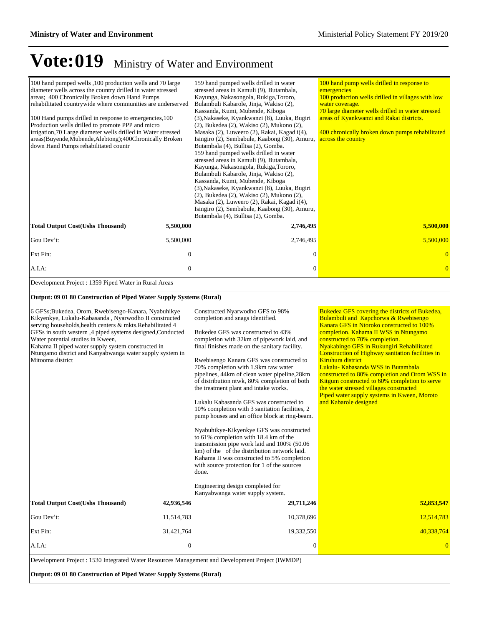| 100 hand pumped wells ,100 production wells and 70 large<br>diameter wells across the country drilled in water stressed<br>areas; 400 Chronically Broken down Hand Pumps<br>rehabilitated countrywide where communities are underserved<br>100 Hand pumps drilled in response to emergencies, 100<br>Production wells drilled to promote PPP and micro<br>irrigation, 70 Large diameter wells drilled in Water stressed<br>areas(Buyende,Mubende,Alebtong);400Chronically Broken<br>down Hand Pumps rehabilitated countr |                  | 159 hand pumped wells drilled in water<br>stressed areas in Kamuli (9), Butambala,<br>Kayunga, Nakasongola, Rukiga, Tororo,<br>Bulambuli Kabarole, Jinja, Wakiso (2),<br>Kassanda, Kumi, Mubende, Kiboga<br>(3), Nakaseke, Kyankwanzi (8), Luuka, Bugiri<br>(2), Bukedea (2), Wakiso (2), Mukono (2),<br>Masaka (2), Luweero (2), Rakai, Kagad i(4),<br>Isingiro (2), Sembabule, Kaabong (30), Amuru,<br>Butambala (4), Bullisa (2), Gomba.<br>159 hand pumped wells drilled in water<br>stressed areas in Kamuli (9), Butambala,<br>Kayunga, Nakasongola, Rukiga, Tororo,<br>Bulambuli Kabarole, Jinja, Wakiso (2),<br>Kassanda, Kumi, Mubende, Kiboga<br>(3), Nakaseke, Kyankwanzi (8), Luuka, Bugiri<br>(2), Bukedea (2), Wakiso (2), Mukono (2),<br>Masaka (2), Luweero (2), Rakai, Kagad i(4),<br>Isingiro (2), Sembabule, Kaabong (30), Amuru,<br>Butambala (4), Bullisa (2), Gomba.                         | 100 hand pump wells drilled in response to<br>emergencies<br>100 production wells drilled in villages with low<br>water coverage.<br>70 large diameter wells drilled in water stressed<br>areas of Kyankwanzi and Rakai districts.<br>400 chronically broken down pumps rehabilitated<br>across the country                                                                                                                                                                                                                                                                                                |
|--------------------------------------------------------------------------------------------------------------------------------------------------------------------------------------------------------------------------------------------------------------------------------------------------------------------------------------------------------------------------------------------------------------------------------------------------------------------------------------------------------------------------|------------------|--------------------------------------------------------------------------------------------------------------------------------------------------------------------------------------------------------------------------------------------------------------------------------------------------------------------------------------------------------------------------------------------------------------------------------------------------------------------------------------------------------------------------------------------------------------------------------------------------------------------------------------------------------------------------------------------------------------------------------------------------------------------------------------------------------------------------------------------------------------------------------------------------------------------|------------------------------------------------------------------------------------------------------------------------------------------------------------------------------------------------------------------------------------------------------------------------------------------------------------------------------------------------------------------------------------------------------------------------------------------------------------------------------------------------------------------------------------------------------------------------------------------------------------|
| <b>Total Output Cost(Ushs Thousand)</b>                                                                                                                                                                                                                                                                                                                                                                                                                                                                                  | 5,500,000        | 2,746,495                                                                                                                                                                                                                                                                                                                                                                                                                                                                                                                                                                                                                                                                                                                                                                                                                                                                                                          | 5,500,000                                                                                                                                                                                                                                                                                                                                                                                                                                                                                                                                                                                                  |
| Gou Dev't:                                                                                                                                                                                                                                                                                                                                                                                                                                                                                                               | 5,500,000        | 2,746,495                                                                                                                                                                                                                                                                                                                                                                                                                                                                                                                                                                                                                                                                                                                                                                                                                                                                                                          | 5,500,000                                                                                                                                                                                                                                                                                                                                                                                                                                                                                                                                                                                                  |
| Ext Fin:                                                                                                                                                                                                                                                                                                                                                                                                                                                                                                                 | $\mathbf{0}$     | $\mathbf{0}$                                                                                                                                                                                                                                                                                                                                                                                                                                                                                                                                                                                                                                                                                                                                                                                                                                                                                                       | $\mathbf{0}$                                                                                                                                                                                                                                                                                                                                                                                                                                                                                                                                                                                               |
| A.I.A:                                                                                                                                                                                                                                                                                                                                                                                                                                                                                                                   | $\boldsymbol{0}$ | $\boldsymbol{0}$                                                                                                                                                                                                                                                                                                                                                                                                                                                                                                                                                                                                                                                                                                                                                                                                                                                                                                   | $\overline{0}$                                                                                                                                                                                                                                                                                                                                                                                                                                                                                                                                                                                             |
| Development Project : 1359 Piped Water in Rural Areas                                                                                                                                                                                                                                                                                                                                                                                                                                                                    |                  |                                                                                                                                                                                                                                                                                                                                                                                                                                                                                                                                                                                                                                                                                                                                                                                                                                                                                                                    |                                                                                                                                                                                                                                                                                                                                                                                                                                                                                                                                                                                                            |
| Output: 09 01 80 Construction of Piped Water Supply Systems (Rural)                                                                                                                                                                                                                                                                                                                                                                                                                                                      |                  |                                                                                                                                                                                                                                                                                                                                                                                                                                                                                                                                                                                                                                                                                                                                                                                                                                                                                                                    |                                                                                                                                                                                                                                                                                                                                                                                                                                                                                                                                                                                                            |
| 6 GFSs;Bukedea, Orom, Rwebisengo-Kanara, Nyabuhikye<br>Kikyenkye, Lukalu-Kabasanda, Nyarwodho II constructed<br>serving households, health centers & mkts. Rehabilitated 4<br>GFSs in south western ,4 piped systems designed, Conducted<br>Water potential studies in Kween,<br>Kahama II piped water supply system constructed in<br>Ntungamo district and Kanyabwanga water supply system in<br>Mitooma district                                                                                                      |                  | Constructed Nyarwodho GFS to 98%<br>completion and snags identified.<br>Bukedea GFS was constructed to 43%<br>completion with 32km of pipework laid, and<br>final finishes made on the sanitary facility.<br>Rwebisengo Kanara GFS was constructed to<br>70% completion with 1.9km raw water<br>pipelines, 44km of clean water pipeline, 28km<br>of distribution ntwk, 80% completion of both<br>the treatment plant and intake works.<br>Lukalu Kabasanda GFS was constructed to<br>10% completion with 3 sanitation facilities, 2<br>pump houses and an office block at ring-beam.<br>Nyabuhikye-Kikyenkye GFS was constructed<br>to 61% completion with 18.4 km of the<br>transmission pipe work laid and 100% (50.06<br>km) of the of the distribution network laid.<br>Kahama II was constructed to 5% completion<br>with source protection for 1 of the sources<br>done.<br>Engineering design completed for | Bukedea GFS covering the districts of Bukedea,<br><b>Bulambuli and Kapchorwa &amp; Rwebisengo</b><br>Kanara GFS in Ntoroko constructed to 100%<br>completion. Kahama II WSS in Ntungamo<br>constructed to 70% completion.<br>Nyakabingo GFS in Rukungiri Rehabilitated<br>Construction of Highway sanitation facilities in<br>Kiruhura district<br>Lukalu- Kabasanda WSS in Butambala<br>constructed to 80% completion and Orom WSS in<br>Kitgum constructed to 60% completion to serve<br>the water stressed villages constructed<br>Piped water supply systems in Kween, Moroto<br>and Kabarole designed |
| <b>Total Output Cost(Ushs Thousand)</b>                                                                                                                                                                                                                                                                                                                                                                                                                                                                                  | 42,936,546       | Kanyabwanga water supply system.<br>29,711,246                                                                                                                                                                                                                                                                                                                                                                                                                                                                                                                                                                                                                                                                                                                                                                                                                                                                     | 52,853,547                                                                                                                                                                                                                                                                                                                                                                                                                                                                                                                                                                                                 |
| Gou Dev't:                                                                                                                                                                                                                                                                                                                                                                                                                                                                                                               | 11,514,783       | 10,378,696                                                                                                                                                                                                                                                                                                                                                                                                                                                                                                                                                                                                                                                                                                                                                                                                                                                                                                         | 12,514,783                                                                                                                                                                                                                                                                                                                                                                                                                                                                                                                                                                                                 |
| Ext Fin:                                                                                                                                                                                                                                                                                                                                                                                                                                                                                                                 | 31,421,764       | 19,332,550                                                                                                                                                                                                                                                                                                                                                                                                                                                                                                                                                                                                                                                                                                                                                                                                                                                                                                         | 40,338,764                                                                                                                                                                                                                                                                                                                                                                                                                                                                                                                                                                                                 |
| A.I.A:                                                                                                                                                                                                                                                                                                                                                                                                                                                                                                                   | $\boldsymbol{0}$ | $\boldsymbol{0}$                                                                                                                                                                                                                                                                                                                                                                                                                                                                                                                                                                                                                                                                                                                                                                                                                                                                                                   | $\overline{0}$                                                                                                                                                                                                                                                                                                                                                                                                                                                                                                                                                                                             |
| Development Project : 1530 Integrated Water Resources Management and Development Project (IWMDP)                                                                                                                                                                                                                                                                                                                                                                                                                         |                  |                                                                                                                                                                                                                                                                                                                                                                                                                                                                                                                                                                                                                                                                                                                                                                                                                                                                                                                    |                                                                                                                                                                                                                                                                                                                                                                                                                                                                                                                                                                                                            |
| Output: 09 01 80 Construction of Piped Water Supply Systems (Rural)                                                                                                                                                                                                                                                                                                                                                                                                                                                      |                  |                                                                                                                                                                                                                                                                                                                                                                                                                                                                                                                                                                                                                                                                                                                                                                                                                                                                                                                    |                                                                                                                                                                                                                                                                                                                                                                                                                                                                                                                                                                                                            |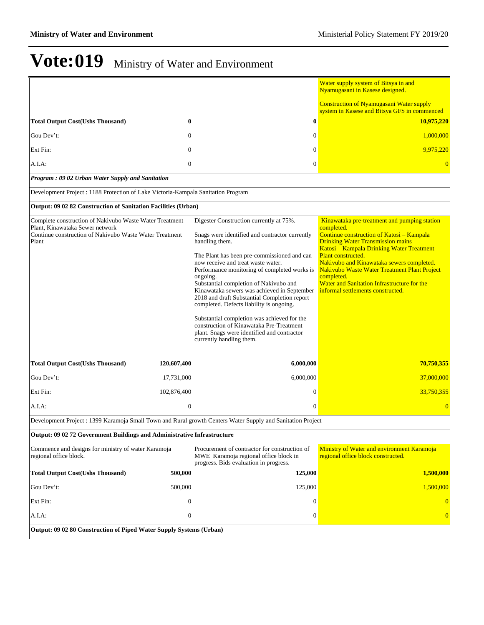|                                                                                                             |                  |                                                                                                                                                                                                                                                                                                                                                                                                                                                                                                          | Water supply system of Bitsya in and<br>Nyamugasani in Kasese designed.                                                                                                                                           |
|-------------------------------------------------------------------------------------------------------------|------------------|----------------------------------------------------------------------------------------------------------------------------------------------------------------------------------------------------------------------------------------------------------------------------------------------------------------------------------------------------------------------------------------------------------------------------------------------------------------------------------------------------------|-------------------------------------------------------------------------------------------------------------------------------------------------------------------------------------------------------------------|
|                                                                                                             |                  |                                                                                                                                                                                                                                                                                                                                                                                                                                                                                                          | <b>Construction of Nyamugasani Water supply</b><br>system in Kasese and Bitsya GFS in commenced                                                                                                                   |
| <b>Total Output Cost(Ushs Thousand)</b>                                                                     | $\bf{0}$         | $\bf{0}$                                                                                                                                                                                                                                                                                                                                                                                                                                                                                                 | 10,975,220                                                                                                                                                                                                        |
| Gou Dev't:                                                                                                  | $\mathbf{0}$     | $\theta$                                                                                                                                                                                                                                                                                                                                                                                                                                                                                                 | 1,000,000                                                                                                                                                                                                         |
| Ext Fin:                                                                                                    | $\overline{0}$   | $\theta$                                                                                                                                                                                                                                                                                                                                                                                                                                                                                                 | 9,975,220                                                                                                                                                                                                         |
| A.I.A:                                                                                                      | $\overline{0}$   | $\theta$                                                                                                                                                                                                                                                                                                                                                                                                                                                                                                 |                                                                                                                                                                                                                   |
| Program: 09 02 Urban Water Supply and Sanitation                                                            |                  |                                                                                                                                                                                                                                                                                                                                                                                                                                                                                                          |                                                                                                                                                                                                                   |
| Development Project : 1188 Protection of Lake Victoria-Kampala Sanitation Program                           |                  |                                                                                                                                                                                                                                                                                                                                                                                                                                                                                                          |                                                                                                                                                                                                                   |
| Output: 09 02 82 Construction of Sanitation Facilities (Urban)                                              |                  |                                                                                                                                                                                                                                                                                                                                                                                                                                                                                                          |                                                                                                                                                                                                                   |
| Complete construction of Nakivubo Waste Water Treatment<br>Plant, Kinawataka Sewer network                  |                  | Digester Construction currently at 75%.                                                                                                                                                                                                                                                                                                                                                                                                                                                                  | Kinawataka pre-treatment and pumping station<br>completed.                                                                                                                                                        |
| Continue construction of Nakivubo Waste Water Treatment<br>Plant                                            |                  | Snags were identified and contractor currently<br>handling them.                                                                                                                                                                                                                                                                                                                                                                                                                                         | Continue construction of Katosi - Kampala<br><b>Drinking Water Transmission mains</b><br>Katosi - Kampala Drinking Water Treatment                                                                                |
|                                                                                                             |                  | The Plant has been pre-commissioned and can<br>now receive and treat waste water.<br>Performance monitoring of completed works is<br>ongoing.<br>Substantial completion of Nakivubo and<br>Kinawataka sewers was achieved in September<br>2018 and draft Substantial Completion report<br>completed. Defects liability is ongoing.<br>Substantial completion was achieved for the<br>construction of Kinawataka Pre-Treatment<br>plant. Snags were identified and contractor<br>currently handling them. | Plant constructed.<br>Nakivubo and Kinawataka sewers completed.<br>Nakivubo Waste Water Treatment Plant Project<br>completed.<br>Water and Sanitation Infrastructure for the<br>informal settlements constructed. |
| <b>Total Output Cost(Ushs Thousand)</b>                                                                     | 120,607,400      | 6,000,000                                                                                                                                                                                                                                                                                                                                                                                                                                                                                                | 70,750,355                                                                                                                                                                                                        |
| Gou Dev't:                                                                                                  | 17,731,000       | 6,000,000                                                                                                                                                                                                                                                                                                                                                                                                                                                                                                | 37,000,000                                                                                                                                                                                                        |
| Ext Fin:                                                                                                    | 102,876,400      | $\overline{0}$                                                                                                                                                                                                                                                                                                                                                                                                                                                                                           | 33,750,355                                                                                                                                                                                                        |
| A.I.A:                                                                                                      | $\mathbf{0}$     | $\theta$                                                                                                                                                                                                                                                                                                                                                                                                                                                                                                 | $\overline{0}$                                                                                                                                                                                                    |
| Development Project : 1399 Karamoja Small Town and Rural growth Centers Water Supply and Sanitation Project |                  |                                                                                                                                                                                                                                                                                                                                                                                                                                                                                                          |                                                                                                                                                                                                                   |
| Output: 09 02 72 Government Buildings and Administrative Infrastructure                                     |                  |                                                                                                                                                                                                                                                                                                                                                                                                                                                                                                          |                                                                                                                                                                                                                   |
| Commence and designs for ministry of water Karamoja<br>regional office block.                               |                  | Procurement of contractor for construction of<br>MWE Karamoja regional office block in<br>progress. Bids evaluation in progress.                                                                                                                                                                                                                                                                                                                                                                         | Ministry of Water and environment Karamoja<br>regional office block constructed.                                                                                                                                  |
| <b>Total Output Cost(Ushs Thousand)</b>                                                                     | 500,000          | 125,000                                                                                                                                                                                                                                                                                                                                                                                                                                                                                                  | 1,500,000                                                                                                                                                                                                         |
| Gou Dev't:                                                                                                  | 500,000          | 125,000                                                                                                                                                                                                                                                                                                                                                                                                                                                                                                  | 1,500,000                                                                                                                                                                                                         |
| Ext Fin:                                                                                                    | $\boldsymbol{0}$ | $\boldsymbol{0}$                                                                                                                                                                                                                                                                                                                                                                                                                                                                                         | $\overline{0}$                                                                                                                                                                                                    |
| A.I.A:                                                                                                      | $\boldsymbol{0}$ | $\boldsymbol{0}$                                                                                                                                                                                                                                                                                                                                                                                                                                                                                         | 0                                                                                                                                                                                                                 |
| Output: 09 02 80 Construction of Piped Water Supply Systems (Urban)                                         |                  |                                                                                                                                                                                                                                                                                                                                                                                                                                                                                                          |                                                                                                                                                                                                                   |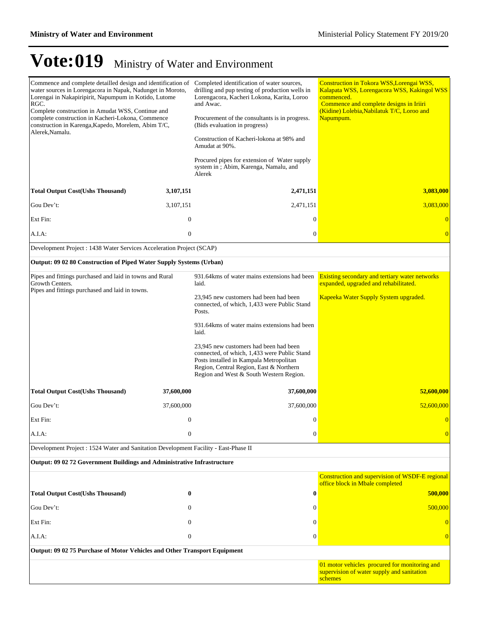| Commence and complete detailled design and identification of<br>water sources in Lorengacora in Napak, Nadunget in Moroto,<br>Lorengai in Nakapiripirit, Napumpum in Kotido, Lutome<br>RGC.<br>Complete construction in Amudat WSS, Continue and<br>complete construction in Kacheri-Lokona, Commence<br>construction in Karenga, Kapedo, Morelem, Abim T/C,<br>Alerek, Namalu. |                  | Completed identification of water sources,<br>drilling and pup testing of production wells in<br>Lorengacora, Kacheri Lokona, Karita, Loroo<br>and Awac.<br>Procurement of the consultants is in progress.<br>(Bids evaluation in progress)<br>Construction of Kacheri-lokona at 98% and<br>Amudat at 90%.<br>Procured pipes for extension of Water supply<br>system in; Abim, Karenga, Namalu, and<br>Alerek | Construction in Tokora WSS, Lorengai WSS,<br>Kalapata WSS, Lorengacora WSS, Kakingol WSS<br>commenced.<br>Commence and complete designs in Iriiri<br>(Kidine) Lolebia, Nabilatuk T/C, Loroo and<br>Napumpum. |
|---------------------------------------------------------------------------------------------------------------------------------------------------------------------------------------------------------------------------------------------------------------------------------------------------------------------------------------------------------------------------------|------------------|---------------------------------------------------------------------------------------------------------------------------------------------------------------------------------------------------------------------------------------------------------------------------------------------------------------------------------------------------------------------------------------------------------------|--------------------------------------------------------------------------------------------------------------------------------------------------------------------------------------------------------------|
| <b>Total Output Cost(Ushs Thousand)</b>                                                                                                                                                                                                                                                                                                                                         | 3,107,151        | 2,471,151                                                                                                                                                                                                                                                                                                                                                                                                     | 3,083,000                                                                                                                                                                                                    |
| Gou Dev't:                                                                                                                                                                                                                                                                                                                                                                      | 3,107,151        | 2,471,151                                                                                                                                                                                                                                                                                                                                                                                                     | 3,083,000                                                                                                                                                                                                    |
| Ext Fin:                                                                                                                                                                                                                                                                                                                                                                        | $\mathbf{0}$     | $\boldsymbol{0}$                                                                                                                                                                                                                                                                                                                                                                                              | $\overline{0}$                                                                                                                                                                                               |
| A.I.A:                                                                                                                                                                                                                                                                                                                                                                          | $\boldsymbol{0}$ | $\boldsymbol{0}$                                                                                                                                                                                                                                                                                                                                                                                              | $\overline{0}$                                                                                                                                                                                               |
| Development Project : 1438 Water Services Acceleration Project (SCAP)                                                                                                                                                                                                                                                                                                           |                  |                                                                                                                                                                                                                                                                                                                                                                                                               |                                                                                                                                                                                                              |
| Output: 09 02 80 Construction of Piped Water Supply Systems (Urban)                                                                                                                                                                                                                                                                                                             |                  |                                                                                                                                                                                                                                                                                                                                                                                                               |                                                                                                                                                                                                              |
| Pipes and fittings purchased and laid in towns and Rural<br>Growth Centers.<br>Pipes and fittings purchased and laid in towns.                                                                                                                                                                                                                                                  |                  | 931.64 kms of water mains extensions had been<br>laid.                                                                                                                                                                                                                                                                                                                                                        | <b>Existing secondary and tertiary water networks</b><br>expanded, upgraded and rehabilitated.                                                                                                               |
|                                                                                                                                                                                                                                                                                                                                                                                 |                  | 23,945 new customers had been had been<br>connected, of which, 1,433 were Public Stand<br>Posts.                                                                                                                                                                                                                                                                                                              | Kapeeka Water Supply System upgraded.                                                                                                                                                                        |
|                                                                                                                                                                                                                                                                                                                                                                                 |                  | 931.64 kms of water mains extensions had been<br>laid.                                                                                                                                                                                                                                                                                                                                                        |                                                                                                                                                                                                              |
|                                                                                                                                                                                                                                                                                                                                                                                 |                  | 23,945 new customers had been had been<br>connected, of which, 1,433 were Public Stand<br>Posts installed in Kampala Metropolitan<br>Region, Central Region, East & Northern<br>Region and West & South Western Region.                                                                                                                                                                                       |                                                                                                                                                                                                              |
| <b>Total Output Cost(Ushs Thousand)</b>                                                                                                                                                                                                                                                                                                                                         | 37,600,000       | 37,600,000                                                                                                                                                                                                                                                                                                                                                                                                    | 52,600,000                                                                                                                                                                                                   |
| Gou Dev't:                                                                                                                                                                                                                                                                                                                                                                      | 37,600,000       | 37,600,000                                                                                                                                                                                                                                                                                                                                                                                                    | 52,600,000                                                                                                                                                                                                   |
| Ext Fin:                                                                                                                                                                                                                                                                                                                                                                        | $\boldsymbol{0}$ | $\boldsymbol{0}$                                                                                                                                                                                                                                                                                                                                                                                              | $\Omega$                                                                                                                                                                                                     |
| A.I.A:                                                                                                                                                                                                                                                                                                                                                                          | $\mathbf{0}$     | $\boldsymbol{0}$                                                                                                                                                                                                                                                                                                                                                                                              | $\overline{0}$                                                                                                                                                                                               |
| Development Project : 1524 Water and Sanitation Development Facility - East-Phase II                                                                                                                                                                                                                                                                                            |                  |                                                                                                                                                                                                                                                                                                                                                                                                               |                                                                                                                                                                                                              |
| Output: 09 02 72 Government Buildings and Administrative Infrastructure                                                                                                                                                                                                                                                                                                         |                  |                                                                                                                                                                                                                                                                                                                                                                                                               |                                                                                                                                                                                                              |
|                                                                                                                                                                                                                                                                                                                                                                                 |                  |                                                                                                                                                                                                                                                                                                                                                                                                               | Construction and supervision of WSDF-E regional<br>office block in Mbale completed                                                                                                                           |
| <b>Total Output Cost(Ushs Thousand)</b>                                                                                                                                                                                                                                                                                                                                         | $\bf{0}$         | $\bf{0}$                                                                                                                                                                                                                                                                                                                                                                                                      | 500,000                                                                                                                                                                                                      |
| Gou Dev't:                                                                                                                                                                                                                                                                                                                                                                      | $\mathbf{0}$     | $\mathbf{0}$                                                                                                                                                                                                                                                                                                                                                                                                  | 500,000                                                                                                                                                                                                      |
| Ext Fin:                                                                                                                                                                                                                                                                                                                                                                        | $\mathbf{0}$     | $\mathbf{0}$                                                                                                                                                                                                                                                                                                                                                                                                  | $\Omega$                                                                                                                                                                                                     |
| A.I.A:                                                                                                                                                                                                                                                                                                                                                                          | $\boldsymbol{0}$ | $\mathbf{0}$                                                                                                                                                                                                                                                                                                                                                                                                  | $\overline{0}$                                                                                                                                                                                               |
| Output: 09 02 75 Purchase of Motor Vehicles and Other Transport Equipment                                                                                                                                                                                                                                                                                                       |                  |                                                                                                                                                                                                                                                                                                                                                                                                               |                                                                                                                                                                                                              |
|                                                                                                                                                                                                                                                                                                                                                                                 |                  |                                                                                                                                                                                                                                                                                                                                                                                                               | 01 motor vehicles procured for monitoring and<br>supervision of water supply and sanitation<br>schemes                                                                                                       |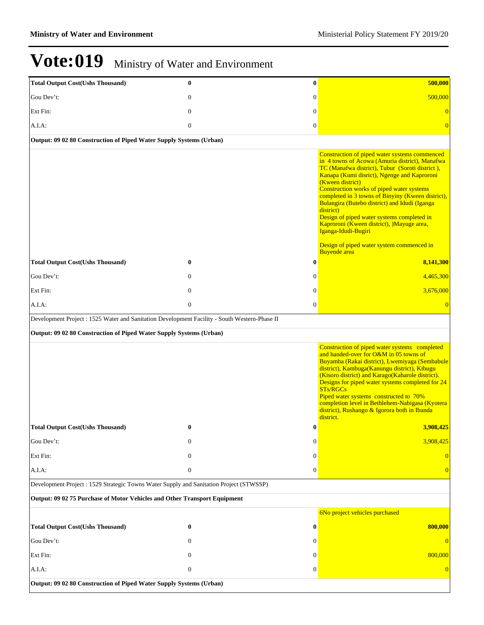| <b>Total Output Cost(Ushs Thousand)</b>                                                       | $\bf{0}$         | $\bf{0}$       | 500,000                                                                                                                                                                                                                                                                                                                                                                                                                                                                                                                                                                     |
|-----------------------------------------------------------------------------------------------|------------------|----------------|-----------------------------------------------------------------------------------------------------------------------------------------------------------------------------------------------------------------------------------------------------------------------------------------------------------------------------------------------------------------------------------------------------------------------------------------------------------------------------------------------------------------------------------------------------------------------------|
| Gou Dev't:                                                                                    | $\mathbf{0}$     | $\mathbf{0}$   | 500,000                                                                                                                                                                                                                                                                                                                                                                                                                                                                                                                                                                     |
| Ext Fin:                                                                                      | $\mathbf{0}$     | $\mathbf{0}$   | $\overline{0}$                                                                                                                                                                                                                                                                                                                                                                                                                                                                                                                                                              |
| A.I.A:                                                                                        | $\boldsymbol{0}$ | $\mathbf{0}$   | $\overline{0}$                                                                                                                                                                                                                                                                                                                                                                                                                                                                                                                                                              |
| Output: 09 02 80 Construction of Piped Water Supply Systems (Urban)                           |                  |                |                                                                                                                                                                                                                                                                                                                                                                                                                                                                                                                                                                             |
|                                                                                               |                  |                | Construction of piped water systems commenced<br>in 4 towns of Acowa (Amuria district), Manafwa<br>TC (Manafwa district), Tubur (Soroti district),<br>Kanapa (Kumi disrict), Ngenge and Kaproroni<br>(Kween district)<br>Construction works of piped water systems<br>completed in 3 towns of Binyiny (Kween district),<br>Bulangira (Butebo district) and Idudi (Iganga<br>district)<br>Design of piped water systems completed in<br>Kaproroni (Kween district), )Mayuge area,<br>Iganga-Idudi-Bugiri<br>Design of piped water system commenced in<br><b>Buyende</b> area |
| <b>Total Output Cost(Ushs Thousand)</b>                                                       | $\bf{0}$         | $\bf{0}$       | 8,141,300                                                                                                                                                                                                                                                                                                                                                                                                                                                                                                                                                                   |
| Gou Dev't:                                                                                    | $\mathbf{0}$     | 0              | 4,465,300                                                                                                                                                                                                                                                                                                                                                                                                                                                                                                                                                                   |
| Ext Fin:                                                                                      | $\theta$         | $\mathbf{0}$   | 3,676,000                                                                                                                                                                                                                                                                                                                                                                                                                                                                                                                                                                   |
| A.I.A.                                                                                        | $\mathbf{0}$     | $\overline{0}$ | $\overline{0}$                                                                                                                                                                                                                                                                                                                                                                                                                                                                                                                                                              |
| Development Project : 1525 Water and Sanitation Development Facility - South Western-Phase II |                  |                |                                                                                                                                                                                                                                                                                                                                                                                                                                                                                                                                                                             |
| Output: 09 02 80 Construction of Piped Water Supply Systems (Urban)                           |                  |                |                                                                                                                                                                                                                                                                                                                                                                                                                                                                                                                                                                             |
|                                                                                               |                  |                | Construction of piped water systems completed<br>and handed-over for O&M in 05 towns of<br>Buyamba (Rakai district), Lwemiyaga (Sembabule<br>district), Kambuga(Kanungu district), Kibugu<br>(Kisoro district) and Karago(Kabarole district).<br>Designs for piped water systems completed for 24<br>STs/RGCs<br>Piped water systems constructed to 70%<br>completion level in Bethlehem-Nabigasa (Kyotera<br>district), Rushango & Igorora both in Ibanda<br>district.                                                                                                     |
| <b>Total Output Cost(Ushs Thousand)</b>                                                       | $\bf{0}$         | $\bf{0}$       | 3,908,425                                                                                                                                                                                                                                                                                                                                                                                                                                                                                                                                                                   |
| Gou Dev't:                                                                                    | $\mathbf{0}$     | $\mathbf{0}$   | 3,908,425                                                                                                                                                                                                                                                                                                                                                                                                                                                                                                                                                                   |
| Ext Fin:                                                                                      | $\Omega$         | $\Omega$       | $\Omega$                                                                                                                                                                                                                                                                                                                                                                                                                                                                                                                                                                    |
| A.I.A.                                                                                        | $\boldsymbol{0}$ | $\overline{0}$ | $\Omega$                                                                                                                                                                                                                                                                                                                                                                                                                                                                                                                                                                    |
| Development Project: 1529 Strategic Towns Water Supply and Sanitation Project (STWSSP)        |                  |                |                                                                                                                                                                                                                                                                                                                                                                                                                                                                                                                                                                             |
| Output: 09 02 75 Purchase of Motor Vehicles and Other Transport Equipment                     |                  |                |                                                                                                                                                                                                                                                                                                                                                                                                                                                                                                                                                                             |
|                                                                                               |                  |                | 6No project vehicles purchased                                                                                                                                                                                                                                                                                                                                                                                                                                                                                                                                              |
| <b>Total Output Cost(Ushs Thousand)</b>                                                       | $\bf{0}$         | 0              | 800,000                                                                                                                                                                                                                                                                                                                                                                                                                                                                                                                                                                     |
| Gou Dev't:                                                                                    | $\Omega$         | 0              | $\overline{0}$                                                                                                                                                                                                                                                                                                                                                                                                                                                                                                                                                              |
| Ext Fin:                                                                                      | $\mathbf{0}$     | $\Omega$       | 800,000                                                                                                                                                                                                                                                                                                                                                                                                                                                                                                                                                                     |
| A.I.A:                                                                                        | $\boldsymbol{0}$ | $\overline{0}$ | $\overline{0}$                                                                                                                                                                                                                                                                                                                                                                                                                                                                                                                                                              |
| Output: 09 02 80 Construction of Piped Water Supply Systems (Urban)                           |                  |                |                                                                                                                                                                                                                                                                                                                                                                                                                                                                                                                                                                             |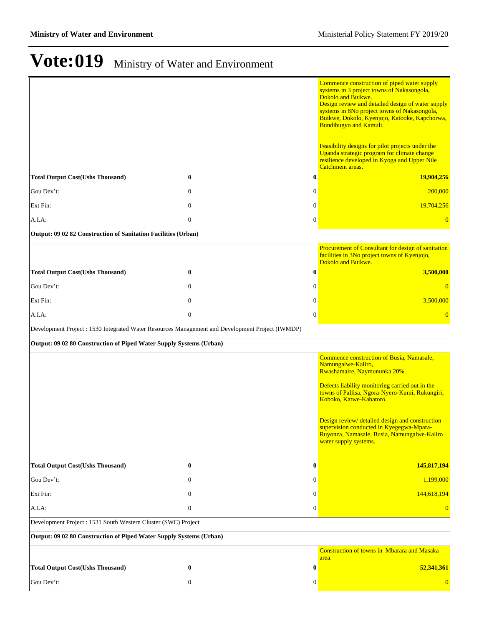|                                                                                                  |                  |                  | Commence construction of piped water supply<br>systems in 3 project towns of Nakasongola,<br>Dokolo and Buikwe.<br>Design review and detailed design of water supply<br>systems in 8No project towns of Nakasongola,<br>Buikwe, Dokolo, Kyenjojo, Katooke, Kapchorwa,<br><b>Bundibugyo and Kamuli.</b><br>Feasibility designs for pilot projects under the |
|--------------------------------------------------------------------------------------------------|------------------|------------------|------------------------------------------------------------------------------------------------------------------------------------------------------------------------------------------------------------------------------------------------------------------------------------------------------------------------------------------------------------|
|                                                                                                  |                  |                  | Uganda strategic program for climate change<br>resilience developed in Kyoga and Upper Nile<br>Catchment areas.                                                                                                                                                                                                                                            |
| <b>Total Output Cost(Ushs Thousand)</b>                                                          | $\bf{0}$         | 0                | 19,904,256                                                                                                                                                                                                                                                                                                                                                 |
| Gou Dev't:                                                                                       | $\mathbf{0}$     | $\overline{0}$   | 200,000                                                                                                                                                                                                                                                                                                                                                    |
| Ext Fin:                                                                                         | $\mathbf{0}$     | $\mathbf{0}$     | 19,704,256                                                                                                                                                                                                                                                                                                                                                 |
| A.I.A.                                                                                           | $\overline{0}$   | $\boldsymbol{0}$ | $\overline{0}$                                                                                                                                                                                                                                                                                                                                             |
| Output: 09 02 82 Construction of Sanitation Facilities (Urban)                                   |                  |                  |                                                                                                                                                                                                                                                                                                                                                            |
|                                                                                                  |                  |                  | Procurement of Consultant for design of sanitation<br>facilities in 3No project towns of Kyenjojo,<br>Dokolo and Buikwe.                                                                                                                                                                                                                                   |
| <b>Total Output Cost(Ushs Thousand)</b>                                                          | $\bf{0}$         | $\bf{0}$         | 3,500,000                                                                                                                                                                                                                                                                                                                                                  |
| Gou Dev't:                                                                                       | $\boldsymbol{0}$ | 0                | $\overline{0}$                                                                                                                                                                                                                                                                                                                                             |
| Ext Fin:                                                                                         | $\boldsymbol{0}$ | $\boldsymbol{0}$ | 3,500,000                                                                                                                                                                                                                                                                                                                                                  |
| A.I.A.                                                                                           | $\boldsymbol{0}$ | $\boldsymbol{0}$ | $\overline{0}$                                                                                                                                                                                                                                                                                                                                             |
| Development Project : 1530 Integrated Water Resources Management and Development Project (IWMDP) |                  |                  |                                                                                                                                                                                                                                                                                                                                                            |
| Output: 09 02 80 Construction of Piped Water Supply Systems (Urban)                              |                  |                  |                                                                                                                                                                                                                                                                                                                                                            |
|                                                                                                  |                  |                  | Commence construction of Busia, Namasale,<br>Namungalwe-Kaliro,<br>Rwashamaire, Naymununka 20%<br>Defects liability monitoring carried out in the<br>towns of Pallisa, Ngora-Nyero-Kumi, Rukungiri,<br>Koboko, Katwe-Kabatoro.                                                                                                                             |
|                                                                                                  |                  |                  | Design review/ detailed design and construction<br>supervision conducted in Kyegegwa-Mpara-<br>Ruyonza, Namasale, Busia, Namungalwe-Kaliro<br>water supply systems.                                                                                                                                                                                        |
| <b>Total Output Cost(Ushs Thousand)</b>                                                          | $\bf{0}$         | $\bf{0}$         | 145,817,194                                                                                                                                                                                                                                                                                                                                                |
| Gou Dev't:                                                                                       | $\mathbf{0}$     | $\Omega$         | 1,199,000                                                                                                                                                                                                                                                                                                                                                  |
| Ext Fin:                                                                                         | $\mathbf{0}$     | 0                | 144,618,194                                                                                                                                                                                                                                                                                                                                                |
| A.I.A:                                                                                           | $\boldsymbol{0}$ | $\overline{0}$   | $\overline{0}$                                                                                                                                                                                                                                                                                                                                             |
| Development Project : 1531 South Western Cluster (SWC) Project                                   |                  |                  |                                                                                                                                                                                                                                                                                                                                                            |
| Output: 09 02 80 Construction of Piped Water Supply Systems (Urban)                              |                  |                  |                                                                                                                                                                                                                                                                                                                                                            |
|                                                                                                  |                  |                  | <b>Construction of towns in Mbarara and Masaka</b><br>area.                                                                                                                                                                                                                                                                                                |
| <b>Total Output Cost(Ushs Thousand)</b>                                                          | $\bf{0}$         | 0                | 52,341,361                                                                                                                                                                                                                                                                                                                                                 |
| Gou Dev't:                                                                                       | $\boldsymbol{0}$ | 0                | $\overline{0}$                                                                                                                                                                                                                                                                                                                                             |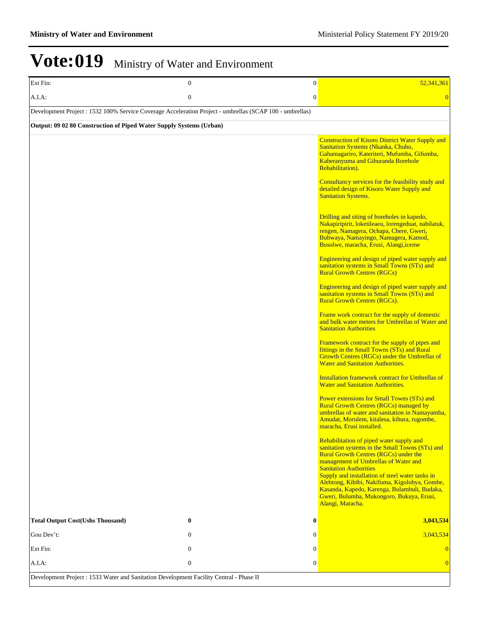| Ext Fin:                                                                                                 | $\theta$         | $\boldsymbol{0}$ | 52,341,361                                                                                                                                                                                                                                                                                                                                                                                                                                                                                                                                                                                                                                                                                                                                                                                                                                                                                                                                                                                                                                                                                                                                                                                                                                                                                                                                                                                                                                                                                                                                                                                                                                    |
|----------------------------------------------------------------------------------------------------------|------------------|------------------|-----------------------------------------------------------------------------------------------------------------------------------------------------------------------------------------------------------------------------------------------------------------------------------------------------------------------------------------------------------------------------------------------------------------------------------------------------------------------------------------------------------------------------------------------------------------------------------------------------------------------------------------------------------------------------------------------------------------------------------------------------------------------------------------------------------------------------------------------------------------------------------------------------------------------------------------------------------------------------------------------------------------------------------------------------------------------------------------------------------------------------------------------------------------------------------------------------------------------------------------------------------------------------------------------------------------------------------------------------------------------------------------------------------------------------------------------------------------------------------------------------------------------------------------------------------------------------------------------------------------------------------------------|
| A.I.A.                                                                                                   | $\boldsymbol{0}$ | $\boldsymbol{0}$ | $\overline{0}$                                                                                                                                                                                                                                                                                                                                                                                                                                                                                                                                                                                                                                                                                                                                                                                                                                                                                                                                                                                                                                                                                                                                                                                                                                                                                                                                                                                                                                                                                                                                                                                                                                |
| Development Project : 1532 100% Service Coverage Acceleration Project - umbrellas (SCAP 100 - umbrellas) |                  |                  |                                                                                                                                                                                                                                                                                                                                                                                                                                                                                                                                                                                                                                                                                                                                                                                                                                                                                                                                                                                                                                                                                                                                                                                                                                                                                                                                                                                                                                                                                                                                                                                                                                               |
| Output: 09 02 80 Construction of Piped Water Supply Systems (Urban)                                      |                  |                  |                                                                                                                                                                                                                                                                                                                                                                                                                                                                                                                                                                                                                                                                                                                                                                                                                                                                                                                                                                                                                                                                                                                                                                                                                                                                                                                                                                                                                                                                                                                                                                                                                                               |
|                                                                                                          |                  |                  | <b>Construction of Kisoro District Water Supply and</b><br>Sanitation Systems (Nkanka, Chuho,<br>Gahamagariro, Kateriteri, Mufumba, Gifumba,<br>Kaberanyuma and Gihuranda Borehole<br>Rehabilitation).<br>Consultancy services for the feasibility study and<br>detailed design of Kisoro Water Supply and<br><b>Sanitation Systems.</b><br>Drilling and siting of boreholes in kapedo,<br>Nakapiripirit, loketileaeu, lorengeduat, nabilatuk,<br>rengen, Namagera, Ochapa, Chere, Gweri,<br>Bubwaya, Namayingo, Namagera, Kamod,<br>Busolwe, maracha, Erusi, Alangi, iceme<br>Engineering and design of piped water supply and<br>sanitation systems in Small Towns (STs) and<br><b>Rural Growth Centres (RGCs)</b><br>Engineering and design of piped water supply and<br>sanitation systems in Small Towns (STs) and<br><b>Rural Growth Centres (RGCs).</b><br>Frame work contract for the supply of domestic<br>and bulk water meters for Umbrellas of Water and<br><b>Sanitation Authorities</b><br>Framework contract for the supply of pipes and<br>fittings in the Small Towns (STs) and Rural<br>Growth Centres (RGCs) under the Umbrellas of<br><b>Water and Sanitation Authorities.</b><br><b>Installation framework contract for Umbrellas of</b><br><b>Water and Sanitation Authorities.</b><br><b>Power extensions for Small Towns (STs) and</b><br><b>Rural Growth Centres (RGCs) managed by</b><br>umbrellas of water and sanitation in Namayumba,<br>Amudat, Morulem, kitalesa, kihura, rugombe,<br>maracha, Erusi installed.<br>Rehabilitation of piped water supply and<br>sanitation systems in the Small Towns (STs) and |
|                                                                                                          |                  |                  | <b>Rural Growth Centres (RGCs) under the</b><br>management of Umbrellas of Water and<br><b>Sanitation Authorities</b><br>Supply and installation of steel water tanks in<br>Alebtong, Kibibi, Nakifuma, Kigolobya, Gombe,<br>Kasanda, Kapedo, Karenga, Bulambuli, Budaka,                                                                                                                                                                                                                                                                                                                                                                                                                                                                                                                                                                                                                                                                                                                                                                                                                                                                                                                                                                                                                                                                                                                                                                                                                                                                                                                                                                     |
|                                                                                                          |                  |                  | Gweri, Bulumba, Mukongoro, Bukuya, Erusi,<br>Alangi, Maracha.                                                                                                                                                                                                                                                                                                                                                                                                                                                                                                                                                                                                                                                                                                                                                                                                                                                                                                                                                                                                                                                                                                                                                                                                                                                                                                                                                                                                                                                                                                                                                                                 |
| <b>Total Output Cost(Ushs Thousand)</b>                                                                  | $\bf{0}$         | $\bf{0}$         | 3,043,534                                                                                                                                                                                                                                                                                                                                                                                                                                                                                                                                                                                                                                                                                                                                                                                                                                                                                                                                                                                                                                                                                                                                                                                                                                                                                                                                                                                                                                                                                                                                                                                                                                     |
| Gou Dev't:                                                                                               | $\mathbf{0}$     | $\mathbf{0}$     | 3,043,534                                                                                                                                                                                                                                                                                                                                                                                                                                                                                                                                                                                                                                                                                                                                                                                                                                                                                                                                                                                                                                                                                                                                                                                                                                                                                                                                                                                                                                                                                                                                                                                                                                     |
| Ext Fin:                                                                                                 | $\mathbf{0}$     | $\boldsymbol{0}$ | $\overline{0}$                                                                                                                                                                                                                                                                                                                                                                                                                                                                                                                                                                                                                                                                                                                                                                                                                                                                                                                                                                                                                                                                                                                                                                                                                                                                                                                                                                                                                                                                                                                                                                                                                                |
| A.I.A:                                                                                                   | $\mathbf{0}$     | $\boldsymbol{0}$ | $\overline{0}$                                                                                                                                                                                                                                                                                                                                                                                                                                                                                                                                                                                                                                                                                                                                                                                                                                                                                                                                                                                                                                                                                                                                                                                                                                                                                                                                                                                                                                                                                                                                                                                                                                |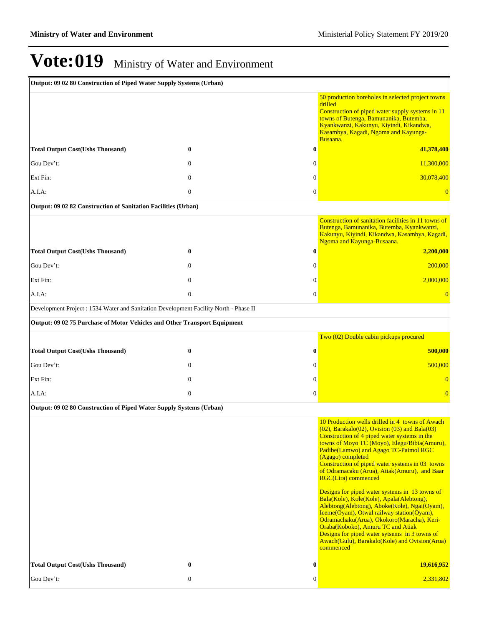| Output: 09 02 80 Construction of Piped Water Supply Systems (Urban)                   |              |                  |                                                                                                                                                                                                                                                                                                                                                                                                                                                                                                                                                                                                                                                                                                                                                                                                   |
|---------------------------------------------------------------------------------------|--------------|------------------|---------------------------------------------------------------------------------------------------------------------------------------------------------------------------------------------------------------------------------------------------------------------------------------------------------------------------------------------------------------------------------------------------------------------------------------------------------------------------------------------------------------------------------------------------------------------------------------------------------------------------------------------------------------------------------------------------------------------------------------------------------------------------------------------------|
|                                                                                       |              |                  | 50 production boreholes in selected project towns<br>drilled<br>Construction of piped water supply systems in 11<br>towns of Butenga, Bamunanika, Butemba,<br>Kyankwanzi, Kakunyu, Kiyindi, Kikandwa,<br>Kasambya, Kagadi, Ngoma and Kayunga-<br>Busaana.                                                                                                                                                                                                                                                                                                                                                                                                                                                                                                                                         |
| <b>Total Output Cost(Ushs Thousand)</b>                                               | $\bf{0}$     | $\bf{0}$         | 41,378,400                                                                                                                                                                                                                                                                                                                                                                                                                                                                                                                                                                                                                                                                                                                                                                                        |
| Gou Dev't:                                                                            | $\mathbf{0}$ | $\mathbf{0}$     | 11,300,000                                                                                                                                                                                                                                                                                                                                                                                                                                                                                                                                                                                                                                                                                                                                                                                        |
| Ext Fin:                                                                              | $\mathbf{0}$ | $\mathbf{0}$     | 30,078,400                                                                                                                                                                                                                                                                                                                                                                                                                                                                                                                                                                                                                                                                                                                                                                                        |
| A.I.A.                                                                                | $\mathbf{0}$ | $\mathbf{0}$     | $\overline{0}$                                                                                                                                                                                                                                                                                                                                                                                                                                                                                                                                                                                                                                                                                                                                                                                    |
| Output: 09 02 82 Construction of Sanitation Facilities (Urban)                        |              |                  |                                                                                                                                                                                                                                                                                                                                                                                                                                                                                                                                                                                                                                                                                                                                                                                                   |
|                                                                                       |              |                  | Construction of sanitation facilities in 11 towns of<br>Butenga, Bamunanika, Butemba, Kyankwanzi,<br>Kakunyu, Kiyindi, Kikandwa, Kasambya, Kagadi,<br>Ngoma and Kayunga-Busaana.                                                                                                                                                                                                                                                                                                                                                                                                                                                                                                                                                                                                                  |
| <b>Total Output Cost(Ushs Thousand)</b>                                               | $\bf{0}$     | $\bf{0}$         | 2,200,000                                                                                                                                                                                                                                                                                                                                                                                                                                                                                                                                                                                                                                                                                                                                                                                         |
| Gou Dev't:                                                                            | $\Omega$     | $\mathbf{0}$     | 200,000                                                                                                                                                                                                                                                                                                                                                                                                                                                                                                                                                                                                                                                                                                                                                                                           |
| Ext Fin:                                                                              | $\mathbf{0}$ | $\mathbf{0}$     | 2,000,000                                                                                                                                                                                                                                                                                                                                                                                                                                                                                                                                                                                                                                                                                                                                                                                         |
| $A.I.A$ :                                                                             | $\mathbf{0}$ | $\mathbf{0}$     | $\overline{0}$                                                                                                                                                                                                                                                                                                                                                                                                                                                                                                                                                                                                                                                                                                                                                                                    |
| Development Project : 1534 Water and Sanitation Development Facility North - Phase II |              |                  |                                                                                                                                                                                                                                                                                                                                                                                                                                                                                                                                                                                                                                                                                                                                                                                                   |
| Output: 09 02 75 Purchase of Motor Vehicles and Other Transport Equipment             |              |                  |                                                                                                                                                                                                                                                                                                                                                                                                                                                                                                                                                                                                                                                                                                                                                                                                   |
|                                                                                       |              |                  | Two (02) Double cabin pickups procured                                                                                                                                                                                                                                                                                                                                                                                                                                                                                                                                                                                                                                                                                                                                                            |
| <b>Total Output Cost(Ushs Thousand)</b>                                               | $\bf{0}$     | $\bf{0}$         | 500,000                                                                                                                                                                                                                                                                                                                                                                                                                                                                                                                                                                                                                                                                                                                                                                                           |
| Gou Dev't:                                                                            | $\mathbf{0}$ | $\mathbf{0}$     | 500,000                                                                                                                                                                                                                                                                                                                                                                                                                                                                                                                                                                                                                                                                                                                                                                                           |
| Ext Fin:                                                                              | $\mathbf{0}$ | $\mathbf{0}$     | $\overline{0}$                                                                                                                                                                                                                                                                                                                                                                                                                                                                                                                                                                                                                                                                                                                                                                                    |
| $A.I.A$ :                                                                             | $\theta$     | $\mathbf{0}$     | $\overline{0}$                                                                                                                                                                                                                                                                                                                                                                                                                                                                                                                                                                                                                                                                                                                                                                                    |
| Output: 09 02 80 Construction of Piped Water Supply Systems (Urban)                   |              |                  |                                                                                                                                                                                                                                                                                                                                                                                                                                                                                                                                                                                                                                                                                                                                                                                                   |
|                                                                                       |              |                  | 10 Production wells drilled in 4 towns of Awach<br>$(02)$ , Barakalo $(02)$ , Ovision $(03)$ and Bala $(03)$<br>Construction of 4 piped water systems in the<br>towns of Moyo TC (Moyo), Elegu/Bibia(Amuru),<br>Padibe(Lamwo) and Agago TC-Paimol RGC<br>(Agago) completed<br>Construction of piped water systems in 03 towns<br>of Odramacaku (Arua), Atiak(Amuru), and Baar<br>RGC(Lira) commenced<br>Designs for piped water systems in 13 towns of<br>Bala(Kole), Kole(Kole), Apala(Alebtong),<br>Alebtong(Alebtong), Aboke(Kole), Ngai(Oyam),<br>Iceme(Oyam), Otwal railway station(Oyam),<br>Odramachaku(Arua), Okokoro(Maracha), Keri-<br>Oraba(Koboko), Amuru TC and Atiak<br>Designs for piped water sytsems in 3 towns of<br>Awach(Gulu), Barakalo(Kole) and Ovision(Arua)<br>commenced |
| <b>Total Output Cost(Ushs Thousand)</b>                                               | $\bf{0}$     | $\bf{0}$         | 19,616,952                                                                                                                                                                                                                                                                                                                                                                                                                                                                                                                                                                                                                                                                                                                                                                                        |
| Gou Dev't:                                                                            | $\mathbf{0}$ | $\boldsymbol{0}$ | 2,331,802                                                                                                                                                                                                                                                                                                                                                                                                                                                                                                                                                                                                                                                                                                                                                                                         |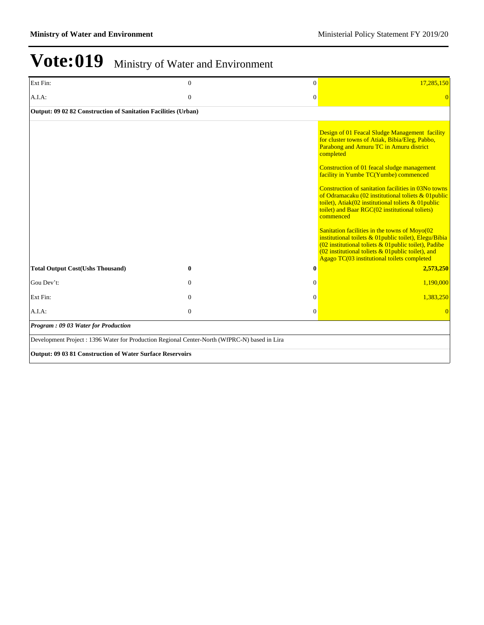| Ext Fin:                                                                                      | $\theta$     | $\mathbf{0}$   | 17,285,150                                                                                                                                                                                                                                                                                                                                                                                                                                                                                                                                                                                                                                                                                                                                                        |  |  |
|-----------------------------------------------------------------------------------------------|--------------|----------------|-------------------------------------------------------------------------------------------------------------------------------------------------------------------------------------------------------------------------------------------------------------------------------------------------------------------------------------------------------------------------------------------------------------------------------------------------------------------------------------------------------------------------------------------------------------------------------------------------------------------------------------------------------------------------------------------------------------------------------------------------------------------|--|--|
| A.I.A.                                                                                        | $\mathbf{0}$ | $\overline{0}$ | $\Omega$                                                                                                                                                                                                                                                                                                                                                                                                                                                                                                                                                                                                                                                                                                                                                          |  |  |
| Output: 09 02 82 Construction of Sanitation Facilities (Urban)                                |              |                |                                                                                                                                                                                                                                                                                                                                                                                                                                                                                                                                                                                                                                                                                                                                                                   |  |  |
|                                                                                               |              |                | Design of 01 Feacal Sludge Management facility<br>for cluster towns of Atiak, Bibia/Eleg, Pabbo,<br>Parabong and Amuru TC in Amuru district<br>completed<br>Construction of 01 feacal sludge management<br>facility in Yumbe TC(Yumbe) commenced<br>Construction of sanitation facilities in 03No towns<br>of Odramacaku (02 institutional toliets & 01 public<br>toilet), Atiak(02 institutional toliets & 01 public<br>toilet) and Baar RGC(02 institutional toliets)<br>commenced<br>Sanitation facilities in the towns of Moyo(02<br>institutional toilets $& 01$ public toilet), Elegu/Bibia<br>(02 institutional toliets & 01 public toilet), Padibe<br>(02 institutional toliets $&$ 01 public toilet), and<br>Agago TC(03 institutional toilets completed |  |  |
| <b>Total Output Cost(Ushs Thousand)</b>                                                       | $\bf{0}$     | $\bf{0}$       | 2,573,250                                                                                                                                                                                                                                                                                                                                                                                                                                                                                                                                                                                                                                                                                                                                                         |  |  |
| Gou Dev't:                                                                                    | $\theta$     | $\overline{0}$ | 1,190,000                                                                                                                                                                                                                                                                                                                                                                                                                                                                                                                                                                                                                                                                                                                                                         |  |  |
| Ext Fin:                                                                                      | $\theta$     | $\overline{0}$ | 1,383,250                                                                                                                                                                                                                                                                                                                                                                                                                                                                                                                                                                                                                                                                                                                                                         |  |  |
| A.I.A.                                                                                        | $\theta$     | $\overline{0}$ | $\Omega$                                                                                                                                                                                                                                                                                                                                                                                                                                                                                                                                                                                                                                                                                                                                                          |  |  |
| Program: 09 03 Water for Production                                                           |              |                |                                                                                                                                                                                                                                                                                                                                                                                                                                                                                                                                                                                                                                                                                                                                                                   |  |  |
| Development Project : 1396 Water for Production Regional Center-North (WfPRC-N) based in Lira |              |                |                                                                                                                                                                                                                                                                                                                                                                                                                                                                                                                                                                                                                                                                                                                                                                   |  |  |
| Output: 09 03 81 Construction of Water Surface Reservoirs                                     |              |                |                                                                                                                                                                                                                                                                                                                                                                                                                                                                                                                                                                                                                                                                                                                                                                   |  |  |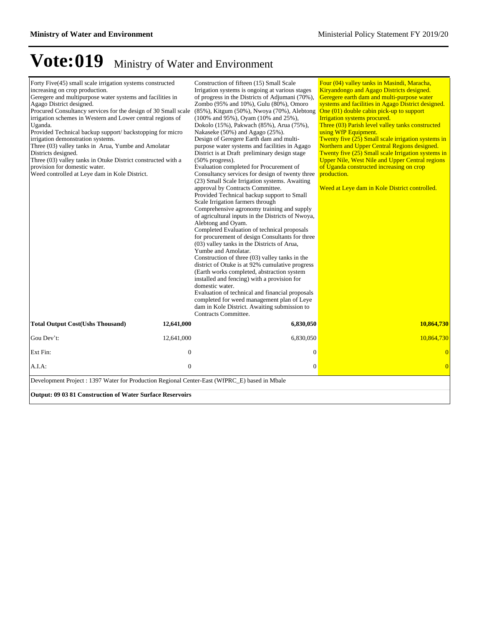| Forty Five(45) small scale irrigation systems constructed<br>increasing on crop production.<br>Geregere and multipurpose water systems and facilities in<br>Agago District designed.<br>Procured Consultancy services for the design of 30 Small scale<br>irrigation schemes in Western and Lower central regions of<br>Uganda.<br>Provided Technical backup support/backstopping for micro<br>irrigation demonstration systems.<br>Three (03) valley tanks in Arua, Yumbe and Amolatar<br>Districts designed.<br>Three (03) valley tanks in Otuke District constructed with a<br>provision for domestic water.<br>Weed controlled at Leye dam in Kole District. |                  | Construction of fifteen (15) Small Scale<br>Irrigation systems is ongoing at various stages<br>of progress in the Districts of Adjumani (70%),<br>Zombo (95% and 10%), Gulu (80%), Omoro<br>(85%), Kitgum (50%), Nwoya (70%), Alebtong<br>(100% and 95%), Oyam (10% and 25%),<br>Dokolo (15%), Pakwach (85%), Arua (75%),<br>Nakaseke (50%) and Agago (25%).<br>Design of Geregere Earth dam and multi-<br>purpose water systems and facilities in Agago<br>District is at Draft preliminary design stage<br>$(50\%$ progress).<br>Evaluation completed for Procurement of<br>Consultancy services for design of twenty three<br>(23) Small Scale Irrigation systems. Awaiting<br>approval by Contracts Committee.<br>Provided Technical backup support to Small<br>Scale Irrigation farmers through<br>Comprehensive agronomy training and supply<br>of agricultural inputs in the Districts of Nwoya,<br>Alebtong and Oyam.<br>Completed Evaluation of technical proposals<br>for procurement of design Consultants for three<br>(03) valley tanks in the Districts of Arua,<br>Yumbe and Amolatar.<br>Construction of three (03) valley tanks in the<br>district of Otuke is at 92% cumulative progress<br>(Earth works completed, abstraction system<br>installed and fencing) with a provision for<br>domestic water.<br>Evaluation of technical and financial proposals<br>completed for weed management plan of Leye<br>dam in Kole District. Awaiting submission to<br>Contracts Committee. | Four (04) valley tanks in Masindi, Maracha,<br>Kiryandongo and Agago Districts designed.<br>Geregere earth dam and multi-purpose water<br>systems and facilities in Agago District designed.<br>One (01) double cabin pick-up to support<br>Irrigation systems procured.<br>Three (03) Parish level valley tanks constructed<br>using WfP Equipment.<br>Twenty five (25) Small scale irrigation systems in<br>Northern and Upper Central Regions designed.<br>Twenty five (25) Small scale Irrigation systems in<br><b>Upper Nile, West Nile and Upper Central regions</b><br>of Uganda constructed increasing on crop<br>production.<br>Weed at Leye dam in Kole District controlled. |  |  |
|------------------------------------------------------------------------------------------------------------------------------------------------------------------------------------------------------------------------------------------------------------------------------------------------------------------------------------------------------------------------------------------------------------------------------------------------------------------------------------------------------------------------------------------------------------------------------------------------------------------------------------------------------------------|------------------|-----------------------------------------------------------------------------------------------------------------------------------------------------------------------------------------------------------------------------------------------------------------------------------------------------------------------------------------------------------------------------------------------------------------------------------------------------------------------------------------------------------------------------------------------------------------------------------------------------------------------------------------------------------------------------------------------------------------------------------------------------------------------------------------------------------------------------------------------------------------------------------------------------------------------------------------------------------------------------------------------------------------------------------------------------------------------------------------------------------------------------------------------------------------------------------------------------------------------------------------------------------------------------------------------------------------------------------------------------------------------------------------------------------------------------------------------------------------------------------------------------|----------------------------------------------------------------------------------------------------------------------------------------------------------------------------------------------------------------------------------------------------------------------------------------------------------------------------------------------------------------------------------------------------------------------------------------------------------------------------------------------------------------------------------------------------------------------------------------------------------------------------------------------------------------------------------------|--|--|
| <b>Total Output Cost(Ushs Thousand)</b>                                                                                                                                                                                                                                                                                                                                                                                                                                                                                                                                                                                                                          | 12,641,000       | 6,830,050                                                                                                                                                                                                                                                                                                                                                                                                                                                                                                                                                                                                                                                                                                                                                                                                                                                                                                                                                                                                                                                                                                                                                                                                                                                                                                                                                                                                                                                                                           | 10,864,730                                                                                                                                                                                                                                                                                                                                                                                                                                                                                                                                                                                                                                                                             |  |  |
| Gou Dev't:                                                                                                                                                                                                                                                                                                                                                                                                                                                                                                                                                                                                                                                       | 12,641,000       | 6,830,050                                                                                                                                                                                                                                                                                                                                                                                                                                                                                                                                                                                                                                                                                                                                                                                                                                                                                                                                                                                                                                                                                                                                                                                                                                                                                                                                                                                                                                                                                           | 10,864,730                                                                                                                                                                                                                                                                                                                                                                                                                                                                                                                                                                                                                                                                             |  |  |
| Ext Fin:                                                                                                                                                                                                                                                                                                                                                                                                                                                                                                                                                                                                                                                         | $\mathbf{0}$     | $\overline{0}$                                                                                                                                                                                                                                                                                                                                                                                                                                                                                                                                                                                                                                                                                                                                                                                                                                                                                                                                                                                                                                                                                                                                                                                                                                                                                                                                                                                                                                                                                      | $\overline{0}$                                                                                                                                                                                                                                                                                                                                                                                                                                                                                                                                                                                                                                                                         |  |  |
| A.I.A.                                                                                                                                                                                                                                                                                                                                                                                                                                                                                                                                                                                                                                                           | $\boldsymbol{0}$ | $\mathbf{0}$                                                                                                                                                                                                                                                                                                                                                                                                                                                                                                                                                                                                                                                                                                                                                                                                                                                                                                                                                                                                                                                                                                                                                                                                                                                                                                                                                                                                                                                                                        | $\overline{0}$                                                                                                                                                                                                                                                                                                                                                                                                                                                                                                                                                                                                                                                                         |  |  |
| Development Project : 1397 Water for Production Regional Center-East (WfPRC_E) based in Mbale<br><b>Output: 09 03 81 Construction of Water Surface Reservoirs</b>                                                                                                                                                                                                                                                                                                                                                                                                                                                                                                |                  |                                                                                                                                                                                                                                                                                                                                                                                                                                                                                                                                                                                                                                                                                                                                                                                                                                                                                                                                                                                                                                                                                                                                                                                                                                                                                                                                                                                                                                                                                                     |                                                                                                                                                                                                                                                                                                                                                                                                                                                                                                                                                                                                                                                                                        |  |  |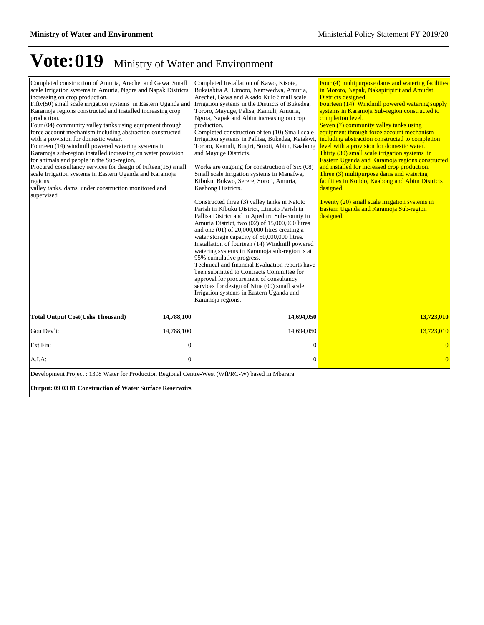| Completed construction of Amuria, Arechet and Gawa Small<br>scale Irrigation systems in Amuria, Ngora and Napak Districts<br>increasing on crop production.<br>Fifty(50) small scale irrigation systems in Eastern Uganda and<br>Karamoja regions constructed and installed increasing crop<br>production.<br>Four (04) community valley tanks using equipment through<br>force account mechanism including abstraction constructed<br>with a provision for domestic water.<br>Fourteen (14) windmill powered watering systems in<br>Karamoja sub-region installed increasing on water provision<br>for animals and people in the Sub-region.<br>Procured consultancy services for design of Fifteen(15) small<br>scale Irrigation systems in Eastern Uganda and Karamoja<br>regions.<br>valley tanks. dams under construction monitored and<br>supervised |                  | Completed Installation of Kawo, Kisote,<br>Bukatabira A, Limoto, Namwedwa, Amuria,<br>Arechet, Gawa and Akado Kulo Small scale<br>Irrigation systems in the Districts of Bukedea,<br>Tororo, Mayuge, Palisa, Kamuli, Amuria,<br>Ngora, Napak and Abim increasing on crop<br>production.<br>Completed construction of ten (10) Small scale<br>Irrigation systems in Pallisa, Bukedea, Katakwi, including abstraction constructed to completion<br>Tororo, Kamuli, Bugiri, Soroti, Abim, Kaabong<br>and Mayuge Districts.<br>Works are ongoing for construction of Six (08)<br>Small scale Irrigation systems in Manafwa,<br>Kibuku, Bukwo, Serere, Soroti, Amuria,<br>Kaabong Districts.<br>Constructed three (3) valley tanks in Natoto<br>Parish in Kibuku District, Limoto Parish in<br>Pallisa District and in Apeduru Sub-county in<br>Amuria District, two (02) of 15,000,000 litres<br>and one $(01)$ of 20,000,000 litres creating a<br>water storage capacity of 50,000,000 litres.<br>Installation of fourteen (14) Windmill powered<br>watering systems in Karamoja sub-region is at<br>95% cumulative progress.<br>Technical and financial Evaluation reports have<br>been submitted to Contracts Committee for<br>approval for procurement of consultancy<br>services for design of Nine (09) small scale<br>Irrigation systems in Eastern Uganda and<br>Karamoja regions. | Four (4) multipurpose dams and watering facilities<br>in Moroto, Napak, Nakapiripirit and Amudat<br>Districts designed.<br>Fourteen (14) Windmill powered watering supply<br>systems in Karamoja Sub-region constructed to<br>completion level.<br>Seven (7) community valley tanks using<br>equipment through force account mechanism<br>level with a provision for domestic water.<br>Thirty (30) small scale irrigation systems in<br>Eastern Uganda and Karamoja regions constructed<br>and installed for increased crop production.<br>Three (3) multipurpose dams and watering<br>facilities in Kotido, Kaabong and Abim Districts<br>designed.<br>Twenty (20) small scale irrigation systems in<br>Eastern Uganda and Karamoja Sub-region<br>designed. |  |  |  |
|------------------------------------------------------------------------------------------------------------------------------------------------------------------------------------------------------------------------------------------------------------------------------------------------------------------------------------------------------------------------------------------------------------------------------------------------------------------------------------------------------------------------------------------------------------------------------------------------------------------------------------------------------------------------------------------------------------------------------------------------------------------------------------------------------------------------------------------------------------|------------------|----------------------------------------------------------------------------------------------------------------------------------------------------------------------------------------------------------------------------------------------------------------------------------------------------------------------------------------------------------------------------------------------------------------------------------------------------------------------------------------------------------------------------------------------------------------------------------------------------------------------------------------------------------------------------------------------------------------------------------------------------------------------------------------------------------------------------------------------------------------------------------------------------------------------------------------------------------------------------------------------------------------------------------------------------------------------------------------------------------------------------------------------------------------------------------------------------------------------------------------------------------------------------------------------------------------------------------------------------------------------------------------|---------------------------------------------------------------------------------------------------------------------------------------------------------------------------------------------------------------------------------------------------------------------------------------------------------------------------------------------------------------------------------------------------------------------------------------------------------------------------------------------------------------------------------------------------------------------------------------------------------------------------------------------------------------------------------------------------------------------------------------------------------------|--|--|--|
| <b>Total Output Cost(Ushs Thousand)</b>                                                                                                                                                                                                                                                                                                                                                                                                                                                                                                                                                                                                                                                                                                                                                                                                                    | 14,788,100       | 14,694,050                                                                                                                                                                                                                                                                                                                                                                                                                                                                                                                                                                                                                                                                                                                                                                                                                                                                                                                                                                                                                                                                                                                                                                                                                                                                                                                                                                             | 13,723,010                                                                                                                                                                                                                                                                                                                                                                                                                                                                                                                                                                                                                                                                                                                                                    |  |  |  |
| Gou Dev't:                                                                                                                                                                                                                                                                                                                                                                                                                                                                                                                                                                                                                                                                                                                                                                                                                                                 | 14,788,100       | 14,694,050                                                                                                                                                                                                                                                                                                                                                                                                                                                                                                                                                                                                                                                                                                                                                                                                                                                                                                                                                                                                                                                                                                                                                                                                                                                                                                                                                                             | 13,723,010                                                                                                                                                                                                                                                                                                                                                                                                                                                                                                                                                                                                                                                                                                                                                    |  |  |  |
| Ext Fin:                                                                                                                                                                                                                                                                                                                                                                                                                                                                                                                                                                                                                                                                                                                                                                                                                                                   | $\boldsymbol{0}$ | $\mathbf{0}$                                                                                                                                                                                                                                                                                                                                                                                                                                                                                                                                                                                                                                                                                                                                                                                                                                                                                                                                                                                                                                                                                                                                                                                                                                                                                                                                                                           | $\overline{0}$                                                                                                                                                                                                                                                                                                                                                                                                                                                                                                                                                                                                                                                                                                                                                |  |  |  |
| A.I.A.                                                                                                                                                                                                                                                                                                                                                                                                                                                                                                                                                                                                                                                                                                                                                                                                                                                     | $\overline{0}$   | $\boldsymbol{0}$                                                                                                                                                                                                                                                                                                                                                                                                                                                                                                                                                                                                                                                                                                                                                                                                                                                                                                                                                                                                                                                                                                                                                                                                                                                                                                                                                                       | $\overline{0}$                                                                                                                                                                                                                                                                                                                                                                                                                                                                                                                                                                                                                                                                                                                                                |  |  |  |
| Development Project : 1398 Water for Production Regional Centre-West (WfPRC-W) based in Mbarara                                                                                                                                                                                                                                                                                                                                                                                                                                                                                                                                                                                                                                                                                                                                                            |                  |                                                                                                                                                                                                                                                                                                                                                                                                                                                                                                                                                                                                                                                                                                                                                                                                                                                                                                                                                                                                                                                                                                                                                                                                                                                                                                                                                                                        |                                                                                                                                                                                                                                                                                                                                                                                                                                                                                                                                                                                                                                                                                                                                                               |  |  |  |
| <b>Output: 09 03 81 Construction of Water Surface Reservoirs</b>                                                                                                                                                                                                                                                                                                                                                                                                                                                                                                                                                                                                                                                                                                                                                                                           |                  |                                                                                                                                                                                                                                                                                                                                                                                                                                                                                                                                                                                                                                                                                                                                                                                                                                                                                                                                                                                                                                                                                                                                                                                                                                                                                                                                                                                        |                                                                                                                                                                                                                                                                                                                                                                                                                                                                                                                                                                                                                                                                                                                                                               |  |  |  |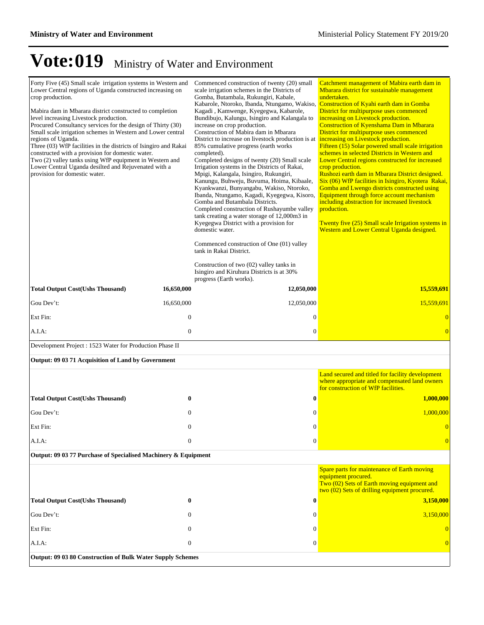| Forty Five (45) Small scale irrigation systems in Western and<br>Lower Central regions of Uganda constructed increasing on<br>crop production.<br>Mabira dam in Mbarara district constructed to completion<br>level increasing Livestock production.<br>Procured Consultancy services for the design of Thirty (30)<br>Small scale irrigation schemes in Western and Lower central<br>regions of Uganda.<br>Three (03) WfP facilities in the districts of Isingiro and Rakai<br>constructed with a provision for domestic water.<br>Two (2) valley tanks using WfP equipment in Western and<br>Lower Central Uganda desilted and Rejuvenated with a<br>provision for domestic water. |                                                                | Commenced construction of twenty (20) small<br>scale irrigation schemes in the Districts of<br>Gomba, Butambala, Rukungiri, Kabale,<br>Kabarole, Ntoroko, Ibanda, Ntungamo, Wakiso,<br>Kagadi, Kamwenge, Kyegegwa, Kabarole,<br>Bundibujo, Kalungu, Isingiro and Kalangala to<br>increase on crop production.<br>Construction of Mabira dam in Mbarara<br>District to increase on livestock production is at<br>85% cumulative progress (earth works<br>completed).<br>Completed designs of twenty (20) Small scale<br>Irrigation systems in the Districts of Rakai,<br>Mpigi, Kalangala, Isingiro, Rukungiri,<br>Kanungu, Buhweju, Buvuma, Hoima, Kibaale,<br>Kyankwanzi, Bunyangabu, Wakiso, Ntoroko,<br>Ibanda, Ntungamo, Kagadi, Kyegegwa, Kisoro,<br>Gomba and Butambala Districts.<br>Completed construction of Rushayumbe valley<br>tank creating a water storage of 12,000m3 in<br>Kyegegwa District with a provision for<br>domestic water.<br>Commenced construction of One (01) valley<br>tank in Rakai District.<br>Construction of two (02) valley tanks in<br>Isingiro and Kiruhura Districts is at 30%<br>progress (Earth works). | Catchment management of Mabira earth dam in<br>Mbarara district for sustainable management<br>undertaken.<br>Construction of Kyahi earth dam in Gomba<br>District for multipurpose uses commenced<br>increasing on Livestock production.<br>Construction of Kyenshama Dam in Mbarara<br>District for multipurpose uses commenced<br>increasing on Livestock production.<br>Fifteen (15) Solar powered small scale irrigation<br>schemes in selected Districts in Western and<br>Lower Central regions constructed for increased<br>crop production.<br>Rushozi earth dam in Mbarara District designed.<br>Six (06) WfP facilities in Isingiro, Kyotera Rakai,<br>Gomba and Lwengo districts constructed using<br>Equipment through force account mechanism<br>including abstraction for increased livestock<br>production.<br>Twenty five (25) Small scale Irrigation systems in<br>Western and Lower Central Uganda designed. |  |  |  |
|--------------------------------------------------------------------------------------------------------------------------------------------------------------------------------------------------------------------------------------------------------------------------------------------------------------------------------------------------------------------------------------------------------------------------------------------------------------------------------------------------------------------------------------------------------------------------------------------------------------------------------------------------------------------------------------|----------------------------------------------------------------|--------------------------------------------------------------------------------------------------------------------------------------------------------------------------------------------------------------------------------------------------------------------------------------------------------------------------------------------------------------------------------------------------------------------------------------------------------------------------------------------------------------------------------------------------------------------------------------------------------------------------------------------------------------------------------------------------------------------------------------------------------------------------------------------------------------------------------------------------------------------------------------------------------------------------------------------------------------------------------------------------------------------------------------------------------------------------------------------------------------------------------------------------|--------------------------------------------------------------------------------------------------------------------------------------------------------------------------------------------------------------------------------------------------------------------------------------------------------------------------------------------------------------------------------------------------------------------------------------------------------------------------------------------------------------------------------------------------------------------------------------------------------------------------------------------------------------------------------------------------------------------------------------------------------------------------------------------------------------------------------------------------------------------------------------------------------------------------------|--|--|--|
| <b>Total Output Cost(Ushs Thousand)</b>                                                                                                                                                                                                                                                                                                                                                                                                                                                                                                                                                                                                                                              | 16,650,000                                                     | 12,050,000                                                                                                                                                                                                                                                                                                                                                                                                                                                                                                                                                                                                                                                                                                                                                                                                                                                                                                                                                                                                                                                                                                                                       | 15,559,691                                                                                                                                                                                                                                                                                                                                                                                                                                                                                                                                                                                                                                                                                                                                                                                                                                                                                                                     |  |  |  |
| Gou Dev't:                                                                                                                                                                                                                                                                                                                                                                                                                                                                                                                                                                                                                                                                           | 16,650,000                                                     | 12,050,000                                                                                                                                                                                                                                                                                                                                                                                                                                                                                                                                                                                                                                                                                                                                                                                                                                                                                                                                                                                                                                                                                                                                       | 15,559,691                                                                                                                                                                                                                                                                                                                                                                                                                                                                                                                                                                                                                                                                                                                                                                                                                                                                                                                     |  |  |  |
| Ext Fin:                                                                                                                                                                                                                                                                                                                                                                                                                                                                                                                                                                                                                                                                             | $\mathbf{0}$                                                   | $\mathbf{0}$                                                                                                                                                                                                                                                                                                                                                                                                                                                                                                                                                                                                                                                                                                                                                                                                                                                                                                                                                                                                                                                                                                                                     | $\overline{0}$                                                                                                                                                                                                                                                                                                                                                                                                                                                                                                                                                                                                                                                                                                                                                                                                                                                                                                                 |  |  |  |
| $A.I.A$ :                                                                                                                                                                                                                                                                                                                                                                                                                                                                                                                                                                                                                                                                            | $\mathbf{0}$                                                   | $\mathbf{0}$                                                                                                                                                                                                                                                                                                                                                                                                                                                                                                                                                                                                                                                                                                                                                                                                                                                                                                                                                                                                                                                                                                                                     | $\overline{0}$                                                                                                                                                                                                                                                                                                                                                                                                                                                                                                                                                                                                                                                                                                                                                                                                                                                                                                                 |  |  |  |
| Development Project : 1523 Water for Production Phase II                                                                                                                                                                                                                                                                                                                                                                                                                                                                                                                                                                                                                             |                                                                |                                                                                                                                                                                                                                                                                                                                                                                                                                                                                                                                                                                                                                                                                                                                                                                                                                                                                                                                                                                                                                                                                                                                                  |                                                                                                                                                                                                                                                                                                                                                                                                                                                                                                                                                                                                                                                                                                                                                                                                                                                                                                                                |  |  |  |
| Output: 09 03 71 Acquisition of Land by Government                                                                                                                                                                                                                                                                                                                                                                                                                                                                                                                                                                                                                                   |                                                                |                                                                                                                                                                                                                                                                                                                                                                                                                                                                                                                                                                                                                                                                                                                                                                                                                                                                                                                                                                                                                                                                                                                                                  |                                                                                                                                                                                                                                                                                                                                                                                                                                                                                                                                                                                                                                                                                                                                                                                                                                                                                                                                |  |  |  |
|                                                                                                                                                                                                                                                                                                                                                                                                                                                                                                                                                                                                                                                                                      |                                                                |                                                                                                                                                                                                                                                                                                                                                                                                                                                                                                                                                                                                                                                                                                                                                                                                                                                                                                                                                                                                                                                                                                                                                  | Land secured and titled for facility development<br>where appropriate and compensated land owners<br>for construction of WfP facilities.                                                                                                                                                                                                                                                                                                                                                                                                                                                                                                                                                                                                                                                                                                                                                                                       |  |  |  |
| <b>Total Output Cost(Ushs Thousand)</b>                                                                                                                                                                                                                                                                                                                                                                                                                                                                                                                                                                                                                                              | $\bf{0}$                                                       | $\bf{0}$                                                                                                                                                                                                                                                                                                                                                                                                                                                                                                                                                                                                                                                                                                                                                                                                                                                                                                                                                                                                                                                                                                                                         | 1,000,000                                                                                                                                                                                                                                                                                                                                                                                                                                                                                                                                                                                                                                                                                                                                                                                                                                                                                                                      |  |  |  |
| Gou Dev't:                                                                                                                                                                                                                                                                                                                                                                                                                                                                                                                                                                                                                                                                           | $\boldsymbol{0}$                                               | $\mathbf{0}$                                                                                                                                                                                                                                                                                                                                                                                                                                                                                                                                                                                                                                                                                                                                                                                                                                                                                                                                                                                                                                                                                                                                     | 1,000,000                                                                                                                                                                                                                                                                                                                                                                                                                                                                                                                                                                                                                                                                                                                                                                                                                                                                                                                      |  |  |  |
| Ext Fin:                                                                                                                                                                                                                                                                                                                                                                                                                                                                                                                                                                                                                                                                             | $\overline{0}$                                                 | $\mathbf{0}$                                                                                                                                                                                                                                                                                                                                                                                                                                                                                                                                                                                                                                                                                                                                                                                                                                                                                                                                                                                                                                                                                                                                     | $\overline{0}$                                                                                                                                                                                                                                                                                                                                                                                                                                                                                                                                                                                                                                                                                                                                                                                                                                                                                                                 |  |  |  |
| A.I.A.                                                                                                                                                                                                                                                                                                                                                                                                                                                                                                                                                                                                                                                                               | $\mathbf{0}$                                                   | $\mathbf{0}$                                                                                                                                                                                                                                                                                                                                                                                                                                                                                                                                                                                                                                                                                                                                                                                                                                                                                                                                                                                                                                                                                                                                     | $\overline{0}$                                                                                                                                                                                                                                                                                                                                                                                                                                                                                                                                                                                                                                                                                                                                                                                                                                                                                                                 |  |  |  |
|                                                                                                                                                                                                                                                                                                                                                                                                                                                                                                                                                                                                                                                                                      | Output: 09 03 77 Purchase of Specialised Machinery & Equipment |                                                                                                                                                                                                                                                                                                                                                                                                                                                                                                                                                                                                                                                                                                                                                                                                                                                                                                                                                                                                                                                                                                                                                  |                                                                                                                                                                                                                                                                                                                                                                                                                                                                                                                                                                                                                                                                                                                                                                                                                                                                                                                                |  |  |  |
|                                                                                                                                                                                                                                                                                                                                                                                                                                                                                                                                                                                                                                                                                      |                                                                |                                                                                                                                                                                                                                                                                                                                                                                                                                                                                                                                                                                                                                                                                                                                                                                                                                                                                                                                                                                                                                                                                                                                                  | Spare parts for maintenance of Earth moving<br>equipment procured.<br>Two (02) Sets of Earth moving equipment and<br>two (02) Sets of drilling equipment procured.                                                                                                                                                                                                                                                                                                                                                                                                                                                                                                                                                                                                                                                                                                                                                             |  |  |  |
| <b>Total Output Cost(Ushs Thousand)</b>                                                                                                                                                                                                                                                                                                                                                                                                                                                                                                                                                                                                                                              | 0                                                              | 0                                                                                                                                                                                                                                                                                                                                                                                                                                                                                                                                                                                                                                                                                                                                                                                                                                                                                                                                                                                                                                                                                                                                                | 3,150,000                                                                                                                                                                                                                                                                                                                                                                                                                                                                                                                                                                                                                                                                                                                                                                                                                                                                                                                      |  |  |  |
| Gou Dev't:                                                                                                                                                                                                                                                                                                                                                                                                                                                                                                                                                                                                                                                                           | $\Omega$                                                       | 0                                                                                                                                                                                                                                                                                                                                                                                                                                                                                                                                                                                                                                                                                                                                                                                                                                                                                                                                                                                                                                                                                                                                                | 3,150,000                                                                                                                                                                                                                                                                                                                                                                                                                                                                                                                                                                                                                                                                                                                                                                                                                                                                                                                      |  |  |  |
| Ext Fin:                                                                                                                                                                                                                                                                                                                                                                                                                                                                                                                                                                                                                                                                             | $\mathbf{0}$                                                   | $\overline{0}$                                                                                                                                                                                                                                                                                                                                                                                                                                                                                                                                                                                                                                                                                                                                                                                                                                                                                                                                                                                                                                                                                                                                   |                                                                                                                                                                                                                                                                                                                                                                                                                                                                                                                                                                                                                                                                                                                                                                                                                                                                                                                                |  |  |  |
| A.I.A.                                                                                                                                                                                                                                                                                                                                                                                                                                                                                                                                                                                                                                                                               | $\mathbf{0}$                                                   | $\overline{0}$                                                                                                                                                                                                                                                                                                                                                                                                                                                                                                                                                                                                                                                                                                                                                                                                                                                                                                                                                                                                                                                                                                                                   |                                                                                                                                                                                                                                                                                                                                                                                                                                                                                                                                                                                                                                                                                                                                                                                                                                                                                                                                |  |  |  |
| Output: 09 03 80 Construction of Bulk Water Supply Schemes                                                                                                                                                                                                                                                                                                                                                                                                                                                                                                                                                                                                                           |                                                                |                                                                                                                                                                                                                                                                                                                                                                                                                                                                                                                                                                                                                                                                                                                                                                                                                                                                                                                                                                                                                                                                                                                                                  |                                                                                                                                                                                                                                                                                                                                                                                                                                                                                                                                                                                                                                                                                                                                                                                                                                                                                                                                |  |  |  |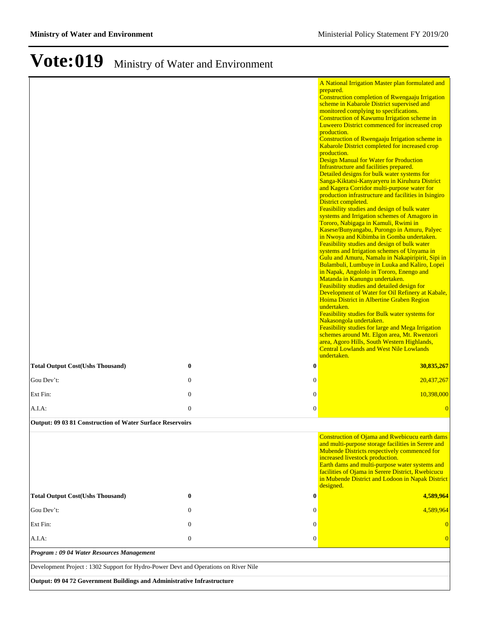|                                                                                      |              |                  | A National Irrigation Master plan formulated and<br>prepared.                                                      |
|--------------------------------------------------------------------------------------|--------------|------------------|--------------------------------------------------------------------------------------------------------------------|
|                                                                                      |              |                  | <b>Construction completion of Rwengaaju Irrigation</b><br>scheme in Kabarole District supervised and               |
|                                                                                      |              |                  | monitored complying to specifications.<br>Construction of Kawumu Irrigation scheme in                              |
|                                                                                      |              |                  | Luweero District commenced for increased crop<br>production.                                                       |
|                                                                                      |              |                  | Construction of Rwengaaju Irrigation scheme in                                                                     |
|                                                                                      |              |                  | Kabarole District completed for increased crop<br>production.                                                      |
|                                                                                      |              |                  | <b>Design Manual for Water for Production</b>                                                                      |
|                                                                                      |              |                  | Infrastructure and facilities prepared.<br>Detailed designs for bulk water systems for                             |
|                                                                                      |              |                  | Sanga-Kiktatsi-Kanyaryeru in Kiruhura District<br>and Kagera Corridor multi-purpose water for                      |
|                                                                                      |              |                  | production infrastructure and facilities in Isingiro                                                               |
|                                                                                      |              |                  | District completed.<br>Feasibility studies and design of bulk water                                                |
|                                                                                      |              |                  | systems and Irrigation schemes of Amagoro in<br>Tororo, Nabigaga in Kamuli, Rwimi in                               |
|                                                                                      |              |                  | Kasese/Bunyangabu, Purongo in Amuru, Palyec                                                                        |
|                                                                                      |              |                  | in Nwoya and Kibimba in Gomba undertaken.<br>Feasibility studies and design of bulk water                          |
|                                                                                      |              |                  | systems and Irrigation schemes of Unyama in<br>Gulu and Amuru, Namalu in Nakapiripirit, Sipi in                    |
|                                                                                      |              |                  | Bulambuli, Lumbuye in Luuka and Kaliro, Lopei                                                                      |
|                                                                                      |              |                  | in Napak, Angololo in Tororo, Enengo and<br>Matanda in Kanungu undertaken.                                         |
|                                                                                      |              |                  | Feasibility studies and detailed design for<br>Development of Water for Oil Refinery at Kabale,                    |
|                                                                                      |              |                  | Hoima District in Albertine Graben Region                                                                          |
|                                                                                      |              |                  | undertaken.<br>Feasibility studies for Bulk water systems for                                                      |
|                                                                                      |              |                  | Nakasongola undertaken.<br>Feasibility studies for large and Mega Irrigation                                       |
|                                                                                      |              |                  | schemes around Mt. Elgon area, Mt. Rwenzori                                                                        |
|                                                                                      |              |                  | area, Agoro Hills, South Western Highlands,<br><b>Central Lowlands and West Nile Lowlands</b>                      |
|                                                                                      |              |                  | undertaken.                                                                                                        |
| <b>Total Output Cost(Ushs Thousand)</b>                                              | $\bf{0}$     | $\boldsymbol{0}$ | 30,835,267                                                                                                         |
| Gou Dev't:                                                                           | $\mathbf{0}$ | $\mathbf{0}$     | 20,437,267                                                                                                         |
| Ext Fin:                                                                             | $\mathbf{0}$ | $\boldsymbol{0}$ | 10,398,000                                                                                                         |
| $A.I.A$ :                                                                            | $\mathbf{0}$ | $\boldsymbol{0}$ | $\overline{0}$                                                                                                     |
| <b>Output: 09 03 81 Construction of Water Surface Reservoirs</b>                     |              |                  |                                                                                                                    |
|                                                                                      |              |                  | Construction of Ojama and Rwebicucu earth dams<br>and multi-purpose storage facilities in Serere and               |
|                                                                                      |              |                  | Mubende Districts respectively commenced for                                                                       |
|                                                                                      |              |                  | increased livestock production.<br>Earth dams and multi-purpose water systems and                                  |
|                                                                                      |              |                  | facilities of Ojama in Serere District, Rwebicucu<br>in Mubende District and Lodoon in Napak District<br>designed. |
| <b>Total Output Cost(Ushs Thousand)</b>                                              | $\bf{0}$     | $\bf{0}$         | 4,589,964                                                                                                          |
| Gou Dev't:                                                                           | $\mathbf{0}$ | $\theta$         | 4,589,964                                                                                                          |
| Ext Fin:                                                                             | $\mathbf{0}$ | $\theta$         |                                                                                                                    |
| A.I.A:                                                                               | $\mathbf{0}$ | $\mathbf{0}$     |                                                                                                                    |
| Program: 09 04 Water Resources Management                                            |              |                  |                                                                                                                    |
| Development Project : 1302 Support for Hydro-Power Devt and Operations on River Nile |              |                  |                                                                                                                    |
| Output: 09 04 72 Government Buildings and Administrative Infrastructure              |              |                  |                                                                                                                    |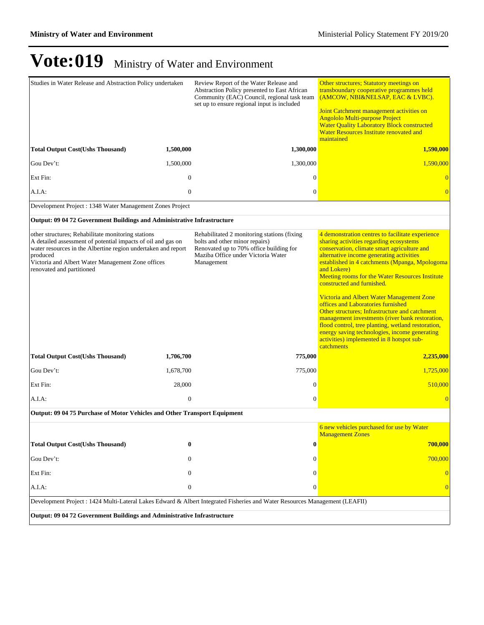| Studies in Water Release and Abstraction Policy undertaken                                                                                                                                                                                                                        |                  | Review Report of the Water Release and<br>Abstraction Policy presented to East African<br>Community (EAC) Council, regional task team<br>set up to ensure regional input is included | Other structures; Statutory meetings on<br>transboundary cooperative programmes held<br>(AMCOW, NBI&NELSAP, EAC & LVBC).<br>Joint Catchment management activities on<br><b>Angololo Multi-purpose Project</b><br><b>Water Quality Laboratory Block constructed</b><br>Water Resources Institute renovated and<br>maintained                                                                                                                                                                                                                                                                                                                                                                               |  |
|-----------------------------------------------------------------------------------------------------------------------------------------------------------------------------------------------------------------------------------------------------------------------------------|------------------|--------------------------------------------------------------------------------------------------------------------------------------------------------------------------------------|-----------------------------------------------------------------------------------------------------------------------------------------------------------------------------------------------------------------------------------------------------------------------------------------------------------------------------------------------------------------------------------------------------------------------------------------------------------------------------------------------------------------------------------------------------------------------------------------------------------------------------------------------------------------------------------------------------------|--|
| <b>Total Output Cost(Ushs Thousand)</b>                                                                                                                                                                                                                                           | 1,500,000        | 1,300,000                                                                                                                                                                            | 1,590,000                                                                                                                                                                                                                                                                                                                                                                                                                                                                                                                                                                                                                                                                                                 |  |
| Gou Dev't:                                                                                                                                                                                                                                                                        | 1,500,000        | 1,300,000                                                                                                                                                                            | 1,590,000                                                                                                                                                                                                                                                                                                                                                                                                                                                                                                                                                                                                                                                                                                 |  |
| Ext Fin:                                                                                                                                                                                                                                                                          | $\mathbf{0}$     | $\mathbf{0}$                                                                                                                                                                         |                                                                                                                                                                                                                                                                                                                                                                                                                                                                                                                                                                                                                                                                                                           |  |
| A.I.A.                                                                                                                                                                                                                                                                            | $\mathbf{0}$     | $\mathbf{0}$                                                                                                                                                                         |                                                                                                                                                                                                                                                                                                                                                                                                                                                                                                                                                                                                                                                                                                           |  |
| Development Project : 1348 Water Management Zones Project                                                                                                                                                                                                                         |                  |                                                                                                                                                                                      |                                                                                                                                                                                                                                                                                                                                                                                                                                                                                                                                                                                                                                                                                                           |  |
| Output: 09 04 72 Government Buildings and Administrative Infrastructure                                                                                                                                                                                                           |                  |                                                                                                                                                                                      |                                                                                                                                                                                                                                                                                                                                                                                                                                                                                                                                                                                                                                                                                                           |  |
| other structures; Rehabilitate monitoring stations<br>A detailed assessment of potential impacts of oil and gas on<br>water resources in the Albertine region undertaken and report<br>produced<br>Victoria and Albert Water Management Zone offices<br>renovated and partitioned |                  | Rehabilitated 2 monitoring stations (fixing<br>bolts and other minor repairs)<br>Renovated up to 70% office building for<br>Maziba Office under Victoria Water<br>Management         | 4 demonstration centres to facilitate experience<br>sharing activities regarding ecosystems<br>conservation, climate smart agriculture and<br>alternative income generating activities<br>established in 4 catchments (Mpanga, Mpologoma<br>and Lokere)<br><b>Meeting rooms for the Water Resources Institute</b><br>constructed and furnished.<br>Victoria and Albert Water Management Zone<br>offices and Laboratories furnished<br>Other structures; Infrastructure and catchment<br>management investments (river bank restoration,<br>flood control, tree planting, wetland restoration,<br>energy saving technologies, income generating<br>activities) implemented in 8 hotspot sub-<br>catchments |  |
| <b>Total Output Cost(Ushs Thousand)</b>                                                                                                                                                                                                                                           | 1,706,700        | 775,000                                                                                                                                                                              | 2,235,000                                                                                                                                                                                                                                                                                                                                                                                                                                                                                                                                                                                                                                                                                                 |  |
| Gou Dev't:                                                                                                                                                                                                                                                                        | 1,678,700        | 775,000                                                                                                                                                                              | 1,725,000                                                                                                                                                                                                                                                                                                                                                                                                                                                                                                                                                                                                                                                                                                 |  |
| Ext Fin:                                                                                                                                                                                                                                                                          | 28,000           | $\theta$                                                                                                                                                                             | 510,000                                                                                                                                                                                                                                                                                                                                                                                                                                                                                                                                                                                                                                                                                                   |  |
| A.I.A.                                                                                                                                                                                                                                                                            | $\boldsymbol{0}$ | $\mathbf{0}$                                                                                                                                                                         |                                                                                                                                                                                                                                                                                                                                                                                                                                                                                                                                                                                                                                                                                                           |  |
| Output: 09 04 75 Purchase of Motor Vehicles and Other Transport Equipment                                                                                                                                                                                                         |                  |                                                                                                                                                                                      |                                                                                                                                                                                                                                                                                                                                                                                                                                                                                                                                                                                                                                                                                                           |  |
|                                                                                                                                                                                                                                                                                   |                  |                                                                                                                                                                                      | 6 new vehicles purchased for use by Water<br><b>Management Zones</b>                                                                                                                                                                                                                                                                                                                                                                                                                                                                                                                                                                                                                                      |  |
| <b>Total Output Cost(Ushs Thousand)</b>                                                                                                                                                                                                                                           | $\bf{0}$         | 0                                                                                                                                                                                    | 700,000                                                                                                                                                                                                                                                                                                                                                                                                                                                                                                                                                                                                                                                                                                   |  |
| Gou Dev't:                                                                                                                                                                                                                                                                        | $\mathbf{0}$     | 0                                                                                                                                                                                    | 700,000                                                                                                                                                                                                                                                                                                                                                                                                                                                                                                                                                                                                                                                                                                   |  |
| Ext Fin:                                                                                                                                                                                                                                                                          | $\mathbf{0}$     | 0                                                                                                                                                                                    |                                                                                                                                                                                                                                                                                                                                                                                                                                                                                                                                                                                                                                                                                                           |  |
| $A.I.A$ :                                                                                                                                                                                                                                                                         | $\boldsymbol{0}$ |                                                                                                                                                                                      | 0<br>$\overline{0}$                                                                                                                                                                                                                                                                                                                                                                                                                                                                                                                                                                                                                                                                                       |  |
| Development Project : 1424 Multi-Lateral Lakes Edward & Albert Integrated Fisheries and Water Resources Management (LEAFII)                                                                                                                                                       |                  |                                                                                                                                                                                      |                                                                                                                                                                                                                                                                                                                                                                                                                                                                                                                                                                                                                                                                                                           |  |
| Output: 09 04 72 Government Buildings and Administrative Infrastructure                                                                                                                                                                                                           |                  |                                                                                                                                                                                      |                                                                                                                                                                                                                                                                                                                                                                                                                                                                                                                                                                                                                                                                                                           |  |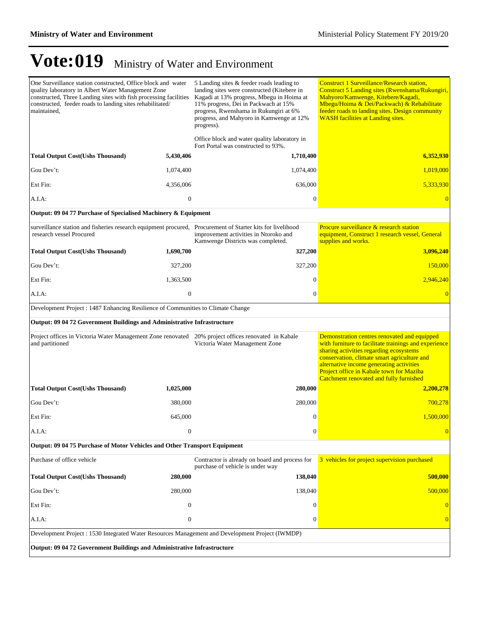| One Surveillance station constructed, Office block and water<br>quality laboratory in Albert Water Management Zone<br>constructed, Three Landing sites with fish processing facilities<br>constructed, feeder roads to landing sites rehabilitated/<br>maintained, |                  | 5 Landing sites & feeder roads leading to<br>landing sites were constructed (Kitebere in<br>Kagadi at 13% progress, Mbegu in Hoima at<br>11% progress, Dei in Packwach at 15%<br>progress, Rwenshama in Rukungiri at 6%<br>progress, and Mahyoro in Kamwenge at 12%<br>progress). | <b>Construct 1 Surveillance/Research station,</b><br>Construct 5 Landing sites (Rwenshama/Rukungiri,<br>Mahyoro/Kamwenge, Kitebere/Kagadi,<br>Mbegu/Hoima & Dei/Packwach) & Rehabilitate<br>feeder roads to landing sites. Design community<br><b>WASH</b> facilities at Landing sites.                                            |  |
|--------------------------------------------------------------------------------------------------------------------------------------------------------------------------------------------------------------------------------------------------------------------|------------------|-----------------------------------------------------------------------------------------------------------------------------------------------------------------------------------------------------------------------------------------------------------------------------------|------------------------------------------------------------------------------------------------------------------------------------------------------------------------------------------------------------------------------------------------------------------------------------------------------------------------------------|--|
|                                                                                                                                                                                                                                                                    |                  | Office block and water quality laboratory in<br>Fort Portal was constructed to 93%.                                                                                                                                                                                               |                                                                                                                                                                                                                                                                                                                                    |  |
| <b>Total Output Cost(Ushs Thousand)</b>                                                                                                                                                                                                                            | 5,430,406        | 1,710,400                                                                                                                                                                                                                                                                         | 6,352,930                                                                                                                                                                                                                                                                                                                          |  |
| Gou Dev't:                                                                                                                                                                                                                                                         | 1,074,400        | 1,074,400                                                                                                                                                                                                                                                                         | 1,019,000                                                                                                                                                                                                                                                                                                                          |  |
| Ext Fin:                                                                                                                                                                                                                                                           | 4,356,006        | 636,000                                                                                                                                                                                                                                                                           | 5.333.930                                                                                                                                                                                                                                                                                                                          |  |
| A.I.A:                                                                                                                                                                                                                                                             | $\boldsymbol{0}$ | $\boldsymbol{0}$                                                                                                                                                                                                                                                                  |                                                                                                                                                                                                                                                                                                                                    |  |
| Output: 09 04 77 Purchase of Specialised Machinery & Equipment                                                                                                                                                                                                     |                  |                                                                                                                                                                                                                                                                                   |                                                                                                                                                                                                                                                                                                                                    |  |
| surveillance station and fisheries research equipment procured, Procurement of Starter kits for livelihood<br>research vessel Procured                                                                                                                             |                  | improvement activities in Ntoroko and<br>Kamwenge Districts was completed.                                                                                                                                                                                                        | Procure surveillance & research station<br>equipment, Construct 1 research vessel, General<br>supplies and works.                                                                                                                                                                                                                  |  |
| <b>Total Output Cost(Ushs Thousand)</b>                                                                                                                                                                                                                            | 1,690,700        | 327,200                                                                                                                                                                                                                                                                           | 3,096,240                                                                                                                                                                                                                                                                                                                          |  |
| Gou Dev't:                                                                                                                                                                                                                                                         | 327,200          | 327,200                                                                                                                                                                                                                                                                           | 150,000                                                                                                                                                                                                                                                                                                                            |  |
| Ext Fin:                                                                                                                                                                                                                                                           | 1,363,500        | $\theta$                                                                                                                                                                                                                                                                          | 2,946,240                                                                                                                                                                                                                                                                                                                          |  |
| A.I.A:                                                                                                                                                                                                                                                             | $\boldsymbol{0}$ | $\mathbf{0}$                                                                                                                                                                                                                                                                      |                                                                                                                                                                                                                                                                                                                                    |  |
| Development Project : 1487 Enhancing Resilience of Communities to Climate Change                                                                                                                                                                                   |                  |                                                                                                                                                                                                                                                                                   |                                                                                                                                                                                                                                                                                                                                    |  |
| Output: 09 04 72 Government Buildings and Administrative Infrastructure                                                                                                                                                                                            |                  |                                                                                                                                                                                                                                                                                   |                                                                                                                                                                                                                                                                                                                                    |  |
| Project offices in Victoria Water Management Zone renovated 20% project offices renovated in Kabale<br>and partitioned                                                                                                                                             |                  | Victoria Water Management Zone                                                                                                                                                                                                                                                    | Demonstration centres renovated and equipped<br>with furniture to facilitate trainings and experience<br>sharing activities regarding ecosystems<br>conservation, climate smart agriculture and<br>alternative income generating activities<br>Project office in Kabale town for Maziba<br>Catchment renovated and fully furnished |  |
| <b>Total Output Cost(Ushs Thousand)</b>                                                                                                                                                                                                                            | 1,025,000        | 280,000                                                                                                                                                                                                                                                                           | 2,200,278                                                                                                                                                                                                                                                                                                                          |  |
| Gou Dev't:                                                                                                                                                                                                                                                         | 380,000          | 280,000                                                                                                                                                                                                                                                                           | 700,278                                                                                                                                                                                                                                                                                                                            |  |
| Ext Fin:                                                                                                                                                                                                                                                           | 645,000          | $\mathbf{0}$                                                                                                                                                                                                                                                                      | 1,500,000                                                                                                                                                                                                                                                                                                                          |  |
| A.I.A:                                                                                                                                                                                                                                                             | $\bf{0}$         | $\sigma$                                                                                                                                                                                                                                                                          |                                                                                                                                                                                                                                                                                                                                    |  |
| Output: 09 04 75 Purchase of Motor Vehicles and Other Transport Equipment                                                                                                                                                                                          |                  |                                                                                                                                                                                                                                                                                   |                                                                                                                                                                                                                                                                                                                                    |  |
| Purchase of office vehicle                                                                                                                                                                                                                                         |                  | Contractor is already on board and process for<br>purchase of vehicle is under way                                                                                                                                                                                                | 3 vehicles for project supervision purchased                                                                                                                                                                                                                                                                                       |  |
| <b>Total Output Cost(Ushs Thousand)</b>                                                                                                                                                                                                                            | 280,000          | 138,040                                                                                                                                                                                                                                                                           | 500,000                                                                                                                                                                                                                                                                                                                            |  |
| Gou Dev't:                                                                                                                                                                                                                                                         | 280,000          | 138,040                                                                                                                                                                                                                                                                           | 500,000                                                                                                                                                                                                                                                                                                                            |  |
| Ext Fin:                                                                                                                                                                                                                                                           | $\boldsymbol{0}$ | $\mathbf{0}$                                                                                                                                                                                                                                                                      | $\vert 0 \vert$                                                                                                                                                                                                                                                                                                                    |  |
| A.I.A:                                                                                                                                                                                                                                                             | $\boldsymbol{0}$ | 0                                                                                                                                                                                                                                                                                 | $\overline{0}$                                                                                                                                                                                                                                                                                                                     |  |
| Development Project : 1530 Integrated Water Resources Management and Development Project (IWMDP)                                                                                                                                                                   |                  |                                                                                                                                                                                                                                                                                   |                                                                                                                                                                                                                                                                                                                                    |  |
| Output: 09 04 72 Government Buildings and Administrative Infrastructure                                                                                                                                                                                            |                  |                                                                                                                                                                                                                                                                                   |                                                                                                                                                                                                                                                                                                                                    |  |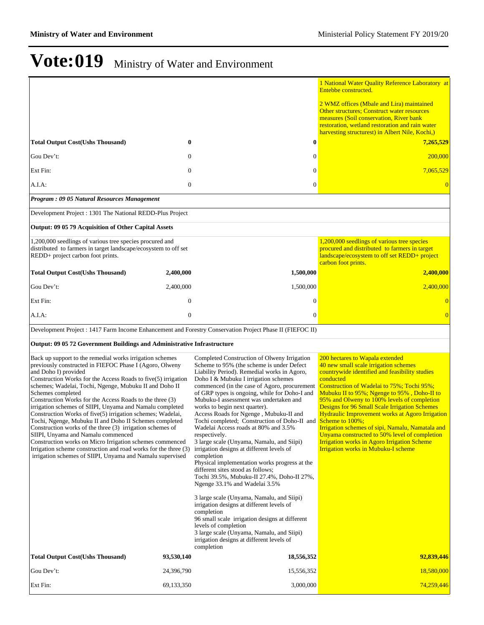|                                                                                                                                                                                                                                                                                                                                                                                                                                                                                                                                                                                                                                                                                                                                                                                                                                            |                  |                                                                                                                                                                                                                                                                                                                                                                                                                                                                                                                                                                                                                                                                                                                                                                                                                    | 1 National Water Quality Reference Laboratory at<br>Entebbe constructed.                                                                                                                                                                                                                                                                                                                                                                                                                                                                                                                                |
|--------------------------------------------------------------------------------------------------------------------------------------------------------------------------------------------------------------------------------------------------------------------------------------------------------------------------------------------------------------------------------------------------------------------------------------------------------------------------------------------------------------------------------------------------------------------------------------------------------------------------------------------------------------------------------------------------------------------------------------------------------------------------------------------------------------------------------------------|------------------|--------------------------------------------------------------------------------------------------------------------------------------------------------------------------------------------------------------------------------------------------------------------------------------------------------------------------------------------------------------------------------------------------------------------------------------------------------------------------------------------------------------------------------------------------------------------------------------------------------------------------------------------------------------------------------------------------------------------------------------------------------------------------------------------------------------------|---------------------------------------------------------------------------------------------------------------------------------------------------------------------------------------------------------------------------------------------------------------------------------------------------------------------------------------------------------------------------------------------------------------------------------------------------------------------------------------------------------------------------------------------------------------------------------------------------------|
|                                                                                                                                                                                                                                                                                                                                                                                                                                                                                                                                                                                                                                                                                                                                                                                                                                            |                  |                                                                                                                                                                                                                                                                                                                                                                                                                                                                                                                                                                                                                                                                                                                                                                                                                    | 2 WMZ offices (Mbale and Lira) maintained<br><b>Other structures: Construct water resources</b><br>measures (Soil conservation, River bank<br>restoration, wetland restoration and rain water<br>harvesting structurest) in Albert Nile, Kochi,                                                                                                                                                                                                                                                                                                                                                         |
| <b>Total Output Cost(Ushs Thousand)</b>                                                                                                                                                                                                                                                                                                                                                                                                                                                                                                                                                                                                                                                                                                                                                                                                    | $\bf{0}$         | 0                                                                                                                                                                                                                                                                                                                                                                                                                                                                                                                                                                                                                                                                                                                                                                                                                  | 7,265,529                                                                                                                                                                                                                                                                                                                                                                                                                                                                                                                                                                                               |
| Gou Dev't:                                                                                                                                                                                                                                                                                                                                                                                                                                                                                                                                                                                                                                                                                                                                                                                                                                 | $\boldsymbol{0}$ | 0                                                                                                                                                                                                                                                                                                                                                                                                                                                                                                                                                                                                                                                                                                                                                                                                                  | 200,000                                                                                                                                                                                                                                                                                                                                                                                                                                                                                                                                                                                                 |
| Ext Fin:                                                                                                                                                                                                                                                                                                                                                                                                                                                                                                                                                                                                                                                                                                                                                                                                                                   | $\mathbf 0$      | 0                                                                                                                                                                                                                                                                                                                                                                                                                                                                                                                                                                                                                                                                                                                                                                                                                  | 7,065,529                                                                                                                                                                                                                                                                                                                                                                                                                                                                                                                                                                                               |
| A.I.A:                                                                                                                                                                                                                                                                                                                                                                                                                                                                                                                                                                                                                                                                                                                                                                                                                                     | $\mathbf{0}$     | 0                                                                                                                                                                                                                                                                                                                                                                                                                                                                                                                                                                                                                                                                                                                                                                                                                  |                                                                                                                                                                                                                                                                                                                                                                                                                                                                                                                                                                                                         |
| Program: 09 05 Natural Resources Management                                                                                                                                                                                                                                                                                                                                                                                                                                                                                                                                                                                                                                                                                                                                                                                                |                  |                                                                                                                                                                                                                                                                                                                                                                                                                                                                                                                                                                                                                                                                                                                                                                                                                    |                                                                                                                                                                                                                                                                                                                                                                                                                                                                                                                                                                                                         |
| Development Project : 1301 The National REDD-Plus Project                                                                                                                                                                                                                                                                                                                                                                                                                                                                                                                                                                                                                                                                                                                                                                                  |                  |                                                                                                                                                                                                                                                                                                                                                                                                                                                                                                                                                                                                                                                                                                                                                                                                                    |                                                                                                                                                                                                                                                                                                                                                                                                                                                                                                                                                                                                         |
| Output: 09 05 79 Acquisition of Other Capital Assets                                                                                                                                                                                                                                                                                                                                                                                                                                                                                                                                                                                                                                                                                                                                                                                       |                  |                                                                                                                                                                                                                                                                                                                                                                                                                                                                                                                                                                                                                                                                                                                                                                                                                    |                                                                                                                                                                                                                                                                                                                                                                                                                                                                                                                                                                                                         |
| 1,200,000 seedlings of various tree species procured and<br>distributed to farmers in target landscape/ecosystem to off set<br>REDD+ project carbon foot prints.                                                                                                                                                                                                                                                                                                                                                                                                                                                                                                                                                                                                                                                                           |                  |                                                                                                                                                                                                                                                                                                                                                                                                                                                                                                                                                                                                                                                                                                                                                                                                                    | 1,200,000 seedlings of various tree species<br>procured and distributed to farmers in target<br>landscape/ecosystem to off set REDD+ project<br>carbon foot prints.                                                                                                                                                                                                                                                                                                                                                                                                                                     |
| <b>Total Output Cost(Ushs Thousand)</b>                                                                                                                                                                                                                                                                                                                                                                                                                                                                                                                                                                                                                                                                                                                                                                                                    | 2,400,000        | 1,500,000                                                                                                                                                                                                                                                                                                                                                                                                                                                                                                                                                                                                                                                                                                                                                                                                          | 2,400,000                                                                                                                                                                                                                                                                                                                                                                                                                                                                                                                                                                                               |
| Gou Dev't:                                                                                                                                                                                                                                                                                                                                                                                                                                                                                                                                                                                                                                                                                                                                                                                                                                 | 2,400,000        | 1,500,000                                                                                                                                                                                                                                                                                                                                                                                                                                                                                                                                                                                                                                                                                                                                                                                                          | 2,400,000                                                                                                                                                                                                                                                                                                                                                                                                                                                                                                                                                                                               |
| Ext Fin:                                                                                                                                                                                                                                                                                                                                                                                                                                                                                                                                                                                                                                                                                                                                                                                                                                   | $\theta$         | 0                                                                                                                                                                                                                                                                                                                                                                                                                                                                                                                                                                                                                                                                                                                                                                                                                  | $\overline{0}$                                                                                                                                                                                                                                                                                                                                                                                                                                                                                                                                                                                          |
| $A.I.A$ :                                                                                                                                                                                                                                                                                                                                                                                                                                                                                                                                                                                                                                                                                                                                                                                                                                  | $\mathbf{0}$     | $\theta$                                                                                                                                                                                                                                                                                                                                                                                                                                                                                                                                                                                                                                                                                                                                                                                                           | $\overline{0}$                                                                                                                                                                                                                                                                                                                                                                                                                                                                                                                                                                                          |
| Development Project : 1417 Farm Income Enhancement and Forestry Conservation Project Phase II (FIEFOC II)                                                                                                                                                                                                                                                                                                                                                                                                                                                                                                                                                                                                                                                                                                                                  |                  |                                                                                                                                                                                                                                                                                                                                                                                                                                                                                                                                                                                                                                                                                                                                                                                                                    |                                                                                                                                                                                                                                                                                                                                                                                                                                                                                                                                                                                                         |
| Output: 09 05 72 Government Buildings and Administrative Infrastructure                                                                                                                                                                                                                                                                                                                                                                                                                                                                                                                                                                                                                                                                                                                                                                    |                  |                                                                                                                                                                                                                                                                                                                                                                                                                                                                                                                                                                                                                                                                                                                                                                                                                    |                                                                                                                                                                                                                                                                                                                                                                                                                                                                                                                                                                                                         |
| Back up support to the remedial works irrigation schemes<br>previously constructed in FIEFOC Phase I (Agoro, Olweny<br>and Doho I) provided<br>Construction Works for the Access Roads to five(5) irrigation<br>schemes; Wadelai, Tochi, Ngenge, Mubuku II and Doho II<br>Schemes completed<br>Construction Works for the Access Roads to the three (3)<br>irrigation schemes of SIIPI, Unyama and Namalu completed<br>Construction Works of five(5) irrigation schemes; Wadelai,<br>Tochi, Ngenge, Mubuku II and Doho II Schemes completed<br>Construction works of the three (3) irrigation schemes of<br>SIIPI, Unyama and Namalu commenced<br>Construction works on Micro Irrigation schemes commenced<br>Irrigation scheme construction and road works for the three (3)<br>irrigation schemes of SIIPI, Unyama and Namalu supervised |                  | Completed Construction of Olweny Irrigation<br>Scheme to 95% (the scheme is under Defect<br>Liability Period). Remedial works in Agoro,<br>Doho I & Mubuku I irrigation schemes<br>commenced (in the case of Agoro, procurement<br>of GRP types is ongoing, while for Doho-I and<br>Mubuku-I assessment was undertaken and<br>works to begin next quarter).<br>Access Roads for Ngenge, Mubuku-II and<br>Tochi completed; Construction of Doho-II and <b>Scheme to 100%;</b><br>Wadelai Access roads at 80% and 3.5%<br>respectively.<br>3 large scale (Unyama, Namalu, and Siipi)<br>irrigation designs at different levels of<br>completion<br>Physical implementation works progress at the<br>different sites stood as follows;<br>Tochi 39.5%, Mubuku-II 27.4%, Doho-II 27%,<br>Ngenge 33.1% and Wadelai 3.5% | 200 hectares to Wapala extended<br>40 new small scale irrigation schemes<br>countrywide identified and feasibility studies<br>conducted<br>Construction of Wadelai to 75%; Tochi 95%;<br>Mubuku II to 95%; Ngenge to 95%, Doho-II to<br>95% and Olweny to 100% levels of completion<br><b>Designs for 96 Small Scale Irrigation Schemes</b><br>Hydraulic Improvement works at Agoro Irrigation<br>Irrigation schemes of sipi, Namalu, Namatala and<br>Unyama constructed to 50% level of completion<br><b>Irrigation works in Agoro Irrigation Scheme</b><br><b>Irrigation works in Mubuku-I scheme</b> |
|                                                                                                                                                                                                                                                                                                                                                                                                                                                                                                                                                                                                                                                                                                                                                                                                                                            |                  | 3 large scale (Unyama, Namalu, and Siipi)<br>irrigation designs at different levels of<br>completion<br>96 small scale irrigation designs at different<br>levels of completion<br>3 large scale (Unyama, Namalu, and Siipi)<br>irrigation designs at different levels of<br>completion                                                                                                                                                                                                                                                                                                                                                                                                                                                                                                                             |                                                                                                                                                                                                                                                                                                                                                                                                                                                                                                                                                                                                         |
| <b>Total Output Cost(Ushs Thousand)</b>                                                                                                                                                                                                                                                                                                                                                                                                                                                                                                                                                                                                                                                                                                                                                                                                    | 93,530,140       | 18,556,352                                                                                                                                                                                                                                                                                                                                                                                                                                                                                                                                                                                                                                                                                                                                                                                                         | 92,839,446                                                                                                                                                                                                                                                                                                                                                                                                                                                                                                                                                                                              |
| Gou Dev't:                                                                                                                                                                                                                                                                                                                                                                                                                                                                                                                                                                                                                                                                                                                                                                                                                                 | 24,396,790       | 15,556,352                                                                                                                                                                                                                                                                                                                                                                                                                                                                                                                                                                                                                                                                                                                                                                                                         | 18,580,000                                                                                                                                                                                                                                                                                                                                                                                                                                                                                                                                                                                              |
| Ext Fin:                                                                                                                                                                                                                                                                                                                                                                                                                                                                                                                                                                                                                                                                                                                                                                                                                                   | 69,133,350       | 3,000,000                                                                                                                                                                                                                                                                                                                                                                                                                                                                                                                                                                                                                                                                                                                                                                                                          | 74,259,446                                                                                                                                                                                                                                                                                                                                                                                                                                                                                                                                                                                              |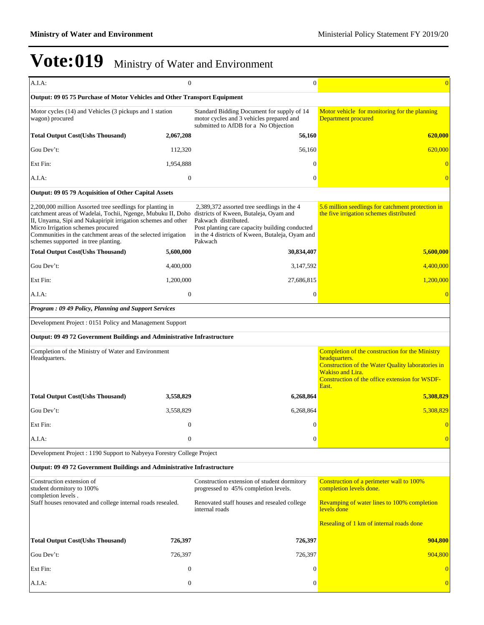| A.I.A.                                                                                                                                                                                                                                                                                                                                                                        | $\boldsymbol{0}$ | $\boldsymbol{0}$                                                                                                                                                                   | $\overline{0}$                                                                                                                                                                                              |  |  |
|-------------------------------------------------------------------------------------------------------------------------------------------------------------------------------------------------------------------------------------------------------------------------------------------------------------------------------------------------------------------------------|------------------|------------------------------------------------------------------------------------------------------------------------------------------------------------------------------------|-------------------------------------------------------------------------------------------------------------------------------------------------------------------------------------------------------------|--|--|
| Output: 09 05 75 Purchase of Motor Vehicles and Other Transport Equipment                                                                                                                                                                                                                                                                                                     |                  |                                                                                                                                                                                    |                                                                                                                                                                                                             |  |  |
| Motor cycles (14) and Vehicles (3 pickups and 1 station<br>wagon) procured                                                                                                                                                                                                                                                                                                    |                  | Standard Bidding Document for supply of 14<br>motor cycles and 3 vehicles prepared and<br>submitted to AfDB for a No Objection                                                     | Motor vehicle for monitoring for the planning<br><b>Department procured</b>                                                                                                                                 |  |  |
| <b>Total Output Cost(Ushs Thousand)</b>                                                                                                                                                                                                                                                                                                                                       | 2,067,208        | 56,160                                                                                                                                                                             | 620,000                                                                                                                                                                                                     |  |  |
| Gou Dev't:                                                                                                                                                                                                                                                                                                                                                                    | 112,320          | 56,160                                                                                                                                                                             | 620,000                                                                                                                                                                                                     |  |  |
| Ext Fin:                                                                                                                                                                                                                                                                                                                                                                      | 1,954,888        | $\overline{0}$                                                                                                                                                                     | $\overline{0}$                                                                                                                                                                                              |  |  |
| A.I.A:                                                                                                                                                                                                                                                                                                                                                                        | $\mathbf{0}$     | $\mathbf{0}$                                                                                                                                                                       | $\overline{0}$                                                                                                                                                                                              |  |  |
| Output: 09 05 79 Acquisition of Other Capital Assets                                                                                                                                                                                                                                                                                                                          |                  |                                                                                                                                                                                    |                                                                                                                                                                                                             |  |  |
| 2,200,000 million Assorted tree seedlings for planting in<br>catchment areas of Wadelai, Tochii, Ngenge, Mubuku II, Doho districts of Kween, Butaleja, Oyam and<br>II, Unyama, Sipi and Nakapiripit irrigation schemes and other<br>Micro Irrigation schemes procured<br>Communities in the catchment areas of the selected irrigation<br>schemes supported in tree planting. |                  | 2,389,372 assorted tree seedlings in the 4<br>Pakwach distributed.<br>Post planting care capacity building conducted<br>in the 4 districts of Kween, Butaleja, Oyam and<br>Pakwach | 5.6 million seedlings for catchment protection in<br>the five irrigation schemes distributed                                                                                                                |  |  |
| <b>Total Output Cost(Ushs Thousand)</b>                                                                                                                                                                                                                                                                                                                                       | 5,600,000        | 30,834,407                                                                                                                                                                         | 5,600,000                                                                                                                                                                                                   |  |  |
| Gou Dev't:                                                                                                                                                                                                                                                                                                                                                                    | 4,400,000        | 3,147,592                                                                                                                                                                          | 4,400,000                                                                                                                                                                                                   |  |  |
| Ext Fin:                                                                                                                                                                                                                                                                                                                                                                      | 1,200,000        | 27,686,815                                                                                                                                                                         | 1,200,000                                                                                                                                                                                                   |  |  |
| A.I.A:                                                                                                                                                                                                                                                                                                                                                                        | $\mathbf{0}$     | $\mathbf{0}$                                                                                                                                                                       |                                                                                                                                                                                                             |  |  |
| Program: 09 49 Policy, Planning and Support Services                                                                                                                                                                                                                                                                                                                          |                  |                                                                                                                                                                                    |                                                                                                                                                                                                             |  |  |
| Development Project: 0151 Policy and Management Support                                                                                                                                                                                                                                                                                                                       |                  |                                                                                                                                                                                    |                                                                                                                                                                                                             |  |  |
| Output: 09 49 72 Government Buildings and Administrative Infrastructure                                                                                                                                                                                                                                                                                                       |                  |                                                                                                                                                                                    |                                                                                                                                                                                                             |  |  |
| Completion of the Ministry of Water and Environment<br>Headquarters.                                                                                                                                                                                                                                                                                                          |                  |                                                                                                                                                                                    | Completion of the construction for the Ministry<br>headquarters.<br>Construction of the Water Quality laboratories in<br><b>Wakiso and Lira.</b><br>Construction of the office extension for WSDF-<br>East. |  |  |
| <b>Total Output Cost(Ushs Thousand)</b>                                                                                                                                                                                                                                                                                                                                       | 3,558,829        | 6,268,864                                                                                                                                                                          | 5,308,829                                                                                                                                                                                                   |  |  |
| Gou Dev't:                                                                                                                                                                                                                                                                                                                                                                    | 3,558,829        | 6,268,864                                                                                                                                                                          | 5,308,829                                                                                                                                                                                                   |  |  |
| Ext Fin:                                                                                                                                                                                                                                                                                                                                                                      | $\theta$         | $\boldsymbol{0}$                                                                                                                                                                   | $\theta$                                                                                                                                                                                                    |  |  |
| A.I.A:                                                                                                                                                                                                                                                                                                                                                                        | $\boldsymbol{0}$ | $\boldsymbol{0}$                                                                                                                                                                   | $\overline{0}$                                                                                                                                                                                              |  |  |
| Development Project : 1190 Support to Nabyeya Forestry College Project                                                                                                                                                                                                                                                                                                        |                  |                                                                                                                                                                                    |                                                                                                                                                                                                             |  |  |
| Output: 09 49 72 Government Buildings and Administrative Infrastructure                                                                                                                                                                                                                                                                                                       |                  |                                                                                                                                                                                    |                                                                                                                                                                                                             |  |  |
| Construction extension of<br>student dormitory to 100%<br>completion levels.                                                                                                                                                                                                                                                                                                  |                  | Construction extension of student dormitory<br>progressed to 45% completion levels.                                                                                                | Construction of a perimeter wall to 100%<br>completion levels done.                                                                                                                                         |  |  |
| Staff houses renovated and college internal roads resealed.                                                                                                                                                                                                                                                                                                                   |                  | Renovated staff houses and resealed college<br>internal roads                                                                                                                      | Revamping of water lines to 100% completion<br>levels done                                                                                                                                                  |  |  |
|                                                                                                                                                                                                                                                                                                                                                                               |                  |                                                                                                                                                                                    | Resealing of 1 km of internal roads done                                                                                                                                                                    |  |  |
| <b>Total Output Cost(Ushs Thousand)</b>                                                                                                                                                                                                                                                                                                                                       | 726,397          | 726,397                                                                                                                                                                            | 904,800                                                                                                                                                                                                     |  |  |
| Gou Dev't:                                                                                                                                                                                                                                                                                                                                                                    | 726,397          | 726,397                                                                                                                                                                            | 904,800                                                                                                                                                                                                     |  |  |
| Ext Fin:                                                                                                                                                                                                                                                                                                                                                                      | $\mathbf{0}$     | $\theta$                                                                                                                                                                           | $\overline{0}$                                                                                                                                                                                              |  |  |
| A.I.A:                                                                                                                                                                                                                                                                                                                                                                        | $\mathbf{0}$     | $\boldsymbol{0}$                                                                                                                                                                   | $\overline{0}$                                                                                                                                                                                              |  |  |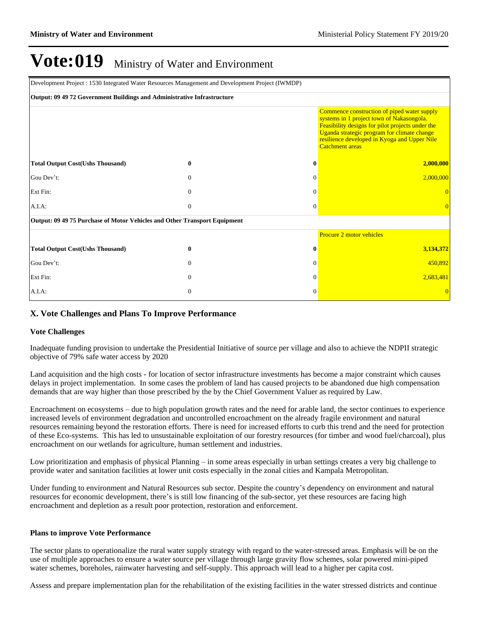| Development Project : 1530 Integrated Water Resources Management and Development Project (IWMDP) |                                                                                                                                                                                                                                                                       |              |                          |
|--------------------------------------------------------------------------------------------------|-----------------------------------------------------------------------------------------------------------------------------------------------------------------------------------------------------------------------------------------------------------------------|--------------|--------------------------|
| Output: 09 49 72 Government Buildings and Administrative Infrastructure                          |                                                                                                                                                                                                                                                                       |              |                          |
|                                                                                                  | Commence construction of piped water supply<br>systems in 1 project town of Nakasongola.<br>Feasibility designs for pilot projects under the<br>Uganda strategic program for climate change<br>resilience developed in Kyoga and Upper Nile<br><b>Catchment</b> areas |              |                          |
| <b>Total Output Cost(Ushs Thousand)</b>                                                          | 0                                                                                                                                                                                                                                                                     | $\mathbf{0}$ | 2,000,000                |
| Gou Dev't:                                                                                       | $\mathbf{0}$                                                                                                                                                                                                                                                          | $\Omega$     | 2,000,000                |
| Ext Fin:                                                                                         | $\Omega$                                                                                                                                                                                                                                                              | $\Omega$     |                          |
| A.I.A:                                                                                           | $\mathbf{0}$                                                                                                                                                                                                                                                          | $\Omega$     | $\Omega$                 |
| Output: 09 49 75 Purchase of Motor Vehicles and Other Transport Equipment                        |                                                                                                                                                                                                                                                                       |              |                          |
|                                                                                                  |                                                                                                                                                                                                                                                                       |              | Procure 2 motor vehicles |
| <b>Total Output Cost(Ushs Thousand)</b>                                                          | $\bf{0}$                                                                                                                                                                                                                                                              | $\mathbf{0}$ | 3,134,372                |
| Gou Dev't:                                                                                       | $\theta$                                                                                                                                                                                                                                                              | 0            | 450,892                  |
| Ext Fin:                                                                                         | $\Omega$                                                                                                                                                                                                                                                              | $\Omega$     | 2,683,481                |
| A.I.A.                                                                                           | $\overline{0}$                                                                                                                                                                                                                                                        | $\Omega$     |                          |

#### **X. Vote Challenges and Plans To Improve Performance**

#### **Vote Challenges**

Inadequate funding provision to undertake the Presidential Initiative of source per village and also to achieve the NDPII strategic objective of 79% safe water access by 2020

Land acquisition and the high costs - for location of sector infrastructure investments has become a major constraint which causes delays in project implementation. In some cases the problem of land has caused projects to be abandoned due high compensation demands that are way higher than those prescribed by the by the Chief Government Valuer as required by Law.

Encroachment on ecosystems – due to high population growth rates and the need for arable land, the sector continues to experience increased levels of environment degradation and uncontrolled encroachment on the already fragile environment and natural resources remaining beyond the restoration efforts. There is need for increased efforts to curb this trend and the need for protection of these Eco-systems. This has led to unsustainable exploitation of our forestry resources (for timber and wood fuel/charcoal), plus encroachment on our wetlands for agriculture, human settlement and industries.

Low prioritization and emphasis of physical Planning  $-\text{in}$  some areas especially in urban settings creates a very big challenge to provide water and sanitation facilities at lower unit costs especially in the zonal cities and Kampala Metropolitan.

Under funding to environment and Natural Resources sub sector. Despite the country's dependency on environment and natural resources for economic development, there's is still low financing of the sub-sector, yet these resources are facing high encroachment and depletion as a result poor protection, restoration and enforcement.

#### **Plans to improve Vote Performance**

The sector plans to operationalize the rural water supply strategy with regard to the water-stressed areas. Emphasis will be on the use of multiple approaches to ensure a water source per village through large gravity flow schemes, solar powered mini-piped water schemes, boreholes, rainwater harvesting and self-supply. This approach will lead to a higher per capita cost.

Assess and prepare implementation plan for the rehabilitation of the existing facilities in the water stressed districts and continue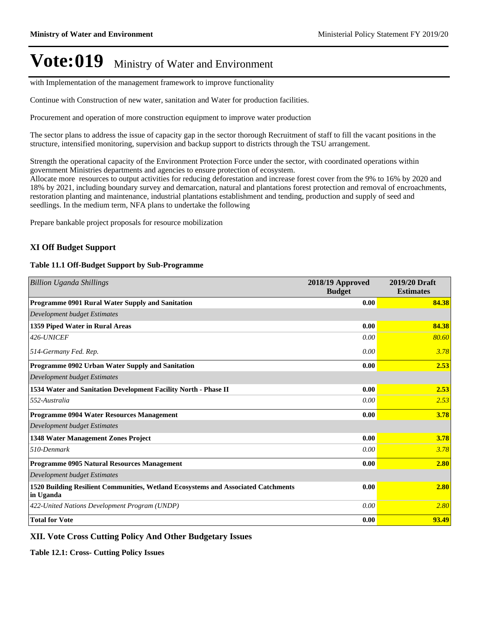with Implementation of the management framework to improve functionality

Continue with Construction of new water, sanitation and Water for production facilities.

Procurement and operation of more construction equipment to improve water production

The sector plans to address the issue of capacity gap in the sector thorough Recruitment of staff to fill the vacant positions in the structure, intensified monitoring, supervision and backup support to districts through the TSU arrangement.

Strength the operational capacity of the Environment Protection Force under the sector, with coordinated operations within government Ministries departments and agencies to ensure protection of ecosystem.

Allocate more resources to output activities for reducing deforestation and increase forest cover from the 9% to 16% by 2020 and 18% by 2021, including boundary survey and demarcation, natural and plantations forest protection and removal of encroachments, restoration planting and maintenance, industrial plantations establishment and tending, production and supply of seed and seedlings. In the medium term, NFA plans to undertake the following

Prepare bankable project proposals for resource mobilization

#### **XI Off Budget Support**

#### **Table 11.1 Off-Budget Support by Sub-Programme**

| <b>Billion Uganda Shillings</b>                                                                | 2018/19 Approved<br><b>Budget</b> | 2019/20 Draft<br><b>Estimates</b> |
|------------------------------------------------------------------------------------------------|-----------------------------------|-----------------------------------|
| Programme 0901 Rural Water Supply and Sanitation                                               | 0.00                              | 84.38                             |
| Development budget Estimates                                                                   |                                   |                                   |
| 1359 Piped Water in Rural Areas                                                                | 0.00                              | 84.38                             |
| 426-UNICEF                                                                                     | 0.00                              | 80.60                             |
| 514-Germany Fed. Rep.                                                                          | 0.00                              | 3.78                              |
| Programme 0902 Urban Water Supply and Sanitation                                               | 0.00                              | 2.53                              |
| Development budget Estimates                                                                   |                                   |                                   |
| 1534 Water and Sanitation Development Facility North - Phase II                                | 0.00                              | 2.53                              |
| 552-Australia                                                                                  | 0.00                              | 2.53                              |
| <b>Programme 0904 Water Resources Management</b>                                               | 0.00                              | 3.78                              |
| Development budget Estimates                                                                   |                                   |                                   |
| 1348 Water Management Zones Project                                                            | 0.00                              | 3.78                              |
| 510-Denmark                                                                                    | 0.00                              | 3.78                              |
| Programme 0905 Natural Resources Management                                                    | 0.00                              | 2.80                              |
| Development budget Estimates                                                                   |                                   |                                   |
| 1520 Building Resilient Communities, Wetland Ecosystems and Associated Catchments<br>in Uganda | 0.00                              | 2.80                              |
| 422-United Nations Development Program (UNDP)                                                  | 0.00                              | 2.80                              |
| <b>Total for Vote</b>                                                                          | 0.00                              | 93.49                             |

#### **XII. Vote Cross Cutting Policy And Other Budgetary Issues**

**Table 12.1: Cross- Cutting Policy Issues**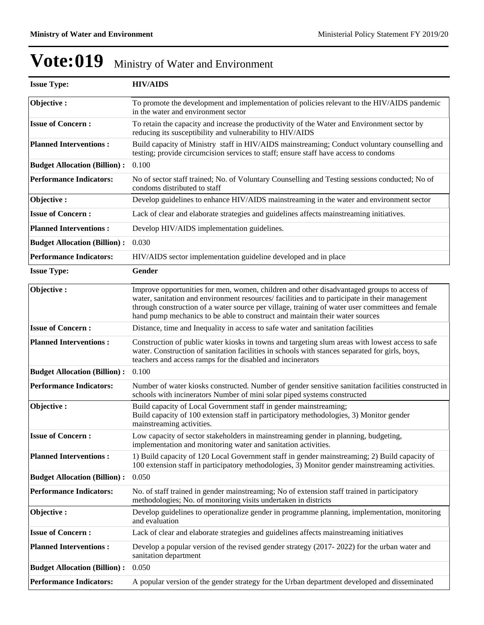| <b>Issue Type:</b>                  | <b>HIV/AIDS</b>                                                                                                                                                                                                                                                                                                                                                                 |
|-------------------------------------|---------------------------------------------------------------------------------------------------------------------------------------------------------------------------------------------------------------------------------------------------------------------------------------------------------------------------------------------------------------------------------|
| Objective:                          | To promote the development and implementation of policies relevant to the HIV/AIDS pandemic<br>in the water and environment sector                                                                                                                                                                                                                                              |
| <b>Issue of Concern:</b>            | To retain the capacity and increase the productivity of the Water and Environment sector by<br>reducing its susceptibility and vulnerability to HIV/AIDS                                                                                                                                                                                                                        |
| <b>Planned Interventions:</b>       | Build capacity of Ministry staff in HIV/AIDS mainstreaming; Conduct voluntary counselling and<br>testing; provide circumcision services to staff; ensure staff have access to condoms                                                                                                                                                                                           |
| <b>Budget Allocation (Billion):</b> | 0.100                                                                                                                                                                                                                                                                                                                                                                           |
| <b>Performance Indicators:</b>      | No of sector staff trained; No. of Voluntary Counselling and Testing sessions conducted; No of<br>condoms distributed to staff                                                                                                                                                                                                                                                  |
| Objective:                          | Develop guidelines to enhance HIV/AIDS mainstreaming in the water and environment sector                                                                                                                                                                                                                                                                                        |
| <b>Issue of Concern:</b>            | Lack of clear and elaborate strategies and guidelines affects mainstreaming initiatives.                                                                                                                                                                                                                                                                                        |
| <b>Planned Interventions:</b>       | Develop HIV/AIDS implementation guidelines.                                                                                                                                                                                                                                                                                                                                     |
| <b>Budget Allocation (Billion):</b> | 0.030                                                                                                                                                                                                                                                                                                                                                                           |
| <b>Performance Indicators:</b>      | HIV/AIDS sector implementation guideline developed and in place                                                                                                                                                                                                                                                                                                                 |
| <b>Issue Type:</b>                  | Gender                                                                                                                                                                                                                                                                                                                                                                          |
| Objective:                          | Improve opportunities for men, women, children and other disadvantaged groups to access of<br>water, sanitation and environment resources/facilities and to participate in their management<br>through construction of a water source per village, training of water user committees and female<br>hand pump mechanics to be able to construct and maintain their water sources |
| <b>Issue of Concern:</b>            | Distance, time and Inequality in access to safe water and sanitation facilities                                                                                                                                                                                                                                                                                                 |
| <b>Planned Interventions:</b>       | Construction of public water kiosks in towns and targeting slum areas with lowest access to safe<br>water. Construction of sanitation facilities in schools with stances separated for girls, boys,<br>teachers and access ramps for the disabled and incinerators                                                                                                              |
| <b>Budget Allocation (Billion):</b> | 0.100                                                                                                                                                                                                                                                                                                                                                                           |
| <b>Performance Indicators:</b>      | Number of water kiosks constructed. Number of gender sensitive sanitation facilities constructed in<br>schools with incinerators Number of mini solar piped systems constructed                                                                                                                                                                                                 |
| Objective:                          | Build capacity of Local Government staff in gender mainstreaming;<br>Build capacity of 100 extension staff in participatory methodologies, 3) Monitor gender<br>mainstreaming activities.                                                                                                                                                                                       |
| <b>Issue of Concern:</b>            | Low capacity of sector stakeholders in mainstreaming gender in planning, budgeting,<br>implementation and monitoring water and sanitation activities.                                                                                                                                                                                                                           |
| <b>Planned Interventions:</b>       | 1) Build capacity of 120 Local Government staff in gender mainstreaming; 2) Build capacity of<br>100 extension staff in participatory methodologies, 3) Monitor gender mainstreaming activities.                                                                                                                                                                                |
| <b>Budget Allocation (Billion):</b> | 0.050                                                                                                                                                                                                                                                                                                                                                                           |
| <b>Performance Indicators:</b>      | No. of staff trained in gender mainstreaming; No of extension staff trained in participatory<br>methodologies; No. of monitoring visits undertaken in districts                                                                                                                                                                                                                 |
| Objective:                          | Develop guidelines to operationalize gender in programme planning, implementation, monitoring<br>and evaluation                                                                                                                                                                                                                                                                 |
| <b>Issue of Concern:</b>            | Lack of clear and elaborate strategies and guidelines affects mainstreaming initiatives                                                                                                                                                                                                                                                                                         |
| <b>Planned Interventions:</b>       | Develop a popular version of the revised gender strategy (2017-2022) for the urban water and<br>sanitation department                                                                                                                                                                                                                                                           |
| <b>Budget Allocation (Billion):</b> | 0.050                                                                                                                                                                                                                                                                                                                                                                           |
| <b>Performance Indicators:</b>      | A popular version of the gender strategy for the Urban department developed and disseminated                                                                                                                                                                                                                                                                                    |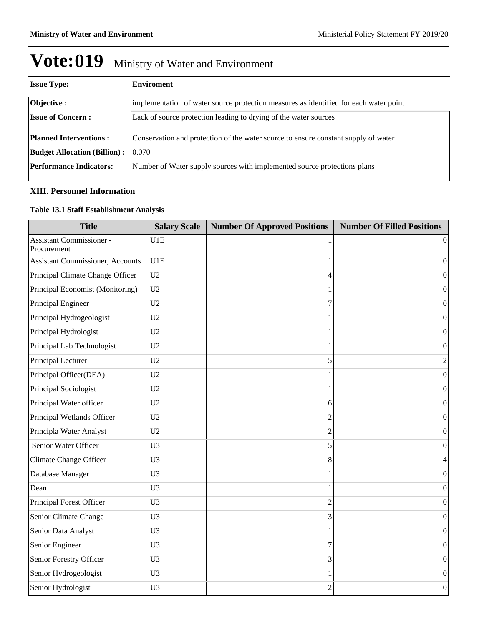| <b>Issue Type:</b>                  | <b>Enviroment</b>                                                                     |
|-------------------------------------|---------------------------------------------------------------------------------------|
| <b>Objective:</b>                   | implementation of water source protection measures as identified for each water point |
| <b>Issue of Concern:</b>            | Lack of source protection leading to drying of the water sources                      |
| <b>Planned Interventions:</b>       | Conservation and protection of the water source to ensure constant supply of water    |
| <b>Budget Allocation (Billion):</b> | 0.070                                                                                 |
| <b>Performance Indicators:</b>      | Number of Water supply sources with implemented source protections plans              |

#### **XIII. Personnel Information**

#### **Table 13.1 Staff Establishment Analysis**

| <b>Title</b>                                   | <b>Salary Scale</b> | <b>Number Of Approved Positions</b> | <b>Number Of Filled Positions</b> |
|------------------------------------------------|---------------------|-------------------------------------|-----------------------------------|
| <b>Assistant Commissioner -</b><br>Procurement | U1E                 |                                     | $\theta$                          |
| <b>Assistant Commissioner, Accounts</b>        | U1E                 | 1                                   | $\overline{0}$                    |
| Principal Climate Change Officer               | U <sub>2</sub>      | 4                                   | $\Omega$                          |
| Principal Economist (Monitoring)               | U2                  |                                     | $\boldsymbol{0}$                  |
| Principal Engineer                             | U2                  | 7                                   | $\boldsymbol{0}$                  |
| Principal Hydrogeologist                       | U <sub>2</sub>      | 1                                   | $\boldsymbol{0}$                  |
| Principal Hydrologist                          | U2                  | 1                                   | $\boldsymbol{0}$                  |
| Principal Lab Technologist                     | U <sub>2</sub>      | 1                                   | $\mathbf{0}$                      |
| Principal Lecturer                             | U <sub>2</sub>      | 5                                   | $\overline{2}$                    |
| Principal Officer(DEA)                         | U <sub>2</sub>      | 1                                   | $\boldsymbol{0}$                  |
| Principal Sociologist                          | U <sub>2</sub>      |                                     | $\boldsymbol{0}$                  |
| Principal Water officer                        | U <sub>2</sub>      | 6                                   | $\boldsymbol{0}$                  |
| Principal Wetlands Officer                     | U <sub>2</sub>      | $\overline{2}$                      | $\theta$                          |
| Principla Water Analyst                        | U <sub>2</sub>      | $\overline{c}$                      | $\mathbf{0}$                      |
| Senior Water Officer                           | U <sub>3</sub>      | 5                                   | $\boldsymbol{0}$                  |
| Climate Change Officer                         | U <sub>3</sub>      | 8                                   | 4                                 |
| Database Manager                               | U <sub>3</sub>      | 1                                   | $\mathbf{0}$                      |
| Dean                                           | U <sub>3</sub>      | 1                                   | $\boldsymbol{0}$                  |
| Principal Forest Officer                       | U <sub>3</sub>      | $\overline{2}$                      | $\mathbf{0}$                      |
| Senior Climate Change                          | U <sub>3</sub>      | 3                                   | $\Omega$                          |
| Senior Data Analyst                            | U <sub>3</sub>      | 1                                   | $\boldsymbol{0}$                  |
| Senior Engineer                                | U <sub>3</sub>      | 7                                   | $\boldsymbol{0}$                  |
| Senior Forestry Officer                        | U <sub>3</sub>      | 3                                   | $\boldsymbol{0}$                  |
| Senior Hydrogeologist                          | U <sub>3</sub>      |                                     | $\boldsymbol{0}$                  |
| Senior Hydrologist                             | U <sub>3</sub>      | $\overline{2}$                      | $\boldsymbol{0}$                  |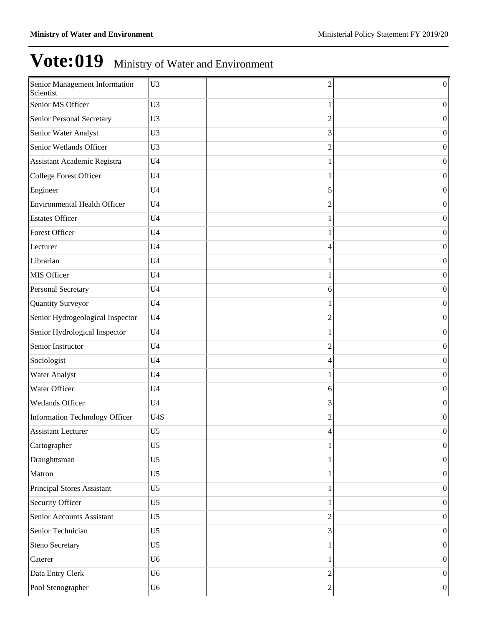| Senior Management Information<br>Scientist | U <sub>3</sub> | $\overline{2}$ | $\boldsymbol{0}$ |
|--------------------------------------------|----------------|----------------|------------------|
| Senior MS Officer                          | U <sub>3</sub> | 1              | $\boldsymbol{0}$ |
| Senior Personal Secretary                  | U <sub>3</sub> | $\overline{2}$ | $\boldsymbol{0}$ |
| Senior Water Analyst                       | U <sub>3</sub> | 3              | $\boldsymbol{0}$ |
| Senior Wetlands Officer                    | U <sub>3</sub> | 2              | $\boldsymbol{0}$ |
| <b>Assistant Academic Registra</b>         | U <sub>4</sub> |                | $\boldsymbol{0}$ |
| <b>College Forest Officer</b>              | U <sub>4</sub> |                | $\boldsymbol{0}$ |
| Engineer                                   | U <sub>4</sub> | 5              | $\boldsymbol{0}$ |
| <b>Environmental Health Officer</b>        | U <sub>4</sub> | 2              | $\boldsymbol{0}$ |
| <b>Estates Officer</b>                     | U <sub>4</sub> |                | $\boldsymbol{0}$ |
| <b>Forest Officer</b>                      | U <sub>4</sub> |                | $\boldsymbol{0}$ |
| Lecturer                                   | U <sub>4</sub> | 4              | $\boldsymbol{0}$ |
| Librarian                                  | U <sub>4</sub> |                | $\boldsymbol{0}$ |
| MIS Officer                                | U <sub>4</sub> | 1              | $\boldsymbol{0}$ |
| <b>Personal Secretary</b>                  | U <sub>4</sub> | 6              | $\boldsymbol{0}$ |
| Quantity Surveyor                          | U <sub>4</sub> | 1              | $\boldsymbol{0}$ |
| Senior Hydrogeological Inspector           | U <sub>4</sub> | 2              | $\boldsymbol{0}$ |
| Senior Hydrological Inspector              | U <sub>4</sub> |                | $\boldsymbol{0}$ |
| Senior Instructor                          | U <sub>4</sub> | 2              | $\boldsymbol{0}$ |
| Sociologist                                | U <sub>4</sub> | 4              | $\boldsymbol{0}$ |
| <b>Water Analyst</b>                       | U <sub>4</sub> |                | $\boldsymbol{0}$ |
| Water Officer                              | U <sub>4</sub> | 6              | $\boldsymbol{0}$ |
| <b>Wetlands Officer</b>                    | U <sub>4</sub> | 3              | $\boldsymbol{0}$ |
| Information Technology Officer             | U4S            | $\overline{2}$ | $\boldsymbol{0}$ |
| <b>Assistant Lecturer</b>                  | $U$ 5          | 4              | 0                |
| Cartographer                               | U <sub>5</sub> |                | $\vert 0 \vert$  |
| Draughttsman                               | U <sub>5</sub> |                | $\vert 0 \vert$  |
| Matron                                     | U <sub>5</sub> |                | $\vert 0 \vert$  |
| Principal Stores Assistant                 | U <sub>5</sub> | 1              | $\vert 0 \vert$  |
| Security Officer                           | U <sub>5</sub> |                | $\vert 0 \vert$  |
| Senior Accounts Assistant                  | U <sub>5</sub> | $\overline{2}$ | $\vert 0 \vert$  |
| Senior Technician                          | U <sub>5</sub> | 3              | $\vert 0 \vert$  |
| <b>Steno Secretary</b>                     | U <sub>5</sub> |                | $\vert 0 \vert$  |
| Caterer                                    | U <sub>6</sub> | 1              | $\vert 0 \vert$  |
| Data Entry Clerk                           | U <sub>6</sub> | $\overline{2}$ | $\vert 0 \vert$  |
| Pool Stenographer                          | U <sub>6</sub> | $\overline{c}$ | 0                |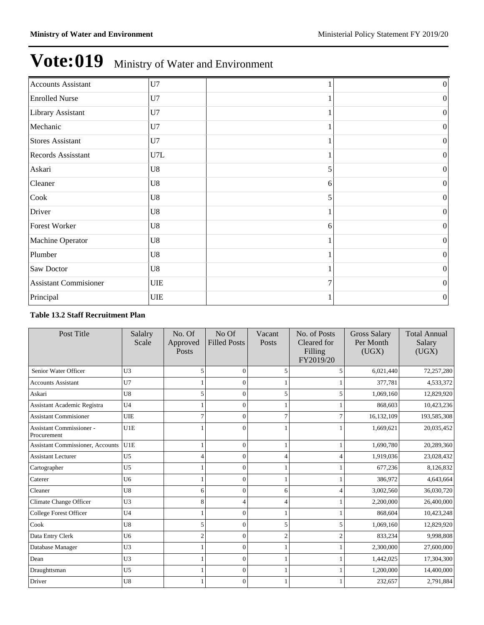| <b>Accounts Assistant</b>    | U7          |                | $\boldsymbol{0}$ |
|------------------------------|-------------|----------------|------------------|
| <b>Enrolled Nurse</b>        | U7          |                | $\vert 0 \vert$  |
| Library Assistant            | U7          |                | $\boldsymbol{0}$ |
| Mechanic                     | U7          |                | $\boldsymbol{0}$ |
| <b>Stores Assistant</b>      | U7          |                | $\boldsymbol{0}$ |
| Records Assisstant           | U7L         |                | $\boldsymbol{0}$ |
| Askari                       | U8          | 5              | $\boldsymbol{0}$ |
| Cleaner                      | U8          | 6              | $\boldsymbol{0}$ |
| Cook                         | U8          | 5              | $\boldsymbol{0}$ |
| Driver                       | U8          |                | $\boldsymbol{0}$ |
| Forest Worker                | U8          | 6              | $\boldsymbol{0}$ |
| Machine Operator             | U8          |                | $\boldsymbol{0}$ |
| Plumber                      | U8          |                | $\boldsymbol{0}$ |
| Saw Doctor                   | U8          |                | $\boldsymbol{0}$ |
| <b>Assistant Commisioner</b> | ${\rm UIE}$ | $\overline{7}$ | $\boldsymbol{0}$ |
| Principal                    | <b>UIE</b>  |                | $\boldsymbol{0}$ |

#### **Table 13.2 Staff Recruitment Plan**

| Post Title                                     | Salalry<br>Scale | No. Of<br>Approved<br>Posts | No Of<br><b>Filled Posts</b> | Vacant<br>Posts | No. of Posts<br>Cleared for<br>Filling<br>FY2019/20 | <b>Gross Salary</b><br>Per Month<br>(UGX) | <b>Total Annual</b><br>Salary<br>(UGX) |
|------------------------------------------------|------------------|-----------------------------|------------------------------|-----------------|-----------------------------------------------------|-------------------------------------------|----------------------------------------|
| Senior Water Officer                           | U <sub>3</sub>   | 5                           | $\Omega$                     | 5               |                                                     | 6,021,440                                 | 72,257,280                             |
| <b>Accounts Assistant</b>                      | U7               |                             | $\Omega$                     |                 |                                                     | 377,781                                   | 4,533,372                              |
| Askari                                         | U8               | 5                           | $\theta$                     | 5               | 5                                                   | 1,069,160                                 | 12,829,920                             |
| <b>Assistant Academic Registra</b>             | U <sub>4</sub>   |                             | $\theta$                     |                 |                                                     | 868,603                                   | 10,423,236                             |
| <b>Assistant Commisioner</b>                   | <b>UIE</b>       | 7                           | $\Omega$                     |                 |                                                     | 16,132,109                                | 193,585,308                            |
| <b>Assistant Commissioner -</b><br>Procurement | U1E              |                             | 0                            |                 |                                                     | 1,669,621                                 | 20,035,452                             |
| <b>Assistant Commissioner</b> , Accounts       | U1E              |                             | $\Omega$                     |                 |                                                     | 1,690,780                                 | 20,289,360                             |
| <b>Assistant Lecturer</b>                      | U <sub>5</sub>   | 4                           | $\theta$                     | Δ               |                                                     | 1,919,036                                 | 23,028,432                             |
| Cartographer                                   | U <sub>5</sub>   |                             | $\theta$                     |                 |                                                     | 677,236                                   | 8,126,832                              |
| Caterer                                        | U <sub>6</sub>   |                             | 0                            |                 |                                                     | 386,972                                   | 4,643,664                              |
| Cleaner                                        | U8               | 6                           | $\Omega$                     | 6               |                                                     | 3,002,560                                 | 36,030,720                             |
| Climate Change Officer                         | U <sub>3</sub>   | 8                           | 4                            | 4               |                                                     | 2,200,000                                 | 26,400,000                             |
| College Forest Officer                         | U <sub>4</sub>   |                             | $\Omega$                     |                 |                                                     | 868,604                                   | 10,423,248                             |
| Cook                                           | U8               | 5                           | $\Omega$                     | 5               | 5                                                   | 1,069,160                                 | 12,829,920                             |
| Data Entry Clerk                               | U <sub>6</sub>   | $\overline{c}$              | 0                            | $\mathfrak{D}$  |                                                     | 833,234                                   | 9,998,808                              |
| Database Manager                               | U <sub>3</sub>   |                             | $\Omega$                     |                 |                                                     | 2,300,000                                 | 27,600,000                             |
| Dean                                           | U <sub>3</sub>   |                             | $\theta$                     |                 |                                                     | 1,442,025                                 | 17,304,300                             |
| Draughttsman                                   | U <sub>5</sub>   |                             | 0                            |                 |                                                     | 1,200,000                                 | 14,400,000                             |
| Driver                                         | U8               |                             | $\theta$                     |                 |                                                     | 232,657                                   | 2,791,884                              |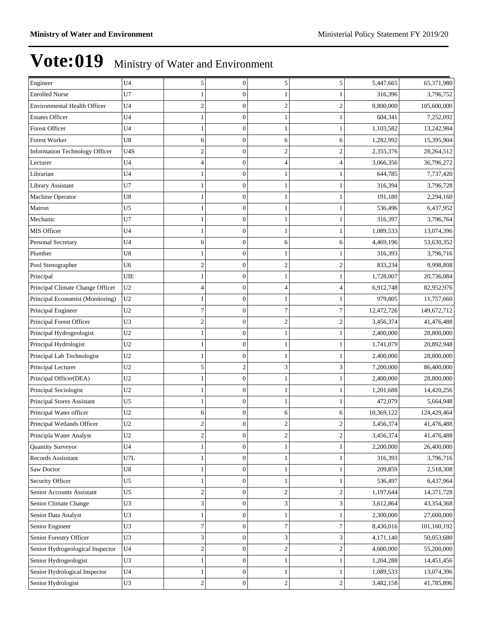| Engineer                              | U <sub>4</sub> | 5                       | $\boldsymbol{0}$ | 5              | 5                | 5,447,665  | 65,371,980  |
|---------------------------------------|----------------|-------------------------|------------------|----------------|------------------|------------|-------------|
| <b>Enrolled Nurse</b>                 | U7             | 1                       | $\Omega$         |                |                  | 316,396    | 3,796,752   |
| <b>Environmental Health Officer</b>   | U <sub>4</sub> | $\overline{c}$          | $\mathbf{0}$     | $\mathfrak{2}$ | $\boldsymbol{2}$ | 8,800,000  | 105,600,000 |
| <b>Estates Officer</b>                | U4             | 1                       | $\theta$         |                |                  | 604,341    | 7,252,092   |
| <b>Forest Officer</b>                 | U4             | 1                       | $\mathbf{0}$     | 1              |                  | 1,103,582  | 13,242,984  |
| <b>Forest Worker</b>                  | U8             | 6                       | $\mathbf{0}$     | 6              | 6                | 1,282,992  | 15,395,904  |
| <b>Information Technology Officer</b> | U4S            | $\overline{\mathbf{c}}$ | $\overline{0}$   | $\mathfrak{2}$ | 2                | 2,355,376  | 28,264,512  |
| Lecturer                              | U <sub>4</sub> | $\overline{4}$          | $\mathbf{0}$     | 4              | $\overline{4}$   | 3,066,356  | 36,796,272  |
| Librarian                             | U4             | 1                       | $\theta$         |                |                  | 644,785    | 7,737,420   |
| Library Assistant                     | U7             | 1                       | $\overline{0}$   | 1              |                  | 316,394    | 3,796,728   |
| Machine Operator                      | U8             | $\mathbf{1}$            | $\mathbf{0}$     |                |                  | 191,180    | 2,294,160   |
| Matron                                | U5             | 1                       | $\overline{0}$   |                |                  | 536,496    | 6,437,952   |
| Mechanic                              | U7             | $\mathbf{1}$            | $\mathbf{0}$     | 1              |                  | 316,397    | 3,796,764   |
| MIS Officer                           | U4             | 1                       | $\theta$         |                |                  | 1,089,533  | 13,074,396  |
| Personal Secretary                    | U4             | 6                       | $\boldsymbol{0}$ | 6              | 6                | 4,469,196  | 53,630,352  |
| Plumber                               | U8             | 1                       | $\mathbf{0}$     |                |                  | 316,393    | 3,796,716   |
| Pool Stenographer                     | U6             | $\overline{\mathbf{c}}$ | $\overline{0}$   | $\mathfrak{2}$ | $\overline{2}$   | 833,234    | 9,998,808   |
| Principal                             | UIE            | $\mathbf{1}$            | $\mathbf{0}$     | 1              |                  | 1,728,007  | 20,736,084  |
| Principal Climate Change Officer      | U <sub>2</sub> | $\overline{4}$          | $\theta$         | $\overline{4}$ | 4                | 6,912,748  | 82,952,976  |
| Principal Economist (Monitoring)      | U <sub>2</sub> | 1                       | $\mathbf{0}$     | 1              |                  | 979,805    | 11,757,660  |
| Principal Engineer                    | U <sub>2</sub> | $\overline{7}$          | $\mathbf{0}$     | 7              | 7                | 12,472,726 | 149,672,712 |
| Principal Forest Officer              | U3             | $\overline{c}$          | $\overline{0}$   | $\overline{2}$ | $\overline{2}$   | 3,456,374  | 41,476,488  |
| Principal Hydrogeologist              | U <sub>2</sub> | $\mathbf{1}$            | $\mathbf{0}$     | 1              |                  | 2,400,000  | 28,800,000  |
| Principal Hydrologist                 | U <sub>2</sub> | 1                       | $\theta$         |                |                  | 1,741,079  | 20,892,948  |
| Principal Lab Technologist            | U <sub>2</sub> | 1                       | $\boldsymbol{0}$ | 1              |                  | 2,400,000  | 28,800,000  |
| Principal Lecturer                    | U <sub>2</sub> | 5                       | $\overline{c}$   | 3              | 3                | 7,200,000  | 86,400,000  |
| Principal Officer(DEA)                | U2             | 1                       | $\overline{0}$   |                |                  | 2,400,000  | 28,800,000  |
| Principal Sociologist                 | U <sub>2</sub> | $\mathbf{1}$            | $\overline{0}$   | 1              |                  | 1,201,688  | 14,420,256  |
| Principal Stores Assistant            | U5             | 1                       | $\theta$         |                |                  | 472,079    | 5,664,948   |
| Principal Water officer               | U <sub>2</sub> | 6                       | $\boldsymbol{0}$ | 6              | 6                | 10,369,122 | 124,429,464 |
| Principal Wetlands Officer            | U <sub>2</sub> | $\overline{c}$          | $\mathbf{0}$     | $\overline{2}$ | 2                | 3,456,374  | 41,476,488  |
| Principla Water Analyst               | U <sub>2</sub> | $\overline{\mathbf{c}}$ | $\boldsymbol{0}$ | $\overline{2}$ | 2                | 3,456,374  | 41,476,488  |
| Quantity Surveyor                     | U <sub>4</sub> | $\mathbf{1}$            | $\overline{0}$   | $\mathbf{1}$   | $\mathbf{1}$     | 2,200,000  | 26,400,000  |
| Records Assisstant                    | U7L            | 1                       | $\boldsymbol{0}$ | 1              |                  | 316,393    | 3,796,716   |
| Saw Doctor                            | U8             | 1                       | $\boldsymbol{0}$ | 1              |                  | 209,859    | 2,518,308   |
| Security Officer                      | U <sub>5</sub> | $\mathbf{1}$            | $\boldsymbol{0}$ |                |                  | 536,497    | 6,437,964   |
| Senior Accounts Assistant             | U5             | $\overline{\mathbf{c}}$ | $\boldsymbol{0}$ | $\mathbf{2}$   | $\boldsymbol{2}$ | 1,197,644  | 14,371,728  |
| Senior Climate Change                 | U3             | 3                       | $\boldsymbol{0}$ | 3              | 3                | 3,612,864  | 43,354,368  |
| Senior Data Analyst                   | U3             | 1                       | $\mathbf{0}$     |                |                  | 2,300,000  | 27,600,000  |
| Senior Engineer                       | U3             | $\boldsymbol{7}$        | $\boldsymbol{0}$ | $\tau$         | 7                | 8,430,016  | 101,160,192 |
| Senior Forestry Officer               | U3             | 3                       | $\boldsymbol{0}$ | $3^{\circ}$    | 3                | 4,171,140  | 50,053,680  |
| Senior Hydrogeological Inspector      | U <sub>4</sub> | $\overline{\mathbf{c}}$ | $\boldsymbol{0}$ | $\sqrt{2}$     | $\mathfrak{2}$   | 4,600,000  | 55,200,000  |
| Senior Hydrogeologist                 | U3             | $\mathbf{1}$            | $\boldsymbol{0}$ | $\mathbf{1}$   | $\mathbf{1}$     | 1,204,288  | 14,451,456  |
| Senior Hydrological Inspector         | U <sub>4</sub> | 1                       | $\boldsymbol{0}$ | 1              |                  | 1,089,533  | 13,074,396  |
| Senior Hydrologist                    | U3             | $\mathbf{2}$            | $\boldsymbol{0}$ | $\overline{c}$ | $\overline{c}$   | 3,482,158  | 41,785,896  |